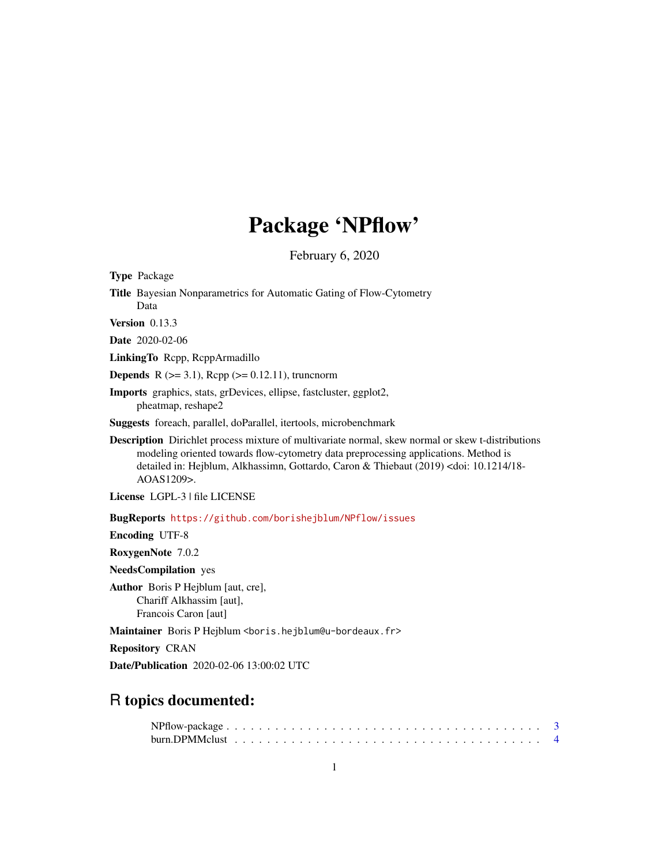# Package 'NPflow'

February 6, 2020

<span id="page-0-0"></span>Type Package

Title Bayesian Nonparametrics for Automatic Gating of Flow-Cytometry Data

Version 0.13.3

Date 2020-02-06

LinkingTo Rcpp, RcppArmadillo

**Depends** R  $(>= 3.1)$ , Rcpp  $(>= 0.12.11)$ , truncnorm

Imports graphics, stats, grDevices, ellipse, fastcluster, ggplot2, pheatmap, reshape2

Suggests foreach, parallel, doParallel, itertools, microbenchmark

Description Dirichlet process mixture of multivariate normal, skew normal or skew t-distributions modeling oriented towards flow-cytometry data preprocessing applications. Method is detailed in: Hejblum, Alkhassimn, Gottardo, Caron & Thiebaut (2019) <doi: 10.1214/18- AOAS1209>.

License LGPL-3 | file LICENSE

BugReports <https://github.com/borishejblum/NPflow/issues>

Encoding UTF-8

RoxygenNote 7.0.2

NeedsCompilation yes

Author Boris P Hejblum [aut, cre], Chariff Alkhassim [aut], Francois Caron [aut]

Maintainer Boris P Hejblum <boris.hejblum@u-bordeaux.fr>

Repository CRAN

Date/Publication 2020-02-06 13:00:02 UTC

# R topics documented: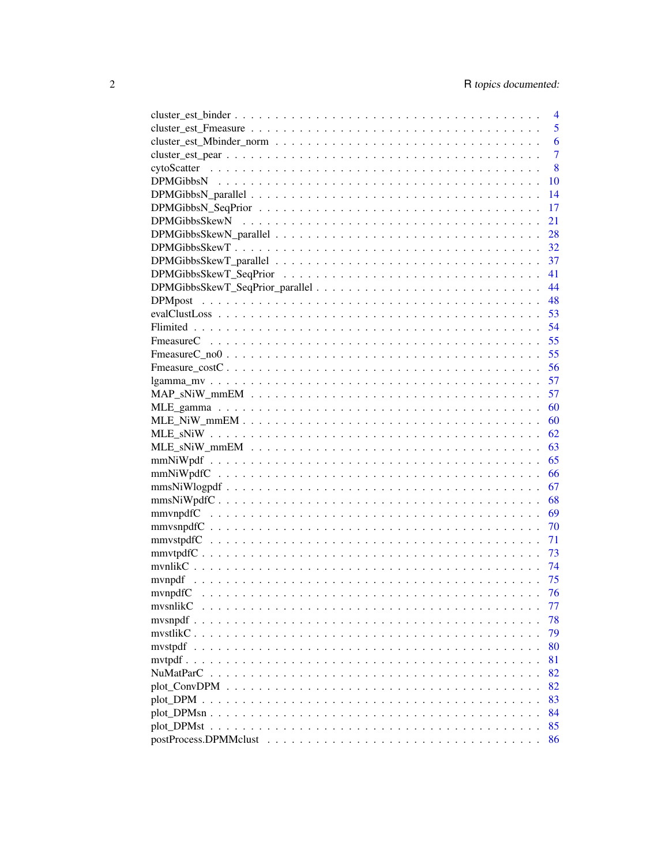|                                                                                                                                                                                                                                                                                                                                                                                                                 | $\overline{4}$ |
|-----------------------------------------------------------------------------------------------------------------------------------------------------------------------------------------------------------------------------------------------------------------------------------------------------------------------------------------------------------------------------------------------------------------|----------------|
|                                                                                                                                                                                                                                                                                                                                                                                                                 | 5              |
|                                                                                                                                                                                                                                                                                                                                                                                                                 | 6              |
|                                                                                                                                                                                                                                                                                                                                                                                                                 | $\overline{7}$ |
|                                                                                                                                                                                                                                                                                                                                                                                                                 | 8              |
|                                                                                                                                                                                                                                                                                                                                                                                                                 | 10             |
|                                                                                                                                                                                                                                                                                                                                                                                                                 | 14             |
|                                                                                                                                                                                                                                                                                                                                                                                                                 | 17             |
|                                                                                                                                                                                                                                                                                                                                                                                                                 | 21             |
|                                                                                                                                                                                                                                                                                                                                                                                                                 | 28             |
|                                                                                                                                                                                                                                                                                                                                                                                                                 | 32             |
|                                                                                                                                                                                                                                                                                                                                                                                                                 | 37             |
|                                                                                                                                                                                                                                                                                                                                                                                                                 | 41             |
|                                                                                                                                                                                                                                                                                                                                                                                                                 | 44             |
|                                                                                                                                                                                                                                                                                                                                                                                                                 | 48             |
|                                                                                                                                                                                                                                                                                                                                                                                                                 | 53             |
|                                                                                                                                                                                                                                                                                                                                                                                                                 | 54             |
|                                                                                                                                                                                                                                                                                                                                                                                                                 | 55             |
|                                                                                                                                                                                                                                                                                                                                                                                                                 | 55             |
|                                                                                                                                                                                                                                                                                                                                                                                                                 | 56             |
|                                                                                                                                                                                                                                                                                                                                                                                                                 | 57             |
|                                                                                                                                                                                                                                                                                                                                                                                                                 | 57             |
|                                                                                                                                                                                                                                                                                                                                                                                                                 | 60             |
|                                                                                                                                                                                                                                                                                                                                                                                                                 | 60             |
|                                                                                                                                                                                                                                                                                                                                                                                                                 | 62             |
|                                                                                                                                                                                                                                                                                                                                                                                                                 | 63             |
|                                                                                                                                                                                                                                                                                                                                                                                                                 | 65             |
|                                                                                                                                                                                                                                                                                                                                                                                                                 | 66             |
|                                                                                                                                                                                                                                                                                                                                                                                                                 | 67             |
|                                                                                                                                                                                                                                                                                                                                                                                                                 | 68             |
|                                                                                                                                                                                                                                                                                                                                                                                                                 | 69             |
|                                                                                                                                                                                                                                                                                                                                                                                                                 | - 70           |
|                                                                                                                                                                                                                                                                                                                                                                                                                 | 71             |
|                                                                                                                                                                                                                                                                                                                                                                                                                 | 73             |
|                                                                                                                                                                                                                                                                                                                                                                                                                 | 74             |
|                                                                                                                                                                                                                                                                                                                                                                                                                 | 75             |
|                                                                                                                                                                                                                                                                                                                                                                                                                 | 76             |
| mysnlikC                                                                                                                                                                                                                                                                                                                                                                                                        | 77             |
| mysnpdf<br>.                                                                                                                                                                                                                                                                                                                                                                                                    | 78             |
| mystlik $C_1, \ldots, C_n, \ldots, C_n, \ldots, C_n, \ldots, C_n, \ldots, C_1, \ldots, C_n, \ldots, C_n, \ldots, C_n, \ldots, C_n, \ldots, C_n, \ldots, C_n, \ldots, C_n, \ldots, C_n, \ldots, C_n, \ldots, C_n, \ldots, C_n, \ldots, C_n, \ldots, C_n, \ldots, C_n, \ldots, C_n, \ldots, C_n, \ldots, C_n, \ldots, C_n, \ldots, C_n, \ldots, C_n, \ldots, C_n, \ldots, C_n, \ldots, C_n, \ldots, C_n, \ldots,$ | 79             |
|                                                                                                                                                                                                                                                                                                                                                                                                                 | 80             |
| $mvtpdf \ldots$                                                                                                                                                                                                                                                                                                                                                                                                 | 81             |
|                                                                                                                                                                                                                                                                                                                                                                                                                 | 82             |
|                                                                                                                                                                                                                                                                                                                                                                                                                 |                |
|                                                                                                                                                                                                                                                                                                                                                                                                                 | 82             |
|                                                                                                                                                                                                                                                                                                                                                                                                                 | 83             |
|                                                                                                                                                                                                                                                                                                                                                                                                                 | 84             |
|                                                                                                                                                                                                                                                                                                                                                                                                                 | 85             |
|                                                                                                                                                                                                                                                                                                                                                                                                                 | 86             |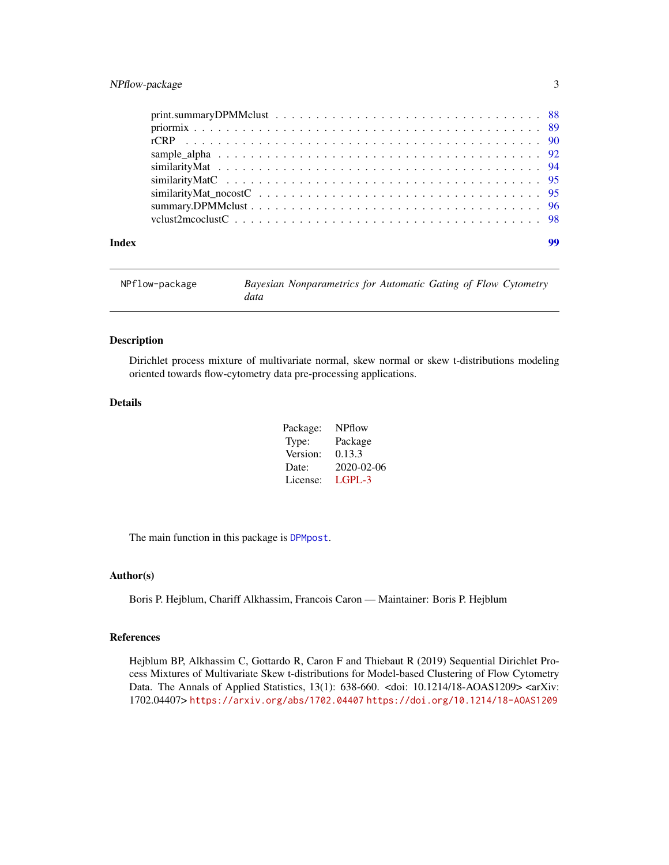#### <span id="page-2-0"></span>NPflow-package 3

|       | $print.summaryDPMMclust \dots \dots \dots \dots \dots \dots \dots \dots \dots \dots \dots \dots \dots \dots \dots \ 88$ |
|-------|-------------------------------------------------------------------------------------------------------------------------|
|       |                                                                                                                         |
|       |                                                                                                                         |
|       |                                                                                                                         |
|       |                                                                                                                         |
|       |                                                                                                                         |
|       |                                                                                                                         |
|       |                                                                                                                         |
|       |                                                                                                                         |
| Index | 99                                                                                                                      |

| NPflow-package | Bayesian Nonparametrics for Automatic Gating of Flow Cytometry |
|----------------|----------------------------------------------------------------|
|                | data                                                           |

#### Description

Dirichlet process mixture of multivariate normal, skew normal or skew t-distributions modeling oriented towards flow-cytometry data pre-processing applications.

#### Details

| Package: | NPflow     |
|----------|------------|
| Type:    | Package    |
| Version: | 0.13.3     |
| Date:    | 2020-02-06 |
| License: | LGPL-3     |

The main function in this package is [DPMpost](#page-47-1).

#### Author(s)

Boris P. Hejblum, Chariff Alkhassim, Francois Caron — Maintainer: Boris P. Hejblum

#### References

Hejblum BP, Alkhassim C, Gottardo R, Caron F and Thiebaut R (2019) Sequential Dirichlet Process Mixtures of Multivariate Skew t-distributions for Model-based Clustering of Flow Cytometry Data. The Annals of Applied Statistics, 13(1): 638-660. <doi: 10.1214/18-AOAS1209> <arXiv: 1702.04407> <https://arxiv.org/abs/1702.04407> <https://doi.org/10.1214/18-AOAS1209>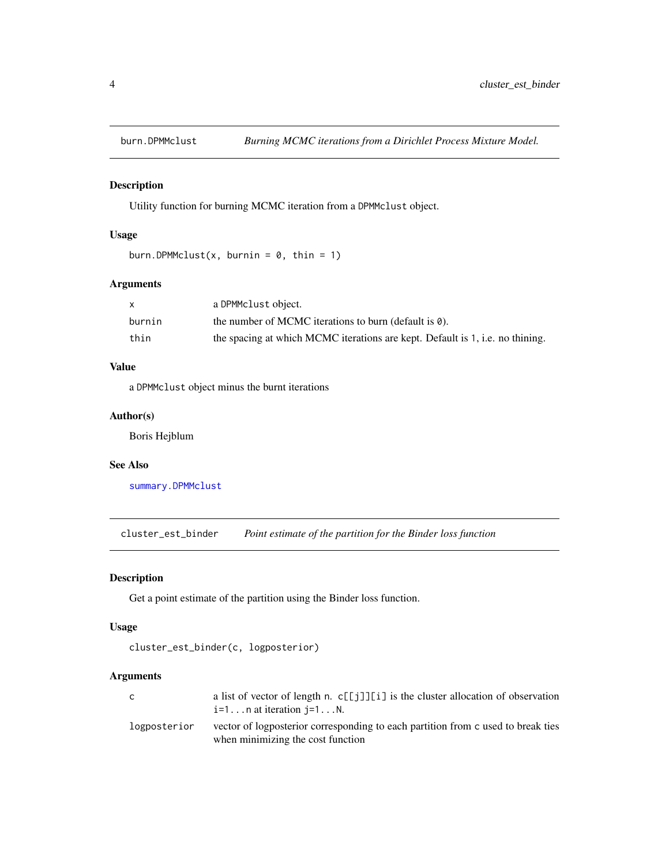<span id="page-3-0"></span>

#### Description

Utility function for burning MCMC iteration from a DPMMclust object.

#### Usage

```
burn.DPMMclust(x, burnin = 0, thin = 1)
```
#### Arguments

|        | a DPMMclust object.                                                           |
|--------|-------------------------------------------------------------------------------|
| burnin | the number of MCMC iterations to burn (default is $\theta$ ).                 |
| thin   | the spacing at which MCMC iterations are kept. Default is 1, i.e. no thining. |

#### Value

a DPMMclust object minus the burnt iterations

#### Author(s)

Boris Hejblum

#### See Also

[summary.DPMMclust](#page-95-1)

cluster\_est\_binder *Point estimate of the partition for the Binder loss function*

#### Description

Get a point estimate of the partition using the Binder loss function.

#### Usage

```
cluster_est_binder(c, logposterior)
```

| C            | a list of vector of length n. $c[[\ ]\ ][[\ ]]$ is the cluster allocation of observation<br>$i=1n$ at iteration $j=1N$ . |
|--------------|--------------------------------------------------------------------------------------------------------------------------|
| logposterior | vector of logposterior corresponding to each partition from c used to break ties<br>when minimizing the cost function    |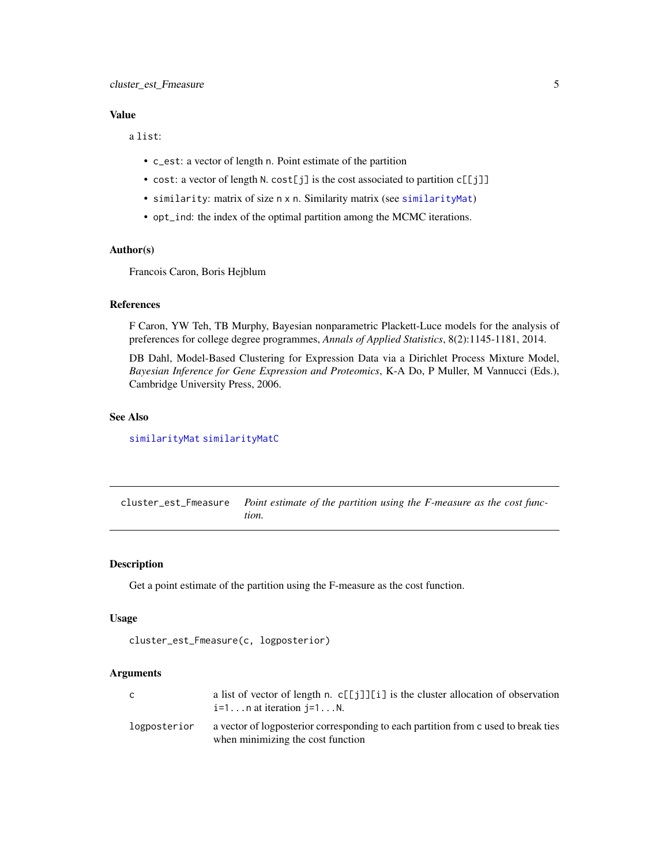<span id="page-4-0"></span>a list:

- c\_est: a vector of length n. Point estimate of the partition
- cost: a vector of length N. cost[j] is the cost associated to partition c[[j]]
- similarity: matrix of size n x n. Similarity matrix (see [similarityMat](#page-93-1))
- opt\_ind: the index of the optimal partition among the MCMC iterations.

#### Author(s)

Francois Caron, Boris Hejblum

#### References

F Caron, YW Teh, TB Murphy, Bayesian nonparametric Plackett-Luce models for the analysis of preferences for college degree programmes, *Annals of Applied Statistics*, 8(2):1145-1181, 2014.

DB Dahl, Model-Based Clustering for Expression Data via a Dirichlet Process Mixture Model, *Bayesian Inference for Gene Expression and Proteomics*, K-A Do, P Muller, M Vannucci (Eds.), Cambridge University Press, 2006.

#### See Also

[similarityMat](#page-93-1) [similarityMatC](#page-94-1)

cluster\_est\_Fmeasure *Point estimate of the partition using the F-measure as the cost function.*

#### Description

Get a point estimate of the partition using the F-measure as the cost function.

#### Usage

```
cluster_est_Fmeasure(c, logposterior)
```

| C            | a list of vector of length n. $c[[j]][i]$ is the cluster allocation of observation<br>$i=1n$ at iteration $i=1N$ .      |
|--------------|-------------------------------------------------------------------------------------------------------------------------|
| logposterior | a vector of logposterior corresponding to each partition from c used to break ties<br>when minimizing the cost function |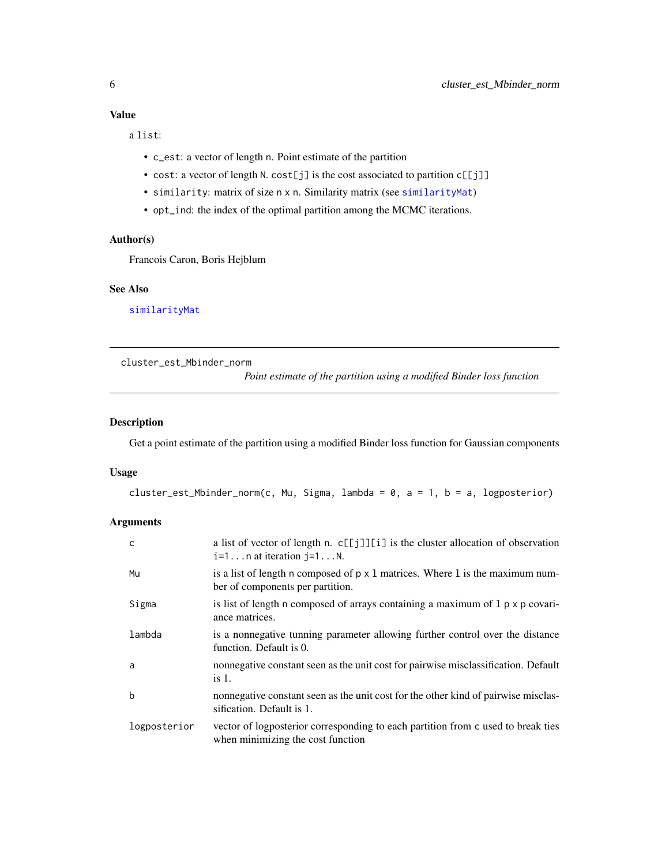<span id="page-5-0"></span>a list:

- c\_est: a vector of length n. Point estimate of the partition
- cost: a vector of length N. cost[j] is the cost associated to partition c[[j]]
- similarity: matrix of size n x n. Similarity matrix (see [similarityMat](#page-93-1))
- opt\_ind: the index of the optimal partition among the MCMC iterations.

#### Author(s)

Francois Caron, Boris Hejblum

#### See Also

[similarityMat](#page-93-1)

cluster\_est\_Mbinder\_norm

*Point estimate of the partition using a modified Binder loss function*

#### Description

Get a point estimate of the partition using a modified Binder loss function for Gaussian components

#### Usage

```
cluster_est_Mbinder_norm(c, Mu, Sigma, lambda = 0, a = 1, b = a, logposterior)
```

| C            | a list of vector of length n. c[[j]][i] is the cluster allocation of observation<br>$i=1n$ at iteration $j=1N$ .         |
|--------------|--------------------------------------------------------------------------------------------------------------------------|
| Mu           | is a list of length n composed of $p \times 1$ matrices. Where 1 is the maximum num-<br>ber of components per partition. |
| Sigma        | is list of length n composed of arrays containing a maximum of $l$ $p \times p$ covari-<br>ance matrices.                |
| lambda       | is a nonnegative tunning parameter allowing further control over the distance<br>function. Default is 0.                 |
| a            | nonnegative constant seen as the unit cost for pairwise misclassification. Default<br>is 1.                              |
| b            | nonnegative constant seen as the unit cost for the other kind of pairwise misclas-<br>sification. Default is 1.          |
| logposterior | vector of logposterior corresponding to each partition from c used to break ties<br>when minimizing the cost function    |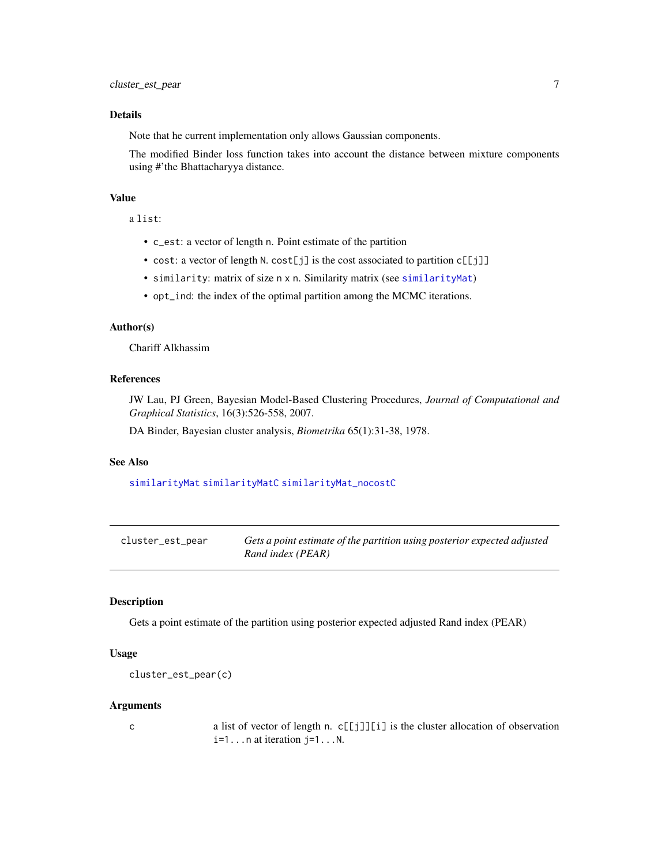#### <span id="page-6-0"></span>Details

Note that he current implementation only allows Gaussian components.

The modified Binder loss function takes into account the distance between mixture components using #'the Bhattacharyya distance.

#### Value

a list:

- c\_est: a vector of length n. Point estimate of the partition
- cost: a vector of length N. cost[j] is the cost associated to partition c[[j]]
- similarity: matrix of size n x n. Similarity matrix (see [similarityMat](#page-93-1))
- opt\_ind: the index of the optimal partition among the MCMC iterations.

#### Author(s)

Chariff Alkhassim

#### References

JW Lau, PJ Green, Bayesian Model-Based Clustering Procedures, *Journal of Computational and Graphical Statistics*, 16(3):526-558, 2007.

DA Binder, Bayesian cluster analysis, *Biometrika* 65(1):31-38, 1978.

#### See Also

[similarityMat](#page-93-1) [similarityMatC](#page-94-1) [similarityMat\\_nocostC](#page-94-2)

cluster\_est\_pear *Gets a point estimate of the partition using posterior expected adjusted Rand index (PEAR)*

#### Description

Gets a point estimate of the partition using posterior expected adjusted Rand index (PEAR)

#### Usage

```
cluster_est_pear(c)
```
#### Arguments

c a list of vector of length n. c[[j]][i] is the cluster allocation of observation  $i=1...n$  at iteration  $j=1...N$ .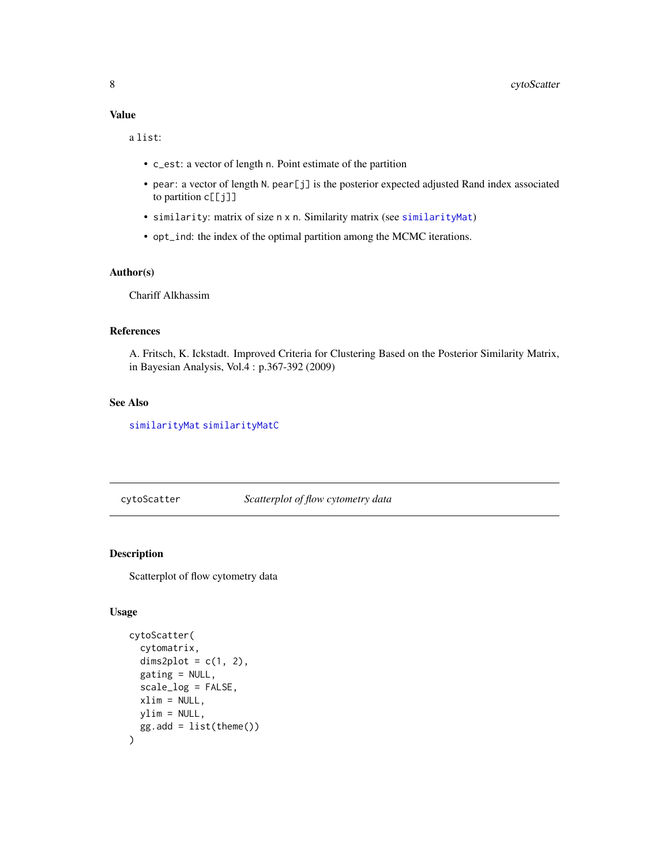<span id="page-7-0"></span>a list:

- c\_est: a vector of length n. Point estimate of the partition
- pear: a vector of length N. pear[j] is the posterior expected adjusted Rand index associated to partition c[[j]]
- similarity: matrix of size n x n. Similarity matrix (see [similarityMat](#page-93-1))
- opt\_ind: the index of the optimal partition among the MCMC iterations.

#### Author(s)

Chariff Alkhassim

#### References

A. Fritsch, K. Ickstadt. Improved Criteria for Clustering Based on the Posterior Similarity Matrix, in Bayesian Analysis, Vol.4 : p.367-392 (2009)

#### See Also

[similarityMat](#page-93-1) [similarityMatC](#page-94-1)

cytoScatter *Scatterplot of flow cytometry data*

#### Description

Scatterplot of flow cytometry data

#### Usage

```
cytoScatter(
  cytomatrix,
  dims2plot = c(1, 2),
  gating = NULL,scale_log = FALSE,
 xlim = NULL,ylim = NULL,
 gg.add = list(theme())
)
```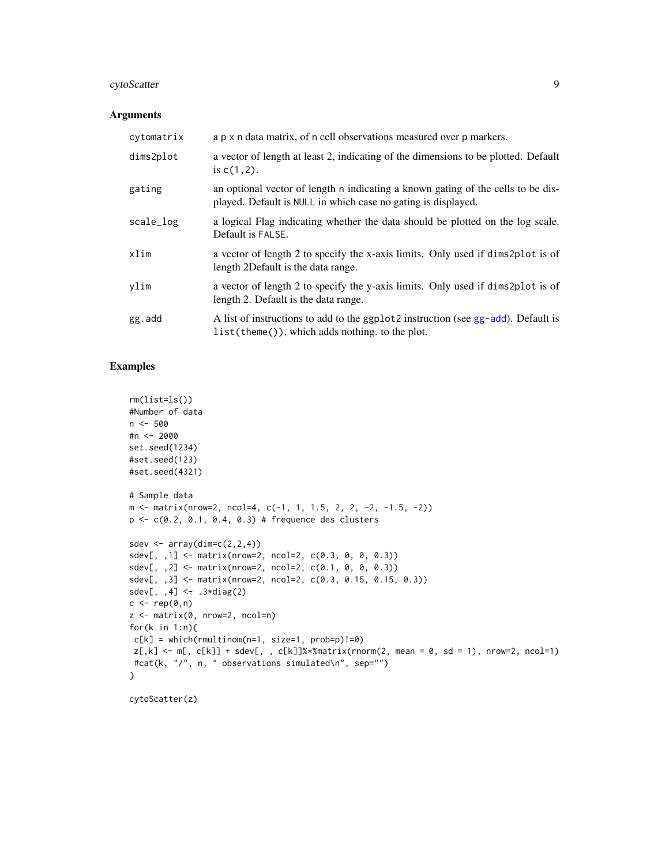#### cytoScatter 9

#### Arguments

| cytomatrix | a p x n data matrix, of n cell observations measured over p markers.                                                                              |
|------------|---------------------------------------------------------------------------------------------------------------------------------------------------|
| dims2plot  | a vector of length at least 2, indicating of the dimensions to be plotted. Default<br>is $c(1, 2)$ .                                              |
| gating     | an optional vector of length n indicating a known gating of the cells to be dis-<br>played. Default is NULL in which case no gating is displayed. |
| scale_log  | a logical Flag indicating whether the data should be plotted on the log scale.<br>Default is FALSE.                                               |
| xlim       | a vector of length 2 to specify the x-axis limits. Only used if dims2plot is of<br>length 2Default is the data range.                             |
| ylim       | a vector of length 2 to specify the y-axis limits. Only used if dims2plot is of<br>length 2. Default is the data range.                           |
| gg.add     | A list of instructions to add to the ggplot2 instruction (see gg-add). Default is<br>$list(theme())$ , which adds nothing. to the plot.           |

#### Examples

```
rm(list=ls())
#Number of data
n < -500#n <- 2000
set.seed(1234)
#set.seed(123)
#set.seed(4321)
# Sample data
m <- matrix(nrow=2, ncol=4, c(-1, 1, 1.5, 2, 2, -2, -1.5, -2))
p <- c(0.2, 0.1, 0.4, 0.3) # frequence des clusters
sdev \leq array(dim=c(2,2,4))
sdev[, ,1] <- matrix(nrow=2, ncol=2, c(0.3, 0, 0, 0.3))
sdev[, ,2] <- matrix(nrow=2, ncol=2, c(0.1, 0, 0, 0.3))
sdev[,, 3] \leq \text{matrix(nrow=2, ncol=2, c(0.3, 0.15, 0.15, 0.3))}sdev[, ,4] <- .3*diag(2)
c \leftarrow rep(\emptyset, n)z <- matrix(0, nrow=2, ncol=n)
for(k in 1:n){
c[k] = which(rmultinom(n=1, size=1, probe=p)!=0)z[, k] \leftarrow m[, c[k]] + sdev[, , c[k]]%matrix(rnorm(2, mean = 0, sd = 1), nrow=2, ncol=1)
#cat(k, "/", n, " observations simulated\n", sep="")
}
```
cytoScatter(z)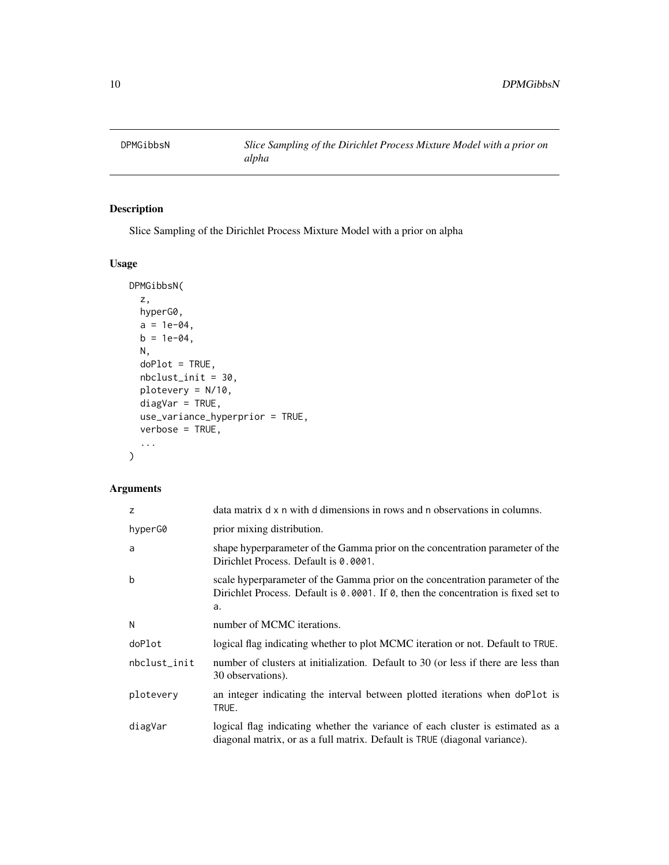<span id="page-9-1"></span><span id="page-9-0"></span>

#### Description

Slice Sampling of the Dirichlet Process Mixture Model with a prior on alpha

#### Usage

```
DPMGibbsN(
  z,
 hyperG0,
 a = 1e-04,
 b = 1e-04,
 N,
 doPlot = TRUE,
 nbclust_init = 30,
 plotevery = N/10,
 diagVar = TRUE,
 use_variance_hyperprior = TRUE,
 verbose = TRUE,
  ...
)
```

| z            | data matrix d x n with d dimensions in rows and n observations in columns.                                                                                                |
|--------------|---------------------------------------------------------------------------------------------------------------------------------------------------------------------------|
| hyperG0      | prior mixing distribution.                                                                                                                                                |
| a            | shape hyperparameter of the Gamma prior on the concentration parameter of the<br>Dirichlet Process. Default is 0.0001.                                                    |
| b            | scale hyperparameter of the Gamma prior on the concentration parameter of the<br>Dirichlet Process. Default is 0.0001. If 0, then the concentration is fixed set to<br>a. |
| N            | number of MCMC iterations.                                                                                                                                                |
| doPlot       | logical flag indicating whether to plot MCMC iteration or not. Default to TRUE.                                                                                           |
| nbclust_init | number of clusters at initialization. Default to 30 (or less if there are less than<br>30 observations).                                                                  |
| plotevery    | an integer indicating the interval between plotted iterations when doPlot is<br>TRUE.                                                                                     |
| diagVar      | logical flag indicating whether the variance of each cluster is estimated as a<br>diagonal matrix, or as a full matrix. Default is TRUE (diagonal variance).              |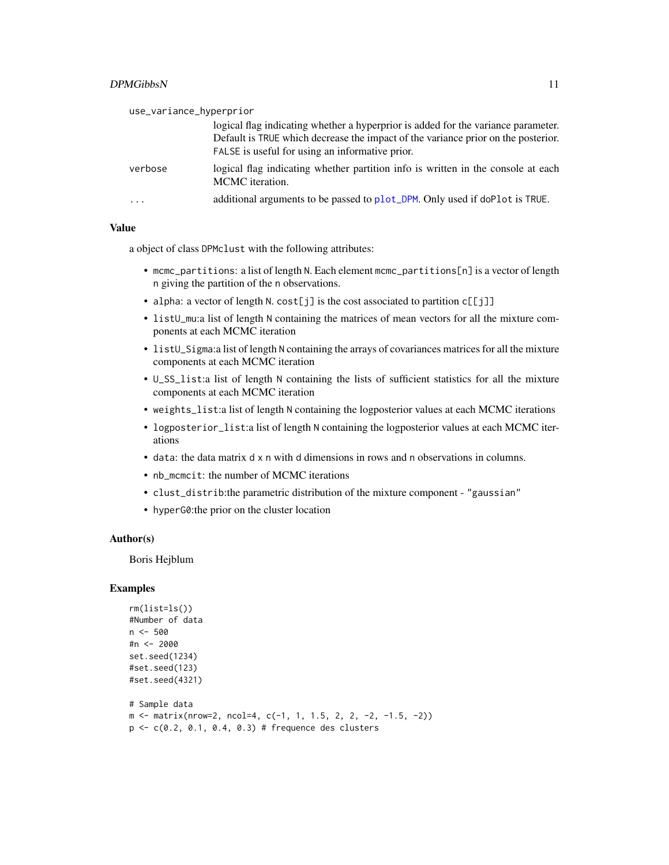| use_variance_hyperprior |                                                                                                                                                                                                                           |  |  |  |  |
|-------------------------|---------------------------------------------------------------------------------------------------------------------------------------------------------------------------------------------------------------------------|--|--|--|--|
|                         | logical flag indicating whether a hyperprior is added for the variance parameter.<br>Default is TRUE which decrease the impact of the variance prior on the posterior.<br>FALSE is useful for using an informative prior. |  |  |  |  |
| verbose                 | logical flag indicating whether partition info is written in the console at each<br>MCMC iteration.                                                                                                                       |  |  |  |  |
| $\ddotsc$               | additional arguments to be passed to plot_DPM. Only used if doPlot is TRUE.                                                                                                                                               |  |  |  |  |

a object of class DPMclust with the following attributes:

- mcmc\_partitions: a list of length N. Each element mcmc\_partitions[n] is a vector of length n giving the partition of the n observations.
- alpha: a vector of length N. cost[j] is the cost associated to partition c[[j]]
- listU\_mu:a list of length N containing the matrices of mean vectors for all the mixture components at each MCMC iteration
- listU\_Sigma:a list of length N containing the arrays of covariances matrices for all the mixture components at each MCMC iteration
- U\_SS\_list:a list of length N containing the lists of sufficient statistics for all the mixture components at each MCMC iteration
- weights\_list:a list of length N containing the logposterior values at each MCMC iterations
- logposterior\_list:a list of length N containing the logposterior values at each MCMC iterations
- data: the data matrix d x n with d dimensions in rows and n observations in columns.
- nb\_mcmcit: the number of MCMC iterations
- clust\_distrib:the parametric distribution of the mixture component "gaussian"
- hyperG0:the prior on the cluster location

#### Author(s)

Boris Hejblum

```
rm(list=ls())
#Number of data
n < -500#n <- 2000
set.seed(1234)
#set.seed(123)
#set.seed(4321)
# Sample data
m \le - matrix(nrow=2, ncol=4, c(-1, 1, 1.5, 2, 2, -2, -1.5, -2))
p \leq c(0.2, 0.1, 0.4, 0.3) # frequence des clusters
```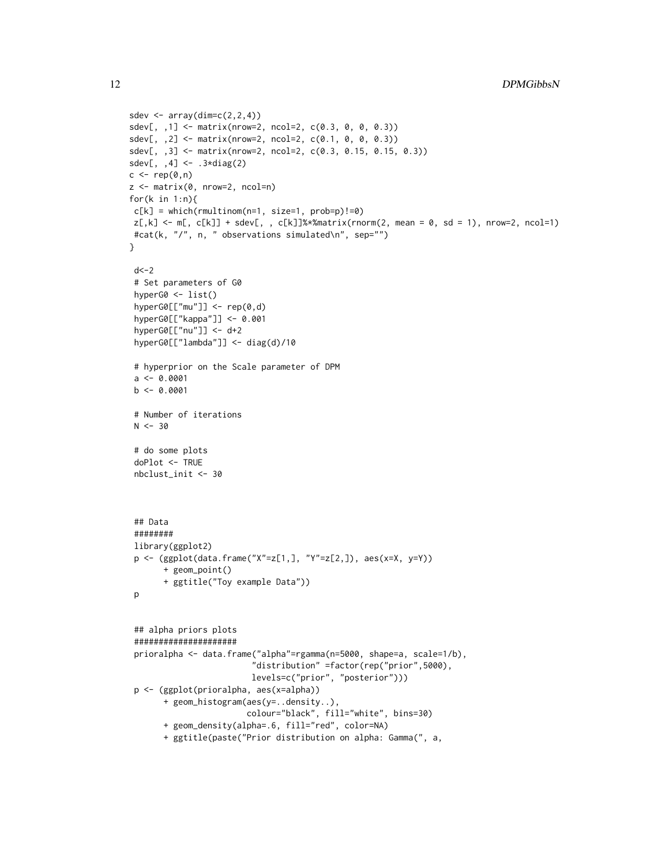```
sdev \leq array(dim=c(2,2,4))
sdev[, ,1] <- matrix(nrow=2, ncol=2, c(0.3, 0, 0, 0.3))
sdev[,, 2] <- matrix(nrow=2, ncol=2, c(0.1, 0, 0, 0.3))
sdev[,, 3] <- matrix(nrow=2, ncol=2, c(0.3, 0.15, 0.15, 0.3))
sdev[, , 4] <- .3 \star diag(2)c \leftarrow rep(\emptyset, n)z <- matrix(0, nrow=2, ncol=n)
for(k in 1:n){
c[k] = which(rmultinom(n=1, size=1, prob=p)!=0)z[,k] <- m[, c[k]] + sdev[, , c[k]]%*%matrix(rnorm(2, mean = 0, sd = 1), nrow=2, ncol=1)
 #cat(k, "/", n, " observations simulated\n", sep="")
}
 d < -2# Set parameters of G0
 hyperG0 <- list()
 hyperG0[["mu"]] <- rep(0,d)
 hyperG0[["kappa"]] <- 0.001
 hyperG0[["nu"]] <- d+2
 hyperG0[["lambda"]] <- diag(d)/10
 # hyperprior on the Scale parameter of DPM
 a \leftarrow 0.0001b \le -0.0001# Number of iterations
 N < -30# do some plots
 doPlot <- TRUE
 nbclust_init <- 30
 ## Data
 ########
 library(ggplot2)
 p <- (ggplot(data.frame("X"=z[1,], "Y"=z[2,]), aes(x=X, y=Y))
       + geom_point()
       + ggtitle("Toy example Data"))
 p
 ## alpha priors plots
 #####################
 prioralpha <- data.frame("alpha"=rgamma(n=5000, shape=a, scale=1/b),
                          "distribution" =factor(rep("prior",5000),
                         levels=c("prior", "posterior")))
 p <- (ggplot(prioralpha, aes(x=alpha))
       + geom_histogram(aes(y=..density..),
                        colour="black", fill="white", bins=30)
       + geom_density(alpha=.6, fill="red", color=NA)
       + ggtitle(paste("Prior distribution on alpha: Gamma(", a,
```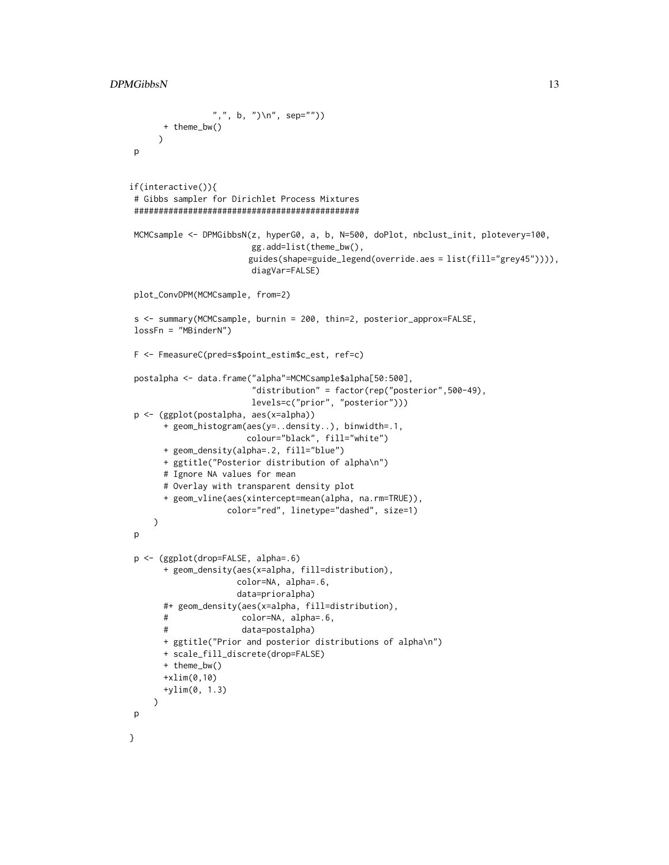```
",", b, ")\n", sep=""))
      + theme_bw()
     )
p
if(interactive()){
 # Gibbs sampler for Dirichlet Process Mixtures
 ##############################################
MCMCsample <- DPMGibbsN(z, hyperG0, a, b, N=500, doPlot, nbclust_init, plotevery=100,
                        gg.add=list(theme_bw(),
                        guides(shape=guide_legend(override.aes = list(fill="grey45")))),
                        diagVar=FALSE)
 plot_ConvDPM(MCMCsample, from=2)
 s <- summary(MCMCsample, burnin = 200, thin=2, posterior_approx=FALSE,
lossFn = "MBinderN")
 F <- FmeasureC(pred=s$point_estim$c_est, ref=c)
postalpha <- data.frame("alpha"=MCMCsample$alpha[50:500],
                         "distribution" = factor(rep("posterior",500-49),
                        levels=c("prior", "posterior")))
 p <- (ggplot(postalpha, aes(x=alpha))
      + geom_histogram(aes(y=..density..), binwidth=.1,
                       colour="black", fill="white")
      + geom_density(alpha=.2, fill="blue")
      + ggtitle("Posterior distribution of alpha\n")
      # Ignore NA values for mean
      # Overlay with transparent density plot
      + geom_vline(aes(xintercept=mean(alpha, na.rm=TRUE)),
                    color="red", linetype="dashed", size=1)
    )
p
 p <- (ggplot(drop=FALSE, alpha=.6)
       + geom_density(aes(x=alpha, fill=distribution),
                     color=NA, alpha=.6,
                     data=prioralpha)
      #+ geom_density(aes(x=alpha, fill=distribution),
      # color=NA, alpha=.6,
      # data=postalpha)
      + ggtitle("Prior and posterior distributions of alpha\n")
      + scale_fill_discrete(drop=FALSE)
      + theme_bw()
      +xlim(0,10)
      +ylim(0, 1.3)
    \lambdap
}
```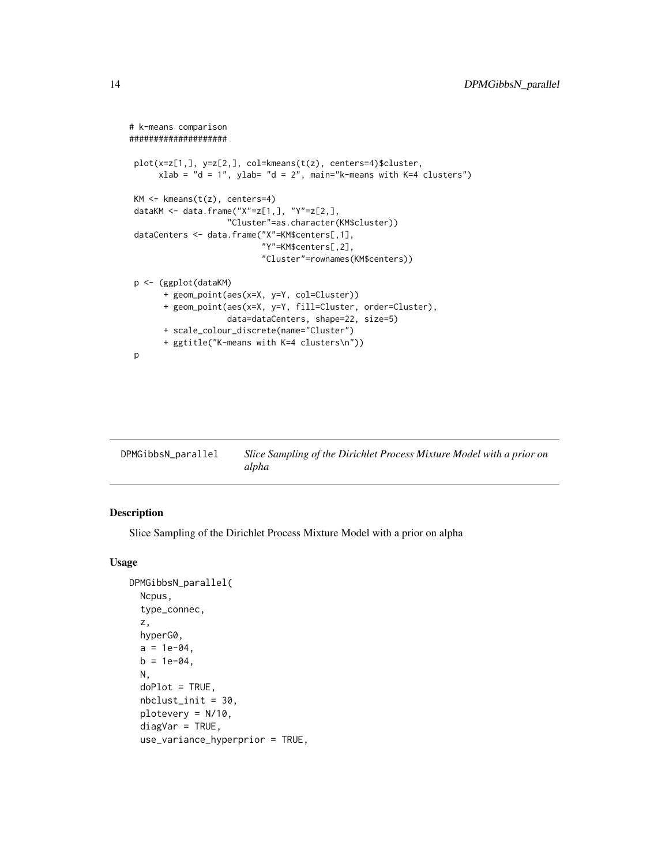```
# k-means comparison
####################
plot(x=z[1,], y=z[2,], col=kmeans(t(z), centers=4)$cluster,
     xlab = "d = 1", ylab= "d = 2", main="k-means with K=4 clusters")
KM <- kmeans(t(z), centers=4)
dataKM <- data.frame("X"=z[1,], "Y"=z[2,],
                    "Cluster"=as.character(KM$cluster))
dataCenters <- data.frame("X"=KM$centers[,1],
                           "Y"=KM$centers[,2],
                           "Cluster"=rownames(KM$centers))
p <- (ggplot(dataKM)
      + geom_point(aes(x=X, y=Y, col=Cluster))
      + geom_point(aes(x=X, y=Y, fill=Cluster, order=Cluster),
                   data=dataCenters, shape=22, size=5)
      + scale_colour_discrete(name="Cluster")
      + ggtitle("K-means with K=4 clusters\n"))
p
```

| DPMGibbsN_parallel | Slice Sampling of the Dirichlet Process Mixture Model with a prior on |
|--------------------|-----------------------------------------------------------------------|
|                    | alpha                                                                 |

#### Description

Slice Sampling of the Dirichlet Process Mixture Model with a prior on alpha

#### Usage

```
DPMGibbsN_parallel(
  Ncpus,
  type_connec,
  z,
  hyperG0,
  a = 1e-04,
  b = 1e-04,
 N,
  doPlot = TRUE,
  nbclust_init = 30,
  plotevery = N/10,
  diagVar = TRUE,use_variance_hyperprior = TRUE,
```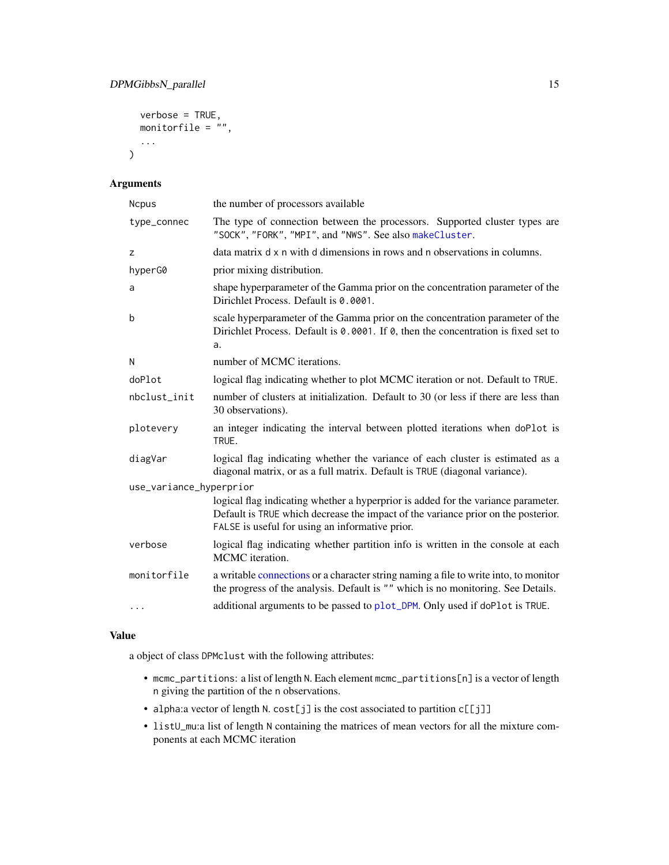```
verbose = TRUE,
monitorfile = \dddot{''},
...
```
#### Arguments

 $\mathcal{L}$ 

| <b>Ncpus</b>            | the number of processors available                                                                                                                                                                                        |
|-------------------------|---------------------------------------------------------------------------------------------------------------------------------------------------------------------------------------------------------------------------|
| type_connec             | The type of connection between the processors. Supported cluster types are<br>"SOCK", "FORK", "MPI", and "NWS". See also makeCluster.                                                                                     |
| z                       | data matrix d x n with d dimensions in rows and n observations in columns.                                                                                                                                                |
| hyperG0                 | prior mixing distribution.                                                                                                                                                                                                |
| a                       | shape hyperparameter of the Gamma prior on the concentration parameter of the<br>Dirichlet Process. Default is 0.0001.                                                                                                    |
| b                       | scale hyperparameter of the Gamma prior on the concentration parameter of the<br>Dirichlet Process. Default is 0.0001. If 0, then the concentration is fixed set to<br>a.                                                 |
| N                       | number of MCMC iterations.                                                                                                                                                                                                |
| doPlot                  | logical flag indicating whether to plot MCMC iteration or not. Default to TRUE.                                                                                                                                           |
| nbclust_init            | number of clusters at initialization. Default to 30 (or less if there are less than<br>30 observations).                                                                                                                  |
| plotevery               | an integer indicating the interval between plotted iterations when doPlot is<br>TRUE.                                                                                                                                     |
| diagVar                 | logical flag indicating whether the variance of each cluster is estimated as a<br>diagonal matrix, or as a full matrix. Default is TRUE (diagonal variance).                                                              |
| use_variance_hyperprior |                                                                                                                                                                                                                           |
|                         | logical flag indicating whether a hyperprior is added for the variance parameter.<br>Default is TRUE which decrease the impact of the variance prior on the posterior.<br>FALSE is useful for using an informative prior. |
| verbose                 | logical flag indicating whether partition info is written in the console at each<br>MCMC iteration.                                                                                                                       |
| monitorfile             | a writable connections or a character string naming a file to write into, to monitor<br>the progress of the analysis. Default is "" which is no monitoring. See Details.                                                  |
| $\cdots$                | additional arguments to be passed to plot_DPM. Only used if doPlot is TRUE.                                                                                                                                               |

#### Value

a object of class DPMclust with the following attributes:

- mcmc\_partitions: a list of length N. Each element mcmc\_partitions[n] is a vector of length n giving the partition of the n observations.
- alpha:a vector of length N. cost[j] is the cost associated to partition c[[j]]
- listU\_mu:a list of length N containing the matrices of mean vectors for all the mixture components at each MCMC iteration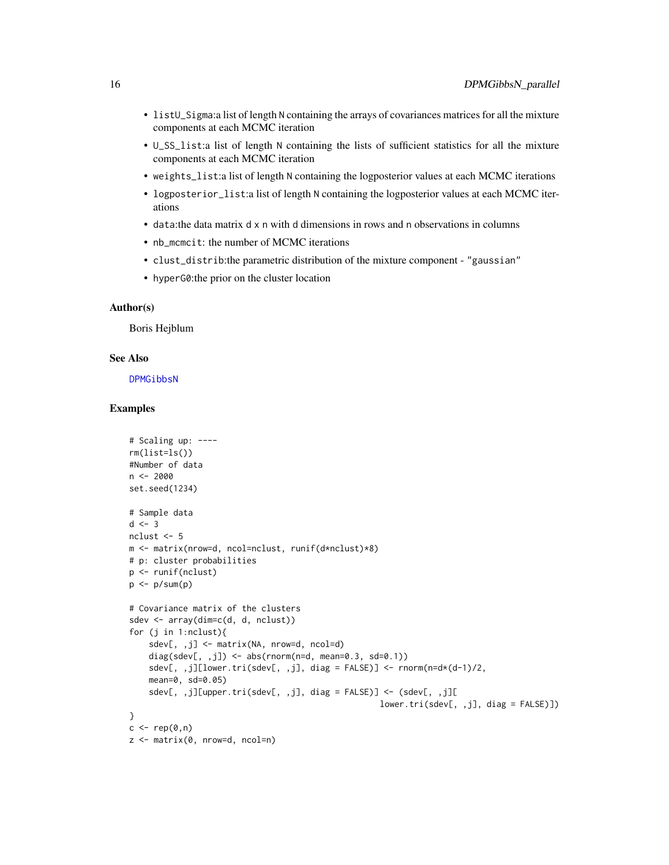- listU\_Sigma:a list of length N containing the arrays of covariances matrices for all the mixture components at each MCMC iteration
- U\_SS\_list:a list of length N containing the lists of sufficient statistics for all the mixture components at each MCMC iteration
- weights\_list:a list of length N containing the logposterior values at each MCMC iterations
- logposterior\_list:a list of length N containing the logposterior values at each MCMC iterations
- data:the data matrix d x n with d dimensions in rows and n observations in columns
- nb mcmcit: the number of MCMC iterations
- clust\_distrib:the parametric distribution of the mixture component "gaussian"
- hyperG0:the prior on the cluster location

#### Author(s)

Boris Hejblum

#### See Also

[DPMGibbsN](#page-9-1)

```
# Scaling up: ----
rm(list=ls())
#Number of data
n < -2000set.seed(1234)
# Sample data
d \le -3nclust <- 5
m <- matrix(nrow=d, ncol=nclust, runif(d*nclust)*8)
# p: cluster probabilities
p <- runif(nclust)
p \leftarrow p / sum(p)# Covariance matrix of the clusters
sdev <- array(dim=c(d, d, nclust))
for (j in 1:nclust){
    sdev[, ,j] <- matrix(NA, nrow=d, ncol=d)
    diag(sdev[, ,j]) <- abs(rnorm(n=d, mean=0.3, sd=0.1))
    sdev[, ,j][lower.tri(sdev[, ,j], diag = FALSE)] <- rnorm(n=d*(d-1)/2,
    mean=0, sd=0.05)
    sdev[, ,j][upper.tri(sdev[, ,j], diag = FALSE)] <- (sdev[, ,j][
                                                     lower.tri(sdev[, ,j], diag = FALSE)])
}
c \leftarrow rep(0, n)z <- matrix(0, nrow=d, ncol=n)
```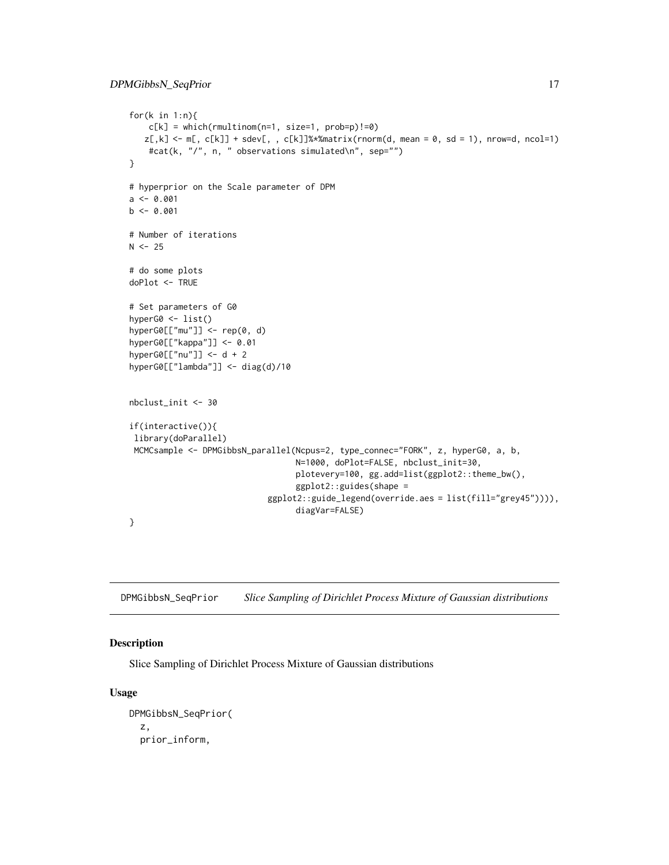```
for(k in 1:n){
    c[k] = which(rmultinom(n=1, size=1, prob=p)!=0)z[,k]\leq m[, C[k]] + sdev[,, C[k]]\<sup>*</sup>*matrix(rnorm(d, mean = 0, sd = 1), nrow=d, ncol=1)
    #cat(k, "/", n, " observations simulated\n", sep="")
}
# hyperprior on the Scale parameter of DPM
a \leftarrow 0.001b \leq -0.001# Number of iterations
N < -25# do some plots
doPlot <- TRUE
# Set parameters of G0
hyperG0 <- list()
hyperG0[["mu"]] <- rep(0, d)
hyperG0[["kappa"]] <- 0.01
hyperG0[["nu"]] <- d + 2
hyperG0[["lambda"]] <- diag(d)/10
nbclust_init <- 30
if(interactive()){
 library(doParallel)
 MCMCsample <- DPMGibbsN_parallel(Ncpus=2, type_connec="FORK", z, hyperG0, a, b,
                                   N=1000, doPlot=FALSE, nbclust_init=30,
                                   plotevery=100, gg.add=list(ggplot2::theme_bw(),
                                   ggplot2::guides(shape =
                             ggplot2::guide_legend(override.aes = list(fill="grey45")))),
                                   diagVar=FALSE)
}
```
DPMGibbsN\_SeqPrior *Slice Sampling of Dirichlet Process Mixture of Gaussian distributions*

#### Description

Slice Sampling of Dirichlet Process Mixture of Gaussian distributions

#### Usage

```
DPMGibbsN_SeqPrior(
  z,
 prior_inform,
```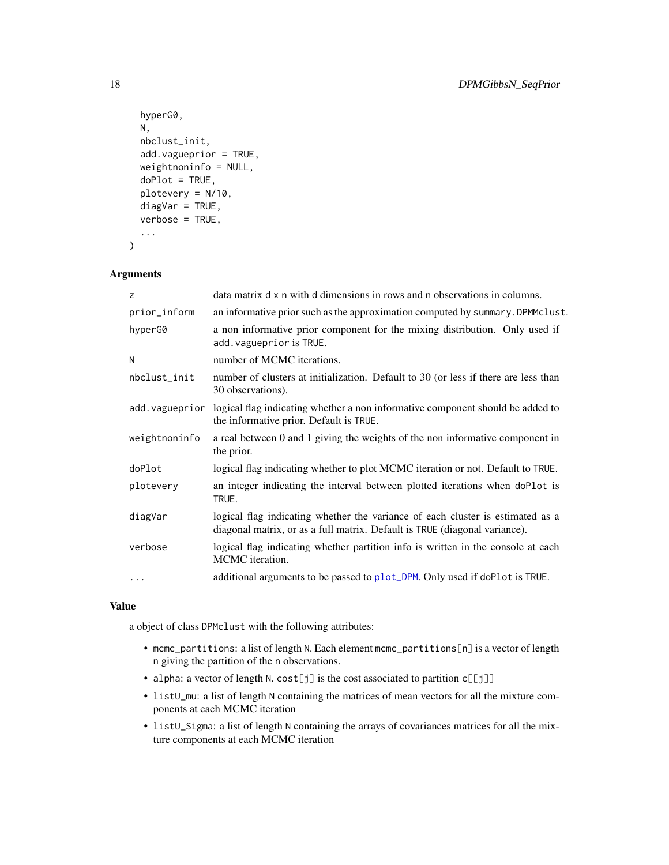```
hyperG0,
  N,
  nbclust_init,
  add.vagueprior = TRUE,
  weightnoninfo = NULL,
  doPlot = TRUE,
  plotevery = N/10,
  diagVar = TRUE,
  verbose = TRUE,
  ...
\mathcal{L}
```
#### Arguments

| z              | data matrix d x n with d dimensions in rows and n observations in columns.                                                                                   |
|----------------|--------------------------------------------------------------------------------------------------------------------------------------------------------------|
| prior_inform   | an informative prior such as the approximation computed by summary. DPMMclust.                                                                               |
| hyperG0        | a non informative prior component for the mixing distribution. Only used if<br>add. vagueprior is TRUE.                                                      |
| N              | number of MCMC iterations.                                                                                                                                   |
| nbclust_init   | number of clusters at initialization. Default to 30 (or less if there are less than<br>30 observations).                                                     |
| add.vagueprior | logical flag indicating whether a non informative component should be added to<br>the informative prior. Default is TRUE.                                    |
| weightnoninfo  | a real between 0 and 1 giving the weights of the non informative component in<br>the prior.                                                                  |
| doPlot         | logical flag indicating whether to plot MCMC iteration or not. Default to TRUE.                                                                              |
| plotevery      | an integer indicating the interval between plotted iterations when doPlot is<br>TRUE.                                                                        |
| diagVar        | logical flag indicating whether the variance of each cluster is estimated as a<br>diagonal matrix, or as a full matrix. Default is TRUE (diagonal variance). |
| verbose        | logical flag indicating whether partition info is written in the console at each<br>MCMC iteration.                                                          |
| $\cdots$       | additional arguments to be passed to plot_DPM. Only used if doPlot is TRUE.                                                                                  |

#### Value

a object of class DPMclust with the following attributes:

- mcmc\_partitions: a list of length N. Each element mcmc\_partitions[n] is a vector of length n giving the partition of the n observations.
- alpha: a vector of length N. cost[j] is the cost associated to partition c[[j]]
- listU\_mu: a list of length N containing the matrices of mean vectors for all the mixture components at each MCMC iteration
- listU\_Sigma: a list of length N containing the arrays of covariances matrices for all the mixture components at each MCMC iteration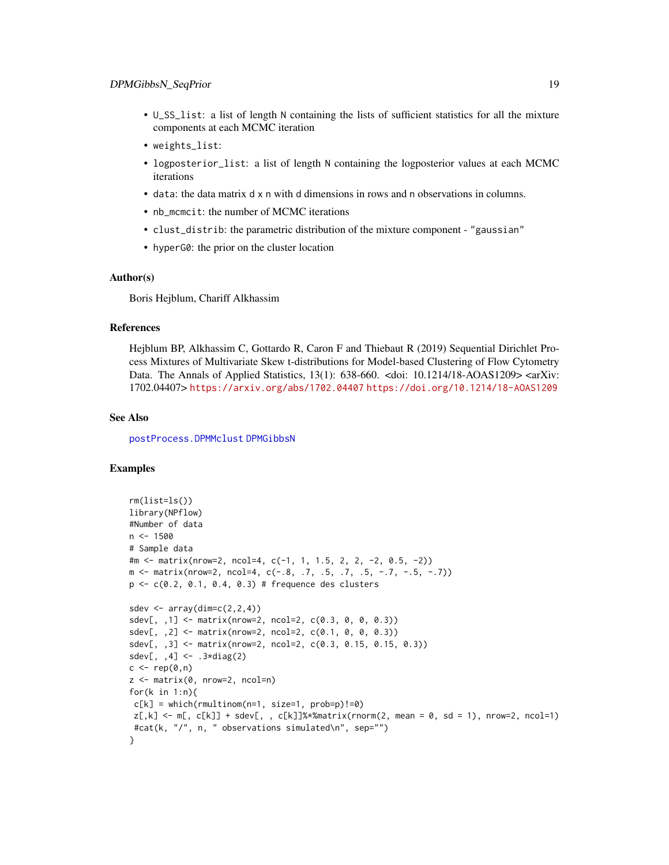- U\_SS\_list: a list of length N containing the lists of sufficient statistics for all the mixture components at each MCMC iteration
- weights\_list:
- logposterior\_list: a list of length N containing the logposterior values at each MCMC iterations
- data: the data matrix d x n with d dimensions in rows and n observations in columns.
- nb\_mcmcit: the number of MCMC iterations
- clust\_distrib: the parametric distribution of the mixture component "gaussian"
- hyperG0: the prior on the cluster location

#### Author(s)

Boris Hejblum, Chariff Alkhassim

#### References

Hejblum BP, Alkhassim C, Gottardo R, Caron F and Thiebaut R (2019) Sequential Dirichlet Process Mixtures of Multivariate Skew t-distributions for Model-based Clustering of Flow Cytometry Data. The Annals of Applied Statistics,  $13(1)$ :  $638-660$ . <doi:  $10.1214/18$ -AOAS1209> <arXiv: 1702.04407> <https://arxiv.org/abs/1702.04407> <https://doi.org/10.1214/18-AOAS1209>

#### See Also

[postProcess.DPMMclust](#page-85-1) [DPMGibbsN](#page-9-1)

```
rm(list=ls())
library(NPflow)
#Number of data
n < -1500# Sample data
#m <- matrix(nrow=2, ncol=4, c(-1, 1, 1.5, 2, 2, -2, 0.5, -2))
m <- matrix(nrow=2, ncol=4, c(-.8, .7, .5, .7, .5, -.7, -.5, -.7))
p \leq c(0.2, 0.1, 0.4, 0.3) # frequence des clusters
sdev \leq array(dim=c(2,2,4))
sdev[, ,1] <- matrix(nrow=2, ncol=2, c(0.3, 0, 0, 0.3))
sdev[,, 2] <- matrix(nrow=2, ncol=2, c(0.1, 0, 0, 0.3))
sdev[, ,3] <- matrix(nrow=2, ncol=2, c(0.3, 0.15, 0.15, 0.3))
sdev[, , 4] <- .3 \star diag(2)c \leq -\operatorname{rep}(\emptyset, n)z <- matrix(0, nrow=2, ncol=n)
for(k in 1:n){
c[k] = which(rmultinom(n=1, size=1, probe=p)!=0)z[, k] \le m[, c[k]] + sdev[, , c[k]]\ * * matrix(rnorm(2, mean = 0, sd = 1), nrow=2, ncol=1)
#cat(k, "/", n, " observations simulated\n", sep="")
}
```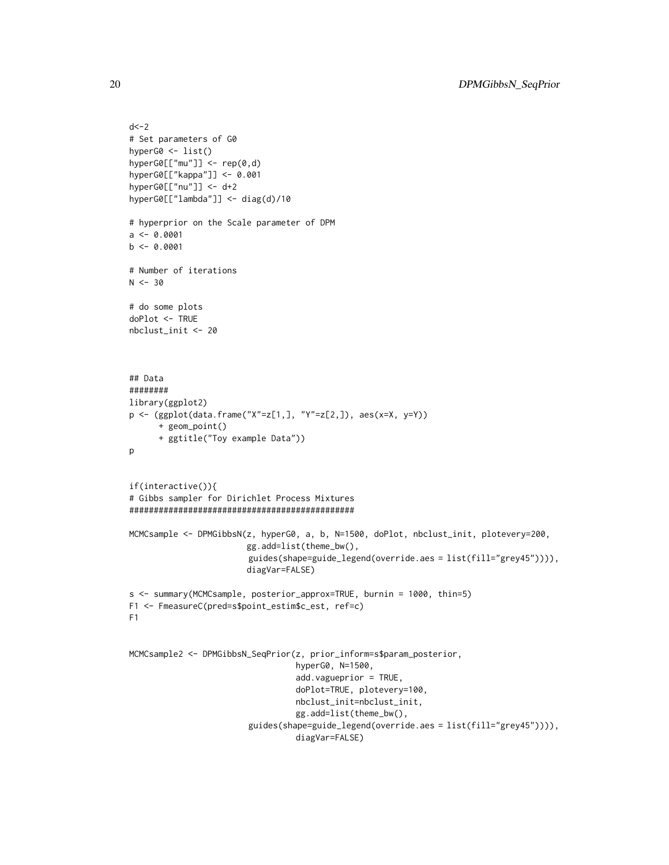```
d < -2# Set parameters of G0
hyperG0 <- list()
hyperG0[["mu"]] <- rep(0,d)
hyperG0[["kappa"]] <- 0.001
hyperG0[["nu"]] <- d+2
hyperG0[["lambda"]] <- diag(d)/10
# hyperprior on the Scale parameter of DPM
a \leftarrow 0.0001b \leq -0.0001# Number of iterations
N < -30# do some plots
doPlot <- TRUE
nbclust_init <- 20
## Data
########
library(ggplot2)
p <- (ggplot(data.frame("X"=z[1,], "Y"=z[2,]), aes(x=X, y=Y))
      + geom_point()
      + ggtitle("Toy example Data"))
p
if(interactive()){
# Gibbs sampler for Dirichlet Process Mixtures
##############################################
MCMCsample <- DPMGibbsN(z, hyperG0, a, b, N=1500, doPlot, nbclust_init, plotevery=200,
                        gg.add=list(theme_bw(),
                         guides(shape=guide_legend(override.aes = list(fill="grey45")))),
                        diagVar=FALSE)
s <- summary(MCMCsample, posterior_approx=TRUE, burnin = 1000, thin=5)
F1 <- FmeasureC(pred=s$point_estim$c_est, ref=c)
F1
MCMCsample2 <- DPMGibbsN_SeqPrior(z, prior_inform=s$param_posterior,
                                  hyperG0, N=1500,
                                  add.vagueprior = TRUE,
                                  doPlot=TRUE, plotevery=100,
                                  nbclust_init=nbclust_init,
                                  gg.add=list(theme_bw(),
                         guides(shape=guide_legend(override.aes = list(fill="grey45")))),
                                  diagVar=FALSE)
```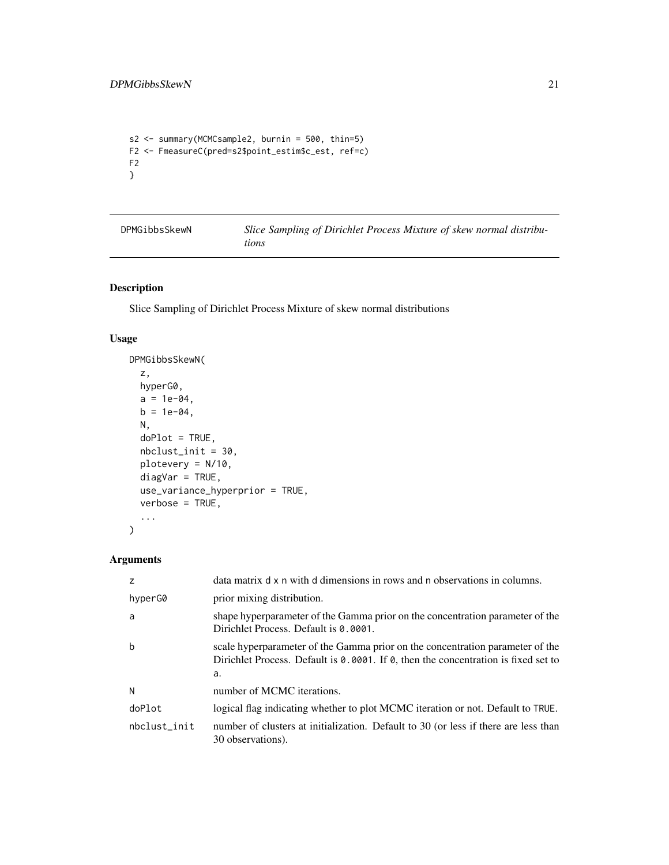```
s2 <- summary(MCMCsample2, burnin = 500, thin=5)
F2 <- FmeasureC(pred=s2$point_estim$c_est, ref=c)
F2
}
```

| DPMGibbsSkewN | Slice Sampling of Dirichlet Process Mixture of skew normal distribu- |
|---------------|----------------------------------------------------------------------|
|               | tions                                                                |

#### Description

Slice Sampling of Dirichlet Process Mixture of skew normal distributions

#### Usage

```
DPMGibbsSkewN(
  z,
 hyperG0,
 a = 1e-04,
 b = 1e-04,
 N,
 doPlot = TRUE,
 nbclust_init = 30,
 plotevery = N/10,
 diagVar = TRUE,
 use_variance_hyperprior = TRUE,
  verbose = TRUE,
  ...
)
```

| $\overline{z}$ | data matrix d x n with d dimensions in rows and n observations in columns.                                                                                                                 |
|----------------|--------------------------------------------------------------------------------------------------------------------------------------------------------------------------------------------|
| hyperG0        | prior mixing distribution.                                                                                                                                                                 |
| a              | shape hyperparameter of the Gamma prior on the concentration parameter of the<br>Dirichlet Process. Default is 0.0001.                                                                     |
| b              | scale hyperparameter of the Gamma prior on the concentration parameter of the<br>Dirichlet Process. Default is $\theta$ . 0001. If $\theta$ , then the concentration is fixed set to<br>a. |
| N              | number of MCMC iterations.                                                                                                                                                                 |
| doPlot         | logical flag indicating whether to plot MCMC iteration or not. Default to TRUE.                                                                                                            |
| nbclust init   | number of clusters at initialization. Default to 30 (or less if there are less than<br>30 observations).                                                                                   |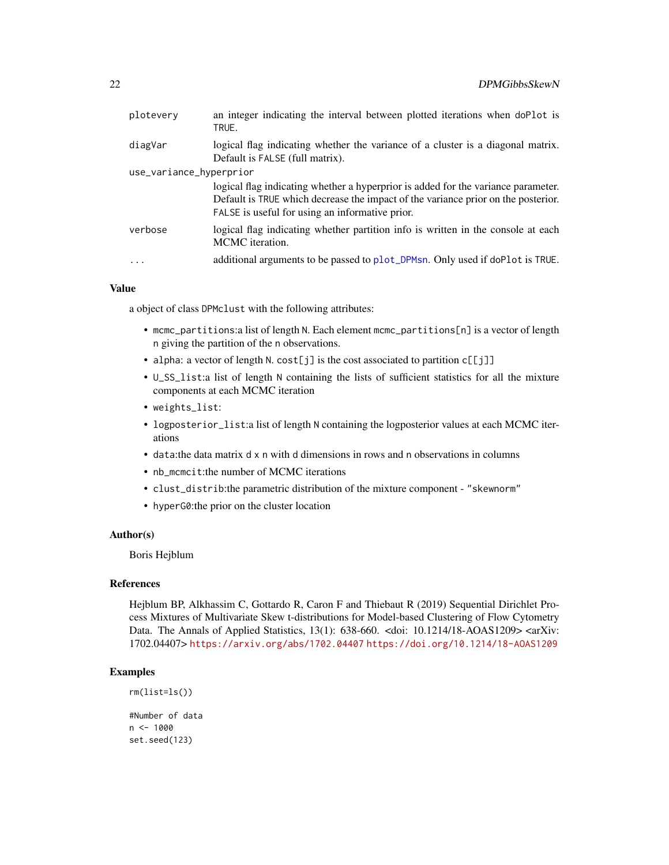| diagVar<br>Default is FALSE (full matrix).<br>use_variance_hyperprior<br>FALSE is useful for using an informative prior.<br>verbose<br>MCMC iteration.<br>$\ddots$ | plotevery | an integer indicating the interval between plotted iterations when doPlot is<br>TRUE.                                                                                  |
|--------------------------------------------------------------------------------------------------------------------------------------------------------------------|-----------|------------------------------------------------------------------------------------------------------------------------------------------------------------------------|
|                                                                                                                                                                    |           | logical flag indicating whether the variance of a cluster is a diagonal matrix.                                                                                        |
|                                                                                                                                                                    |           |                                                                                                                                                                        |
|                                                                                                                                                                    |           | logical flag indicating whether a hyperprior is added for the variance parameter.<br>Default is TRUE which decrease the impact of the variance prior on the posterior. |
|                                                                                                                                                                    |           | logical flag indicating whether partition info is written in the console at each                                                                                       |
|                                                                                                                                                                    |           | additional arguments to be passed to plot_DPMsn. Only used if doPlot is TRUE.                                                                                          |

a object of class DPMclust with the following attributes:

- mcmc\_partitions:a list of length N. Each element mcmc\_partitions[n] is a vector of length n giving the partition of the n observations.
- alpha: a vector of length N. cost[j] is the cost associated to partition c[[j]]
- U\_SS\_list:a list of length N containing the lists of sufficient statistics for all the mixture components at each MCMC iteration
- weights\_list:
- logposterior\_list:a list of length N containing the logposterior values at each MCMC iterations
- data:the data matrix d x n with d dimensions in rows and n observations in columns
- nb\_mcmcit:the number of MCMC iterations
- clust\_distrib:the parametric distribution of the mixture component "skewnorm"
- hyperG0:the prior on the cluster location

#### Author(s)

Boris Hejblum

#### References

Hejblum BP, Alkhassim C, Gottardo R, Caron F and Thiebaut R (2019) Sequential Dirichlet Process Mixtures of Multivariate Skew t-distributions for Model-based Clustering of Flow Cytometry Data. The Annals of Applied Statistics, 13(1): 638-660. <doi: 10.1214/18-AOAS1209> <arXiv: 1702.04407> <https://arxiv.org/abs/1702.04407> <https://doi.org/10.1214/18-AOAS1209>

```
rm(list=ls())
#Number of data
n < - 1000set.seed(123)
```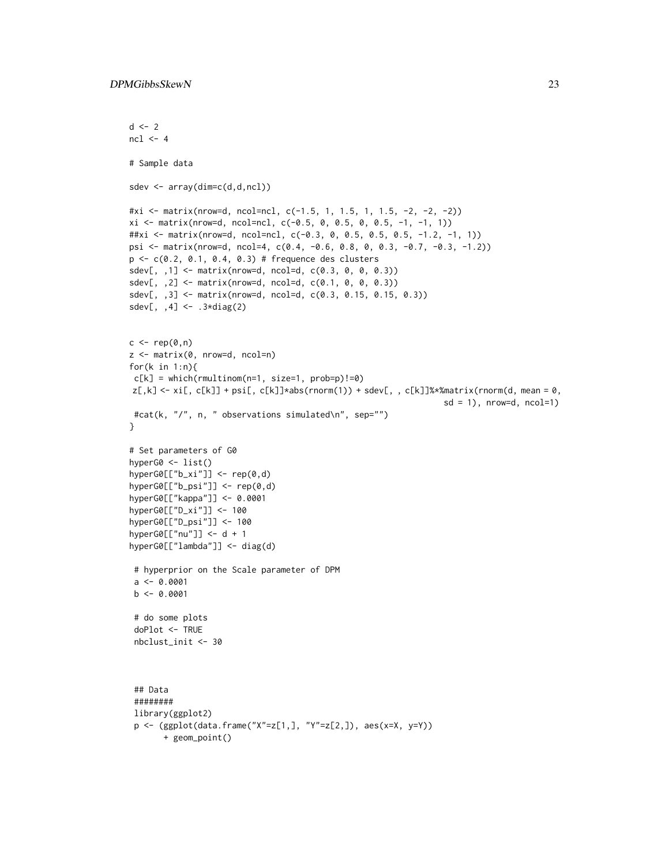```
d \le -2ncl < -4# Sample data
sdev <- array(dim=c(d,d,ncl))
#xi <- matrix(nrow=d, ncol=ncl, c(-1.5, 1, 1.5, 1, 1.5, -2, -2, -2))
xi \le matrix(nrow=d, ncol=ncl, c(-0.5, 0, 0.5, 0, 0.5, -1, -1, 1))
##xi <- matrix(nrow=d, ncol=ncl, c(-0.3, 0, 0.5, 0.5, 0.5, -1.2, -1, 1))
psi <- matrix(nrow=d, ncol=4, c(0.4, -0.6, 0.8, 0, 0.3, -0.7, -0.3, -1.2))
p <- c(0.2, 0.1, 0.4, 0.3) # frequence des clusters
sdev[,, 1] <- matrix(nrow=d, ncol=d, c(0.3, 0, 0, 0.3))
sdev[, ,2] <- matrix(nrow=d, ncol=d, c(0.1, 0, 0, 0.3))
sdev[, ,3] <- matrix(nrow=d, ncol=d, c(0.3, 0.15, 0.15, 0.3))
sdev[, ,4] <- .3*diag(2)
c \leq - rep(0,n)z <- matrix(0, nrow=d, ncol=n)
for(k in 1:n){
c[k] = which(rmultinom(n=1, size=1, prob=p)!=0)z[,k] <- xi[, c[k]] + psi[, c[k]]*abs(rnorm(1)) + sdev[, , c[k]]%*%matrix(rnorm(d, mean = 0,
                                                                 sd = 1, nrow=d, ncol=1)
 #cat(k, "/", n, " observations simulated\n", sep="")
}
# Set parameters of G0
hyperG0 <- list()
hyperG0[["b_xi"]] <- rep(0,d)
hyperG0[["b_psi"]] <- rep(0,d)
hyperG0[["kappa"]] <- 0.0001
hyperG0[["D_xi"]] <- 100
hyperG0[["D_psi"]] <- 100
hyperG0[["nu"]] <- d + 1
hyperG0[["lambda"]] <- diag(d)
 # hyperprior on the Scale parameter of DPM
 a \leftarrow 0.0001b \le -0.0001# do some plots
 doPlot <- TRUE
 nbclust_init <- 30
 ## Data
 ########
 library(ggplot2)
 p <- (ggplot(data.frame("X"=z[1,], "Y"=z[2,]), aes(x=X, y=Y))
```

```
+ geom_point()
```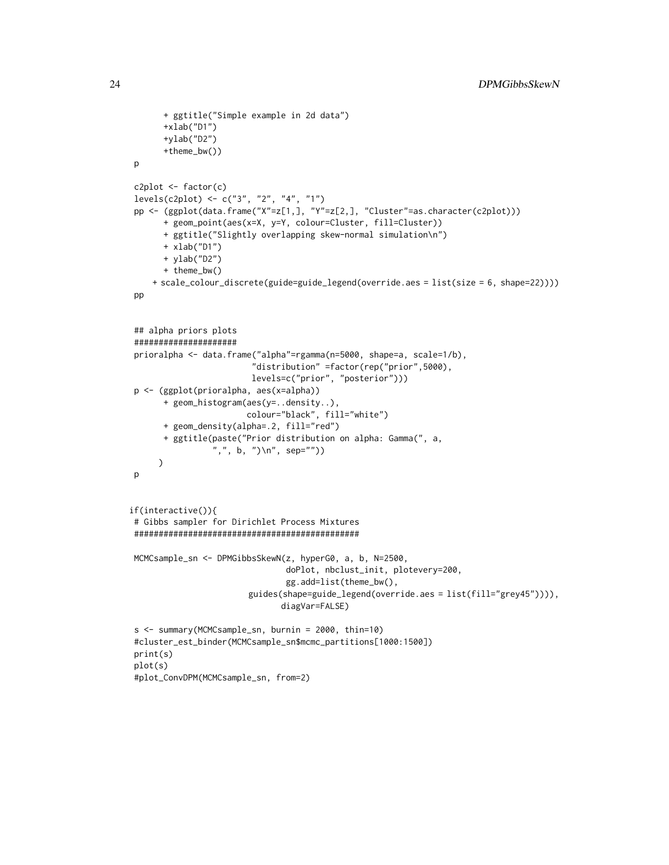```
+ ggtitle("Simple example in 2d data")
      +xlab("D1")
      +ylab("D2")
      +theme_bw())
p
c2plot <- factor(c)
levels(c2plot) <- c("3", "2", "4", "1")
pp <- (ggplot(data, frame('X''=z[1,], 'Y''=z[2,], 'Cluster''=as.charAtacter(c2plot)))+ geom_point(aes(x=X, y=Y, colour=Cluster, fill=Cluster))
      + ggtitle("Slightly overlapping skew-normal simulation\n")
      + xlab("D1")
      + ylab("D2")
      + theme_bw()
    + scale_colour_discrete(guide=guide_legend(override.aes = list(size = 6, shape=22))))
pp
## alpha priors plots
#####################
prioralpha <- data.frame("alpha"=rgamma(n=5000, shape=a, scale=1/b),
                         "distribution" =factor(rep("prior",5000),
                         levels=c("prior", "posterior")))
p <- (ggplot(prioralpha, aes(x=alpha))
      + geom_histogram(aes(y=..density..),
                        colour="black", fill="white")
      + geom_density(alpha=.2, fill="red")
      + ggtitle(paste("Prior distribution on alpha: Gamma(", a,
                 ",", b, ")\n", sep=""))
     )
p
if(interactive()){
# Gibbs sampler for Dirichlet Process Mixtures
##############################################
MCMCsample_sn <- DPMGibbsSkewN(z, hyperG0, a, b, N=2500,
                                doPlot, nbclust_init, plotevery=200,
                                gg.add=list(theme_bw(),
                        guides(shape=guide_legend(override.aes = list(fill="grey45")))),
                               diagVar=FALSE)
s <- summary(MCMCsample_sn, burnin = 2000, thin=10)
#cluster_est_binder(MCMCsample_sn$mcmc_partitions[1000:1500])
print(s)
plot(s)
#plot_ConvDPM(MCMCsample_sn, from=2)
```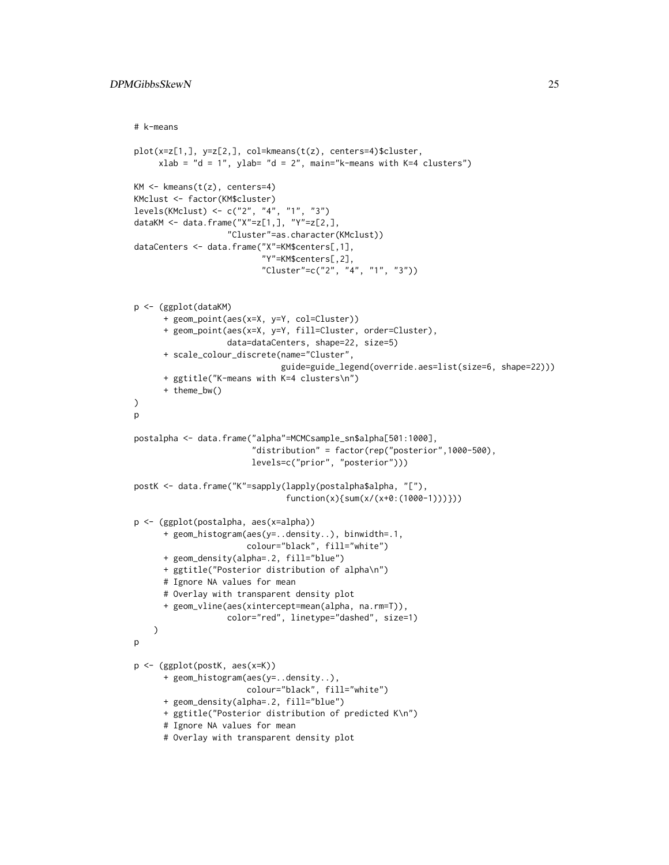```
# k-means
plot(x=z[1,], y=z[2,], col=kmeans(t(z), centers=4)$cluster,
     xlab = "d = 1", ylab= "d = 2", main="k-means with K=4 clusters")
KM \leftarrow kmeans(t(z), centers=4)
KMclust <- factor(KM$cluster)
levels(KMclust) <- c("2", "4", "1", "3")
dataKM <- data.frame("X"=z[1,], "Y"=z[2,],
                   "Cluster"=as.character(KMclust))
dataCenters <- data.frame("X"=KM$centers[,1],
                          "Y"=KM$centers[,2],
                          "Cluster"=c("2", "4", "1", "3"))
p <- (ggplot(dataKM)
      + geom_point(aes(x=X, y=Y, col=Cluster))
      + geom_point(aes(x=X, y=Y, fill=Cluster, order=Cluster),
                   data=dataCenters, shape=22, size=5)
      + scale_colour_discrete(name="Cluster",
                              guide=guide_legend(override.aes=list(size=6, shape=22)))
      + ggtitle("K-means with K=4 clusters\n")
      + theme_bw()
)
p
postalpha <- data.frame("alpha"=MCMCsample_sn$alpha[501:1000],
                        "distribution" = factor(rep("posterior",1000-500),
                        levels=c("prior", "posterior")))
postK <- data.frame("K"=sapply(lapply(postalpha$alpha, "["),
                               function(x){sum(x/(x+0:(1000-1)))}))
p <- (ggplot(postalpha, aes(x=alpha))
      + geom_histogram(aes(y=..density..), binwidth=.1,
                       colour="black", fill="white")
      + geom_density(alpha=.2, fill="blue")
      + ggtitle("Posterior distribution of alpha\n")
      # Ignore NA values for mean
      # Overlay with transparent density plot
      + geom_vline(aes(xintercept=mean(alpha, na.rm=T)),
                   color="red", linetype="dashed", size=1)
    )
p
p <- (ggplot(postK, aes(x=K))
      + geom_histogram(aes(y=..density..),
                       colour="black", fill="white")
      + geom_density(alpha=.2, fill="blue")
      + ggtitle("Posterior distribution of predicted K\n")
      # Ignore NA values for mean
      # Overlay with transparent density plot
```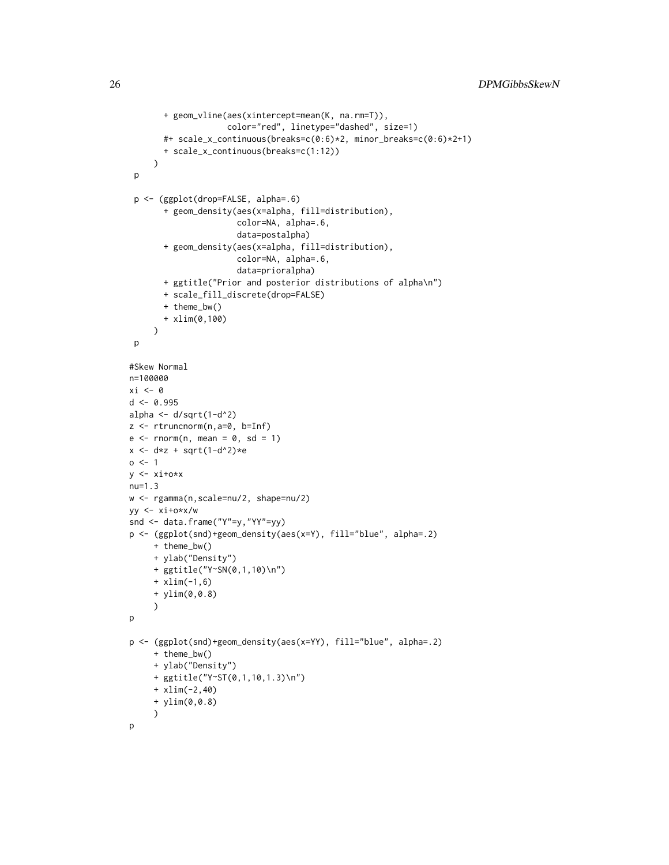```
+ geom_vline(aes(xintercept=mean(K, na.rm=T)),
                     color="red", linetype="dashed", size=1)
       #+ scale_x_continuous(breaks=c(0:6)*2, minor_breaks=c(0:6)*2+1)
       + scale_x_continuous(breaks=c(1:12))
     )
 p
 p <- (ggplot(drop=FALSE, alpha=.6)
       + geom_density(aes(x=alpha, fill=distribution),
                       color=NA, alpha=.6,
                       data=postalpha)
       + geom_density(aes(x=alpha, fill=distribution),
                       color=NA, alpha=.6,
                       data=prioralpha)
       + ggtitle("Prior and posterior distributions of alpha\n")
       + scale_fill_discrete(drop=FALSE)
       + theme_bw()
       + xlim(0,100)
     )
 p
#Skew Normal
n=100000
xi \leftarrow 0d <- 0.995
alpha \leftarrow d/sqrt(1-d^2)
z \le rtruncnorm(n, a=0, b=Inf)
e \le -rnorm(n, mean = 0, sd = 1)x \leftarrow d * z + sqrt(1-d^2) * eo \le -1y \leftarrow xi+o*x
nu=1.3
w <- rgamma(n,scale=nu/2, shape=nu/2)
yy <- xi+o*x/w
snd <- data.frame("Y"=y,"YY"=yy)
p <- (ggplot(snd)+geom_density(aes(x=Y), fill="blue", alpha=.2)
     + theme_bw()
     + ylab("Density")
     + ggtitle("Y~SN(0,1,10)\n")
     + xlim(-1,6)
     + ylim(0,0.8)
     )
p
p <- (ggplot(snd)+geom_density(aes(x=YY), fill="blue", alpha=.2)
     + theme_bw()
     + ylab("Density")
     + ggtitle("Y~ST(0,1,10,1.3)\n")
     + xlim(-2,40)
     + ylim(0,0.8)
     )
p
```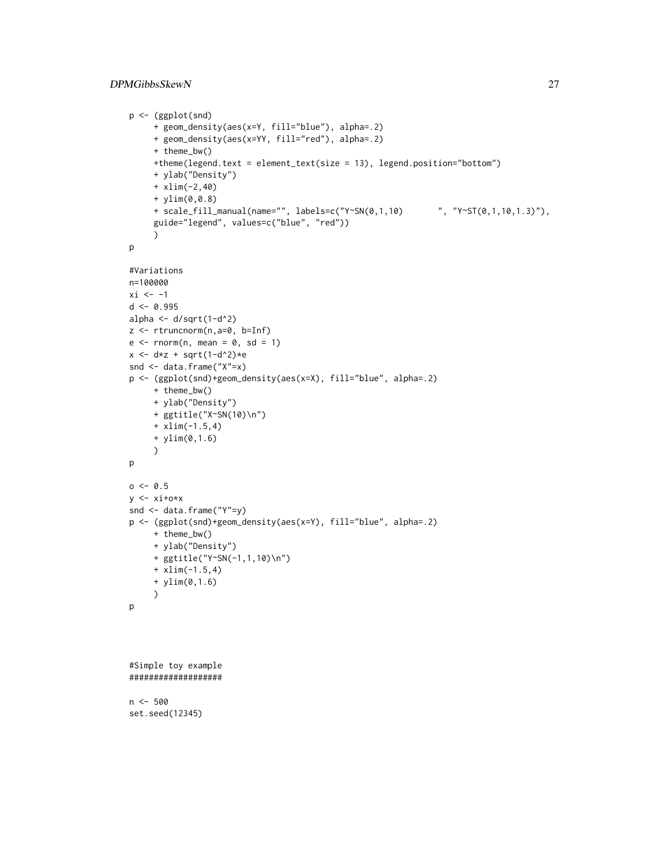#### DPMGibbsSkewN 27

```
p <- (ggplot(snd)
     + geom_density(aes(x=Y, fill="blue"), alpha=.2)
     + geom_density(aes(x=YY, fill="red"), alpha=.2)
     + theme_bw()
     +theme(legend.text = element_text(size = 13), legend.position="bottom")
     + ylab("Density")
     + xlim(-2,40)
     + ylim(0,0.8)
     + scale_fill_manual(name="", labels=c("Y~SN(0,1,10) ", "Y~ST(0,1,10,1.3)"),
     guide="legend", values=c("blue", "red"))
     )
p
#Variations
n=100000
xi < -1d < -0.995alpha \leftarrow d/sqrt(1-d^2)
z <- rtruncnorm(n,a=0, b=Inf)
e \leq -rnorm(n, mean = 0, sd = 1)x \leftarrow d * z + sqrt(1-d^2) * esnd <- data.frame("X"=x)
p <- (ggplot(snd)+geom_density(aes(x=X), fill="blue", alpha=.2)
     + theme_bw()
     + ylab("Density")
     + ggtitle("X~SN(10)\n")
     + xlim(-1.5,4)
     + ylim(0,1.6)
     )
p
o < -0.5y \leftarrow xi+o*x
snd <- data.frame("Y"=y)
p <- (ggplot(snd)+geom_density(aes(x=Y), fill="blue", alpha=.2)
     + theme_bw()
     + ylab("Density")
     + ggtitle("Y~SN(-1,1,10)\n")
     + xlim(-1.5,4)
     + ylim(0,1.6)
     )
p
```

```
#Simple toy example
###################
```
 $n < -500$ set.seed(12345)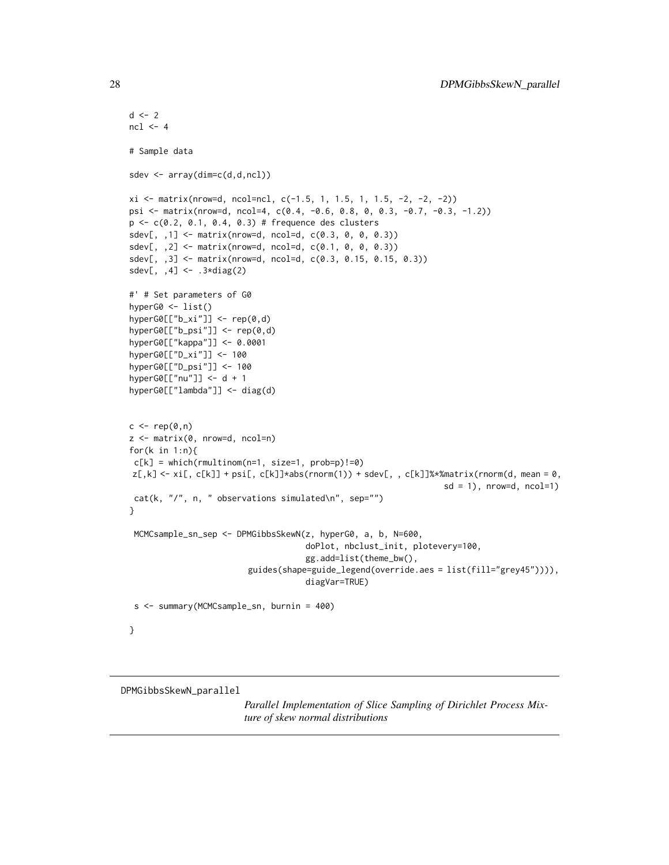```
d \leq -2ncl < -4# Sample data
sdev <- array(dim=c(d,d,ncl))
xi <- matrix(nrow=d, ncol=ncl, c(-1.5, 1, 1.5, 1, 1.5, -2, -2, -2))
psi <- matrix(nrow=d, ncol=4, c(0.4, -0.6, 0.8, 0, 0.3, -0.7, -0.3, -1.2))
p <- c(0.2, 0.1, 0.4, 0.3) # frequence des clusters
sdev[,, ,1] <- matrix(nrow=d, ncol=d, c(0.3, 0, 0, 0.3))
sdev[,, 2] <- matrix(nrow=d, ncol=d, c(0.1, 0, 0, 0.3))
sdev[, ,3] <- matrix(nrow=d, ncol=d, c(0.3, 0.15, 0.15, 0.3))
sdev[, ,4] <- .3*diag(2)
#' # Set parameters of G0
hyperG0 <- list()
hyperG0[["b_xi"]] <- rep(0,d)
hyperG0[["b_psi"]] <- rep(0,d)
hyperG0[["kappa"]] <- 0.0001
hyperG0[["D_xi"]] <- 100
hyperG0[["D_psi"]] <- 100
hyperG0[["nu"]] <- d + 1
hyperG0[["lambda"]] <- diag(d)
c \leftarrow rep(\emptyset, n)z <- matrix(0, nrow=d, ncol=n)
for(k in 1:n){
c[k] = which(rmultinom(n=1, size=1, prob=p)!=0)
z[,k]\leftarrow xif, c[k]] + psi[, c[k]]*abs(rnorm(1)) + sdev[, c[k]]\times xmantrix(rnorm(d, mean = 0,sd = 1, nrow=d, ncol=1)
cat(k, ",'", n, " observations simulated\n'\n", sep="")}
 MCMCsample_sn_sep <- DPMGibbsSkewN(z, hyperG0, a, b, N=600,
                                     doPlot, nbclust_init, plotevery=100,
                                     gg.add=list(theme_bw(),
                         guides(shape=guide_legend(override.aes = list(fill="grey45")))),
                                     diagVar=TRUE)
 s <- summary(MCMCsample_sn, burnin = 400)
}
```
DPMGibbsSkewN\_parallel

*Parallel Implementation of Slice Sampling of Dirichlet Process Mixture of skew normal distributions*

<span id="page-27-0"></span>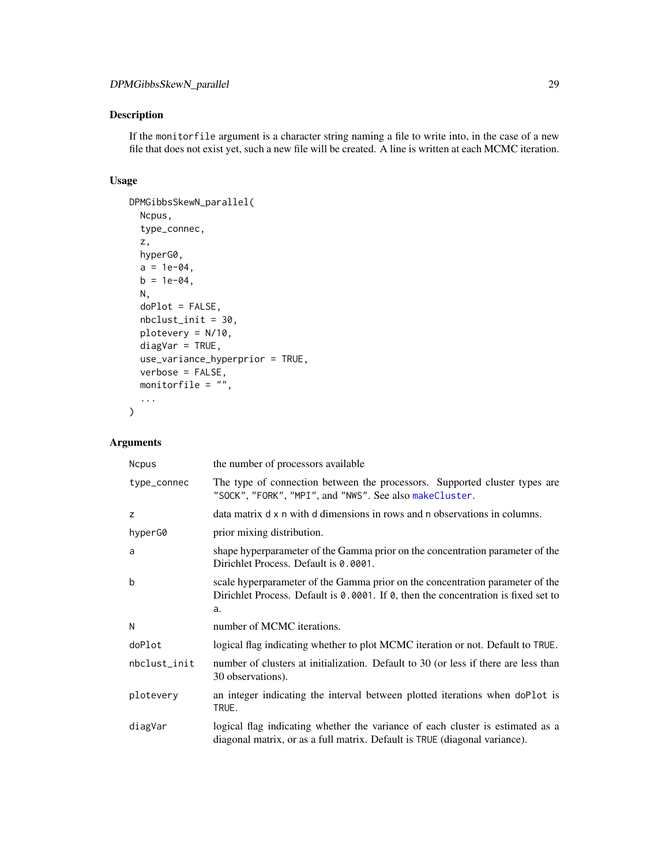#### Description

If the monitorfile argument is a character string naming a file to write into, in the case of a new file that does not exist yet, such a new file will be created. A line is written at each MCMC iteration.

#### Usage

```
DPMGibbsSkewN_parallel(
 Ncpus,
  type_connec,
 z,
 hyperG0,
 a = 1e-04,
 b = 1e-04,
 N,
  doPlot = FALSE,
 nbclust_init = 30,
 plotevery = N/10,
 diagVar = TRUE,
 use_variance_hyperprior = TRUE,
  verbose = FALSE,
 monitorfile = ",
  ...
\mathcal{L}
```

| <b>Ncpus</b> | the number of processors available                                                                                                                                        |
|--------------|---------------------------------------------------------------------------------------------------------------------------------------------------------------------------|
| type_connec  | The type of connection between the processors. Supported cluster types are<br>"SOCK", "FORK", "MPI", and "NWS". See also makeCluster.                                     |
| z            | data matrix d x n with d dimensions in rows and n observations in columns.                                                                                                |
| hyperG0      | prior mixing distribution.                                                                                                                                                |
| a            | shape hyperparameter of the Gamma prior on the concentration parameter of the<br>Dirichlet Process. Default is 0.0001.                                                    |
| b            | scale hyperparameter of the Gamma prior on the concentration parameter of the<br>Dirichlet Process. Default is 0.0001. If 0, then the concentration is fixed set to<br>a. |
| N            | number of MCMC iterations.                                                                                                                                                |
| doPlot       | logical flag indicating whether to plot MCMC iteration or not. Default to TRUE.                                                                                           |
| nbclust_init | number of clusters at initialization. Default to 30 (or less if there are less than<br>30 observations).                                                                  |
| plotevery    | an integer indicating the interval between plotted iterations when doPlot is<br>TRUE.                                                                                     |
| diagVar      | logical flag indicating whether the variance of each cluster is estimated as a<br>diagonal matrix, or as a full matrix. Default is TRUE (diagonal variance).              |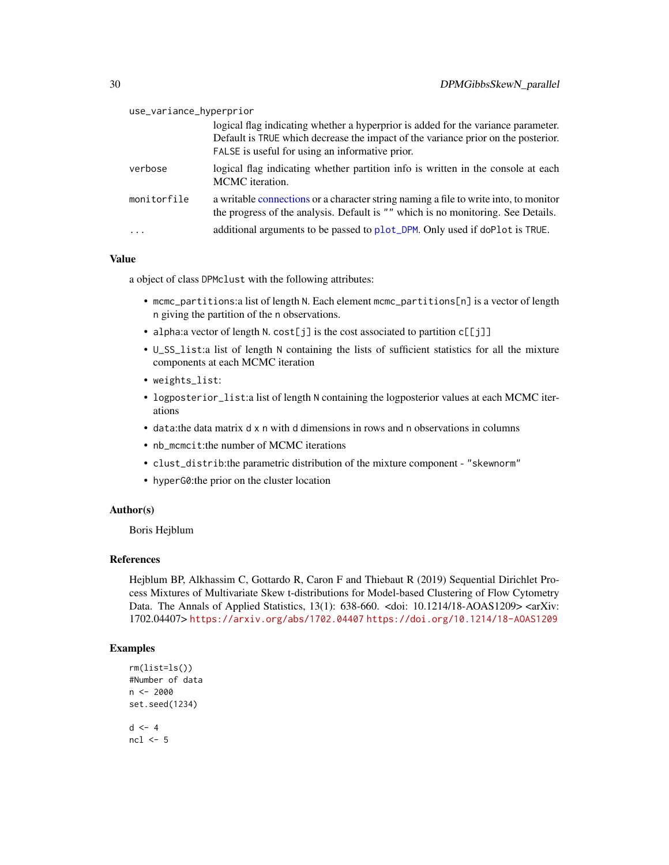| use_variance_hyperprior |                                                                                                                                                                                                                           |
|-------------------------|---------------------------------------------------------------------------------------------------------------------------------------------------------------------------------------------------------------------------|
|                         | logical flag indicating whether a hyperprior is added for the variance parameter.<br>Default is TRUE which decrease the impact of the variance prior on the posterior.<br>FALSE is useful for using an informative prior. |
| verbose                 | logical flag indicating whether partition info is written in the console at each<br>MCMC iteration.                                                                                                                       |
| monitorfile             | a writable connections or a character string naming a file to write into, to monitor<br>the progress of the analysis. Default is "" which is no monitoring. See Details.                                                  |
| .                       | additional arguments to be passed to plot_DPM. Only used if doPlot is TRUE.                                                                                                                                               |

a object of class DPMclust with the following attributes:

- mcmc\_partitions:a list of length N. Each element mcmc\_partitions[n] is a vector of length n giving the partition of the n observations.
- alpha:a vector of length N. cost[j] is the cost associated to partition c[[j]]
- U\_SS\_list:a list of length N containing the lists of sufficient statistics for all the mixture components at each MCMC iteration
- weights\_list:
- logposterior\_list:a list of length N containing the logposterior values at each MCMC iterations
- data:the data matrix d x n with d dimensions in rows and n observations in columns
- nb\_mcmcit:the number of MCMC iterations
- clust\_distrib:the parametric distribution of the mixture component "skewnorm"
- hyperG0:the prior on the cluster location

#### Author(s)

Boris Hejblum

#### References

Hejblum BP, Alkhassim C, Gottardo R, Caron F and Thiebaut R (2019) Sequential Dirichlet Process Mixtures of Multivariate Skew t-distributions for Model-based Clustering of Flow Cytometry Data. The Annals of Applied Statistics, 13(1): 638-660. <doi: 10.1214/18-AOAS1209> <arXiv: 1702.04407> <https://arxiv.org/abs/1702.04407> <https://doi.org/10.1214/18-AOAS1209>

```
rm(list=ls())
#Number of data
n <- 2000
set.seed(1234)
d \leq -4ncl < -5
```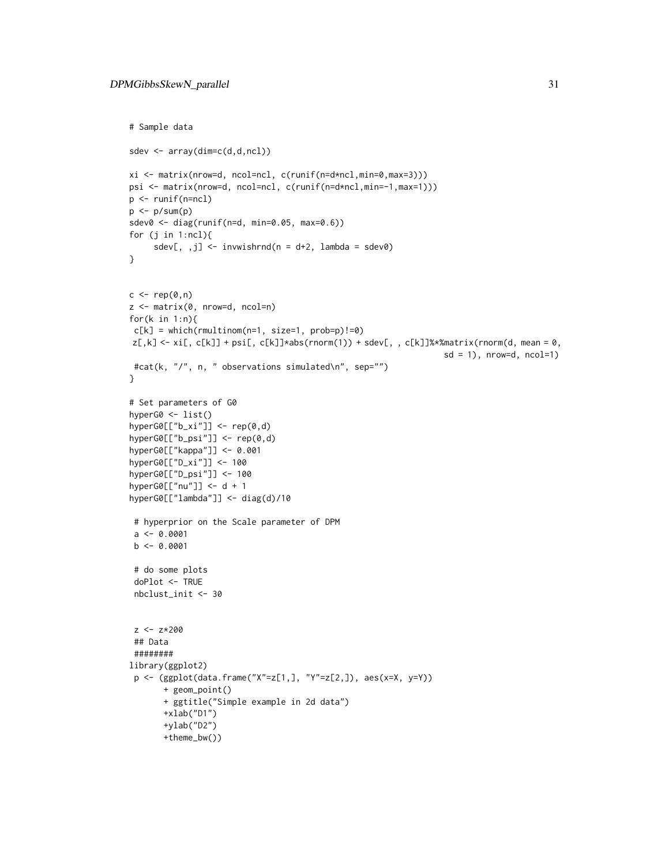```
# Sample data
sdev <- array(dim=c(d,d,ncl))
xi <- matrix(nrow=d, ncol=ncl, c(runif(n=d*ncl,min=0,max=3)))
psi <- matrix(nrow=d, ncol=ncl, c(runif(n=d*ncl,min=-1,max=1)))
p <- runif(n=ncl)
p \leftarrow p/sum(p)sdev0 <- diag(runif(n=d, min=0.05, max=0.6))
for (j in 1:ncl){
     sdev[, ,j] <- invwishrnd(n = d+2, lambda = sdev0)
}
c \leq - rep(0,n)z <- matrix(0, nrow=d, ncol=n)
for(k in 1:n){
c[k] = which(rmultinom(n=1, size=1, prob=p)!=0)z[,k]\leftarrow xif, c[k]] + psi[, c[k]]*abs(rnorm(1)) + sdev[, c[k]]\times xmantrix(rnorm(d, mean = 0,sd = 1), nrow=d, ncol=1)
 #cat(k, "/", n, " observations simulated\n", sep="")
}
# Set parameters of G0
hyperG0 <- list()
hyperG@[["b_xi"]] < - rep(0,d)hyperG0[["b_psi"]] <- rep(0,d)
hyperG0[["kappa"]] <- 0.001
hyperG0[["D_xi"]] <- 100
hyperG0[["D_psi"]] <- 100
hyperG0[["nu"]] <- d + 1
hyperG0[["lambda"]] <- diag(d)/10
 # hyperprior on the Scale parameter of DPM
 a \leftarrow 0.0001b \leq -0.0001# do some plots
 doPlot <- TRUE
 nbclust_init <- 30
 z < -z*200## Data
 ########
library(ggplot2)
 p <- (ggplot(data.frame("X"=z[1,], "Y"=z[2,]), aes(x=X, y=Y))
       + geom_point()
       + ggtitle("Simple example in 2d data")
       +xlab("D1")
       +ylab("D2")
       +theme_bw())
```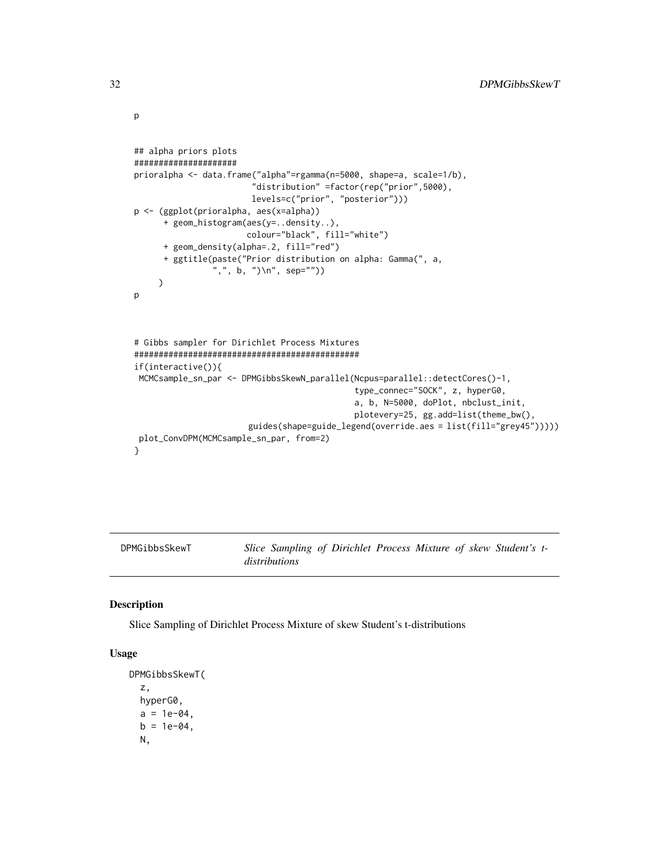```
## alpha priors plots
#####################
prioralpha <- data.frame("alpha"=rgamma(n=5000, shape=a, scale=1/b),
                        "distribution" =factor(rep("prior",5000),
                        levels=c("prior", "posterior")))
p <- (ggplot(prioralpha, aes(x=alpha))
      + geom_histogram(aes(y=..density..),
                       colour="black", fill="white")
      + geom_density(alpha=.2, fill="red")
      + ggtitle(paste("Prior distribution on alpha: Gamma(", a,
                ",", b, ")\n", sep=""))
     )
p
# Gibbs sampler for Dirichlet Process Mixtures
##############################################
if(interactive()){
 MCMCsample_sn_par <- DPMGibbsSkewN_parallel(Ncpus=parallel::detectCores()-1,
                                             type_connec="SOCK", z, hyperG0,
                                             a, b, N=5000, doPlot, nbclust_init,
                                             plotevery=25, gg.add=list(theme_bw(),
                       guides(shape=guide_legend(override.aes = list(fill="grey45")))))
 plot_ConvDPM(MCMCsample_sn_par, from=2)
}
```
DPMGibbsSkewT *Slice Sampling of Dirichlet Process Mixture of skew Student's tdistributions*

#### Description

Slice Sampling of Dirichlet Process Mixture of skew Student's t-distributions

#### Usage

```
DPMGibbsSkewT(
 z,
 hyperG0,
  a = 1e-04,
 b = 1e-04,
 N,
```
<span id="page-31-0"></span>p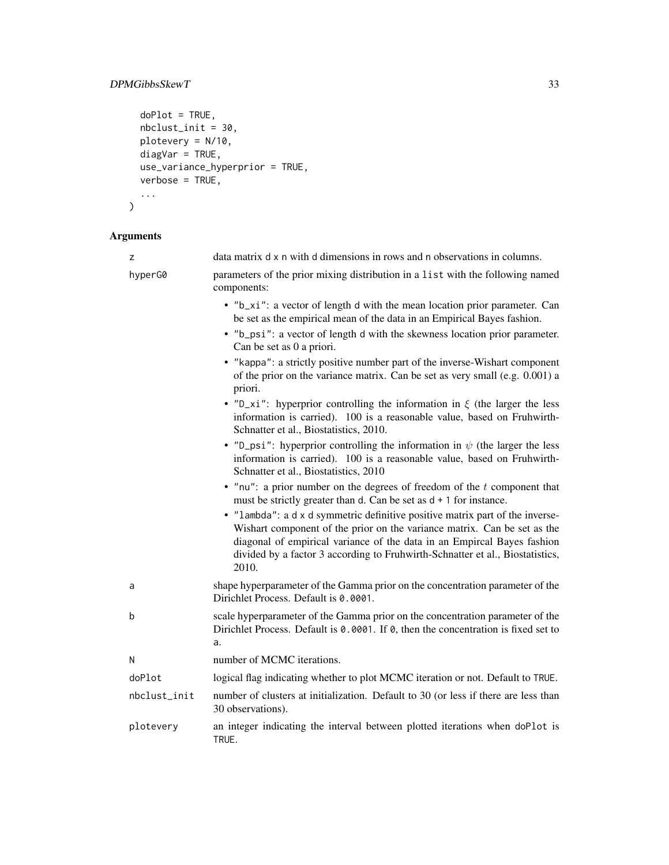#### DPMGibbsSkewT 33

```
doPlot = TRUE,
  nbclust_init = 30,
 plotevery = N/10,
  diagVar = TRUE,
 use_variance_hyperprior = TRUE,
  verbose = TRUE,
  ...
\mathcal{L}
```

| z            | data matrix d x n with d dimensions in rows and n observations in columns.                                                                                                                                                                                                                                                     |
|--------------|--------------------------------------------------------------------------------------------------------------------------------------------------------------------------------------------------------------------------------------------------------------------------------------------------------------------------------|
| hyperG0      | parameters of the prior mixing distribution in a list with the following named<br>components:                                                                                                                                                                                                                                  |
|              | • "b_xi": a vector of length d with the mean location prior parameter. Can<br>be set as the empirical mean of the data in an Empirical Bayes fashion.<br>• "b_psi": a vector of length d with the skewness location prior parameter.<br>Can be set as 0 a priori.                                                              |
|              | • "kappa": a strictly positive number part of the inverse-Wishart component<br>of the prior on the variance matrix. Can be set as very small (e.g. 0.001) a<br>priori.                                                                                                                                                         |
|              | • "D_xi": hyperprior controlling the information in $\xi$ (the larger the less<br>information is carried). 100 is a reasonable value, based on Fruhwirth-<br>Schnatter et al., Biostatistics, 2010.                                                                                                                            |
|              | • "D_psi": hyperprior controlling the information in $\psi$ (the larger the less<br>information is carried). 100 is a reasonable value, based on Fruhwirth-<br>Schnatter et al., Biostatistics, 2010                                                                                                                           |
|              | • "nu": a prior number on the degrees of freedom of the $t$ component that<br>must be strictly greater than d. Can be set as $d + 1$ for instance.                                                                                                                                                                             |
|              | • "lambda": a d x d symmetric definitive positive matrix part of the inverse-<br>Wishart component of the prior on the variance matrix. Can be set as the<br>diagonal of empirical variance of the data in an Empircal Bayes fashion<br>divided by a factor 3 according to Fruhwirth-Schnatter et al., Biostatistics,<br>2010. |
| a            | shape hyperparameter of the Gamma prior on the concentration parameter of the<br>Dirichlet Process. Default is 0.0001.                                                                                                                                                                                                         |
| b            | scale hyperparameter of the Gamma prior on the concentration parameter of the<br>Dirichlet Process. Default is 0.0001. If 0, then the concentration is fixed set to<br>a.                                                                                                                                                      |
| N            | number of MCMC iterations.                                                                                                                                                                                                                                                                                                     |
| doPlot       | logical flag indicating whether to plot MCMC iteration or not. Default to TRUE.                                                                                                                                                                                                                                                |
| nbclust_init | number of clusters at initialization. Default to 30 (or less if there are less than<br>30 observations).                                                                                                                                                                                                                       |
| plotevery    | an integer indicating the interval between plotted iterations when doPlot is<br>TRUE.                                                                                                                                                                                                                                          |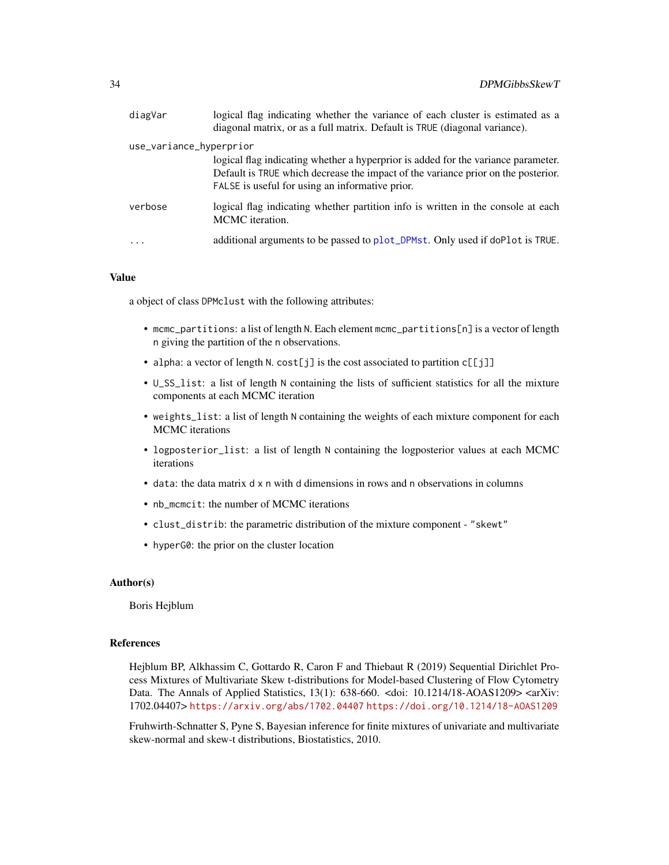| diagVar                 | logical flag indicating whether the variance of each cluster is estimated as a<br>diagonal matrix, or as a full matrix. Default is TRUE (diagonal variance).                                                              |
|-------------------------|---------------------------------------------------------------------------------------------------------------------------------------------------------------------------------------------------------------------------|
| use_variance_hyperprior |                                                                                                                                                                                                                           |
|                         | logical flag indicating whether a hyperprior is added for the variance parameter.<br>Default is TRUE which decrease the impact of the variance prior on the posterior.<br>FALSE is useful for using an informative prior. |
| verbose                 | logical flag indicating whether partition info is written in the console at each<br>MCMC iteration.                                                                                                                       |
| $\cdot$                 | additional arguments to be passed to plot_DPMst. Only used if doPlot is TRUE.                                                                                                                                             |

a object of class DPMclust with the following attributes:

- mcmc\_partitions: a list of length N. Each element mcmc\_partitions[n] is a vector of length n giving the partition of the n observations.
- alpha: a vector of length N. cost[j] is the cost associated to partition  $c[[j]]$
- U\_SS\_list: a list of length N containing the lists of sufficient statistics for all the mixture components at each MCMC iteration
- weights\_list: a list of length N containing the weights of each mixture component for each MCMC iterations
- logposterior\_list: a list of length N containing the logposterior values at each MCMC iterations
- data: the data matrix d x n with d dimensions in rows and n observations in columns
- nb\_mcmcit: the number of MCMC iterations
- clust\_distrib: the parametric distribution of the mixture component "skewt"
- hyperG0: the prior on the cluster location

#### Author(s)

Boris Hejblum

#### References

Hejblum BP, Alkhassim C, Gottardo R, Caron F and Thiebaut R (2019) Sequential Dirichlet Process Mixtures of Multivariate Skew t-distributions for Model-based Clustering of Flow Cytometry Data. The Annals of Applied Statistics, 13(1): 638-660. <doi: 10.1214/18-AOAS1209> <arXiv: 1702.04407> <https://arxiv.org/abs/1702.04407> <https://doi.org/10.1214/18-AOAS1209>

Fruhwirth-Schnatter S, Pyne S, Bayesian inference for finite mixtures of univariate and multivariate skew-normal and skew-t distributions, Biostatistics, 2010.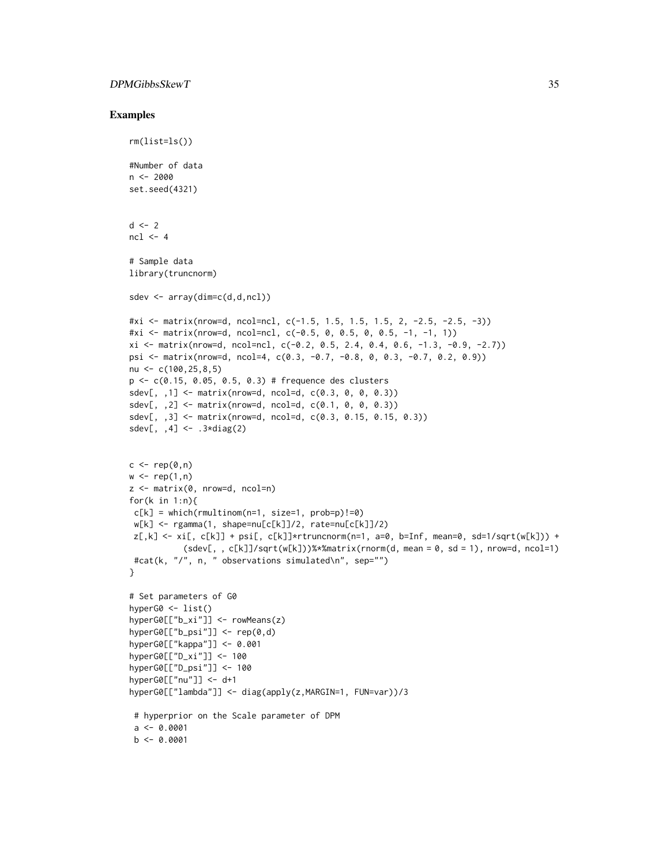#### DPMGibbsSkewT 35

```
rm(list=ls())
#Number of data
n < -2000set.seed(4321)
d \leq -2ncl \leq -4# Sample data
library(truncnorm)
sdev <- array(dim=c(d,d,ncl))
#xi <- matrix(nrow=d, ncol=ncl, c(-1.5, 1.5, 1.5, 1.5, 2, -2.5, -2.5, -3))
#xi <- matrix(nrow=d, ncol=ncl, c(-0.5, 0, 0.5, 0, 0.5, -1, -1, 1))
xi \leftarrow matrix(nrow=d, ncol=nc1, c(-0.2, 0.5, 2.4, 0.4, 0.6, -1.3, -0.9, -2.7))psi <- matrix(nrow=d, ncol=4, c(0.3, -0.7, -0.8, 0, 0.3, -0.7, 0.2, 0.9))
nu <- c(100,25,8,5)
p <- c(0.15, 0.05, 0.5, 0.3) # frequence des clusters
sdev[,, ,1] <- matrix(nrow=d, ncol=d, c(0.3, 0, 0, 0.3))
sdev[,, 2] <- matrix(nrow=d, ncol=d, c(0.1, 0, 0, 0.3))
sdev[, ,3] <- matrix(nrow=d, ncol=d, c(0.3, 0.15, 0.15, 0.3))
sdev[, , 4] <- .3 \star diag(2)c \leq -\operatorname{rep}(\emptyset, n)w \leftarrow \text{rep}(1, n)z <- matrix(0, nrow=d, ncol=n)
for(k in 1:n)\{c[k] = which(rmultinom(n=1, size=1, probe=p)!=0)w[k] <- rgamma(1, shape=nu[c[k]]/2, rate=nu[c[k]]/2)
z[,k] \leftarrow xi[, c[k]] + psi[, c[k]]*trunconorm(n=1, a=0, b=Inf, mean=0, sd=1/sqrt(w[k])) +(sdev[, , c[k]]/sqrt(w[k]))%*%matrix(rnorm(d, mean = 0, sd = 1), nrow=d, ncol=1)
 #cat(k, "/", n, " observations simulated\n", sep="")
}
# Set parameters of G0
hyperG0 <- list()
hyperG0[["b_xi"]] <- rowMeans(z)
hyperG0[["b_psi"]] <- rep(0,d)
hyperG0[["kappa"]] <- 0.001
hyperG0[["D_xi"]] <- 100
hyperG0[["D_psi"]] <- 100
hyperG0[["nu"]] <- d+1
hyperG0[["lambda"]] <- diag(apply(z,MARGIN=1, FUN=var))/3
 # hyperprior on the Scale parameter of DPM
 a \leftarrow 0.0001b \leftarrow 0.0001
```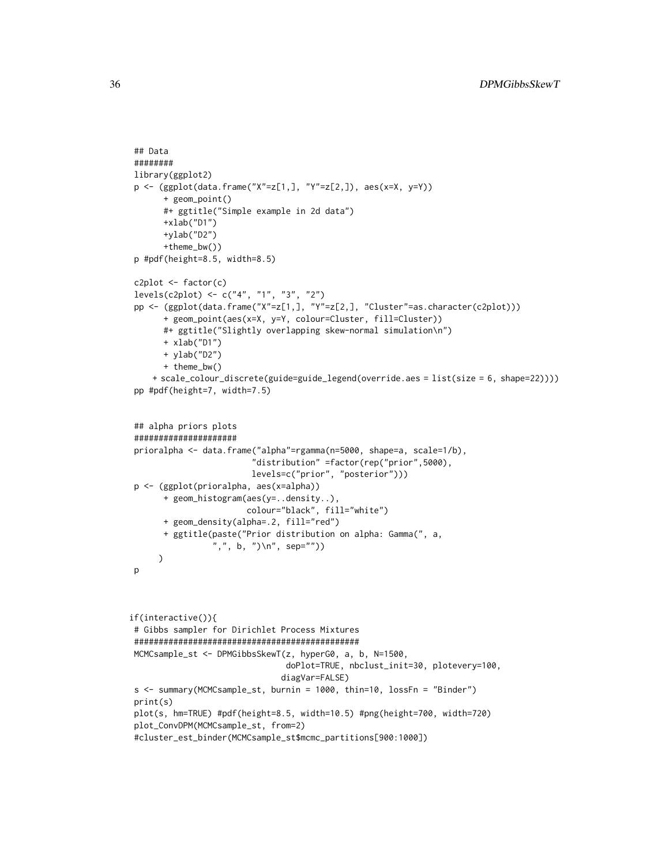```
## Data
########
library(ggplot2)
p \leftarrow (ggplot(data,fname("X"=z[1,], "Y"=z[2,]), aes(x=X, y=Y))+ geom_point()
      #+ ggtitle("Simple example in 2d data")
      +xlab("D1")
      +ylab("D2")
      +theme_bw())
p #pdf(height=8.5, width=8.5)
c2plot <- factor(c)
levels(c2plot) <- c("4", "1", "3", "2")
pp <- (ggplot(data.frame("X"=z[1,], "Y"=z[2,], "Cluster"=as.character(c2plot)))
      + geom_point(aes(x=X, y=Y, colour=Cluster, fill=Cluster))
      #+ ggtitle("Slightly overlapping skew-normal simulation\n")
      + xlab("D1")
      + ylab("D2")
      + theme_bw()
    + scale_colour_discrete(guide=guide_legend(override.aes = list(size = 6, shape=22))))
pp #pdf(height=7, width=7.5)
## alpha priors plots
#####################
prioralpha <- data.frame("alpha"=rgamma(n=5000, shape=a, scale=1/b),
                         "distribution" =factor(rep("prior",5000),
                         levels=c("prior", "posterior")))
p <- (ggplot(prioralpha, aes(x=alpha))
      + geom_histogram(aes(y=..density..),
                        colour="black", fill="white")
      + geom_density(alpha=.2, fill="red")
      + ggtitle(paste("Prior distribution on alpha: Gamma(", a,
                 ",", b, ")\n", sep=""))
     )
p
if(interactive()){
# Gibbs sampler for Dirichlet Process Mixtures
##############################################
MCMCsample_st <- DPMGibbsSkewT(z, hyperG0, a, b, N=1500,
                                doPlot=TRUE, nbclust_init=30, plotevery=100,
                               diagVar=FALSE)
s <- summary(MCMCsample_st, burnin = 1000, thin=10, lossFn = "Binder")
print(s)
plot(s, hm=TRUE) #pdf(height=8.5, width=10.5) #png(height=700, width=720)
plot_ConvDPM(MCMCsample_st, from=2)
#cluster_est_binder(MCMCsample_st$mcmc_partitions[900:1000])
```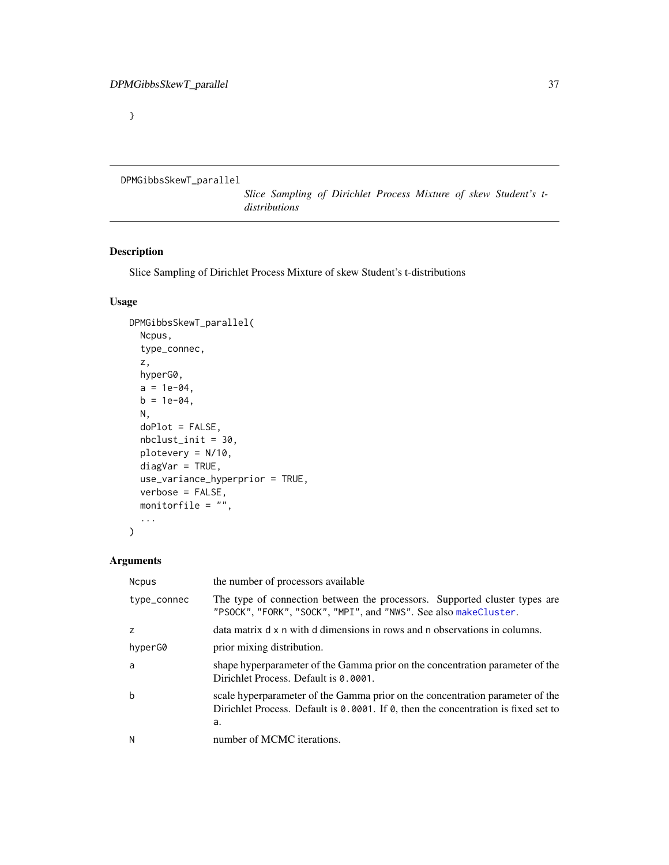}

```
DPMGibbsSkewT_parallel
```
*Slice Sampling of Dirichlet Process Mixture of skew Student's tdistributions*

# Description

Slice Sampling of Dirichlet Process Mixture of skew Student's t-distributions

# Usage

```
DPMGibbsSkewT_parallel(
 Ncpus,
  type_connec,
  z,
 hyperG0,
  a = 1e-04,
 b = 1e-04,
 N,
  doPlot = FALSE,
 nbclust_init = 30,
 plotevery = N/10,
 diagVar = TRUE,
  use_variance_hyperprior = TRUE,
  verbose = FALSE,
 monitorfile = ",
  ...
)
```

| <b>Ncpus</b> | the number of processors available                                                                                                                                        |
|--------------|---------------------------------------------------------------------------------------------------------------------------------------------------------------------------|
| type_connec  | The type of connection between the processors. Supported cluster types are<br>"PSOCK", "FORK", "SOCK", "MPI", and "NWS". See also makeCluster.                            |
| z            | data matrix d x n with d dimensions in rows and n observations in columns.                                                                                                |
| hyperG0      | prior mixing distribution.                                                                                                                                                |
| a            | shape hyperparameter of the Gamma prior on the concentration parameter of the<br>Dirichlet Process. Default is 0.0001.                                                    |
| $\mathbf b$  | scale hyperparameter of the Gamma prior on the concentration parameter of the<br>Dirichlet Process. Default is 0.0001. If 0, then the concentration is fixed set to<br>a. |
| N            | number of MCMC iterations.                                                                                                                                                |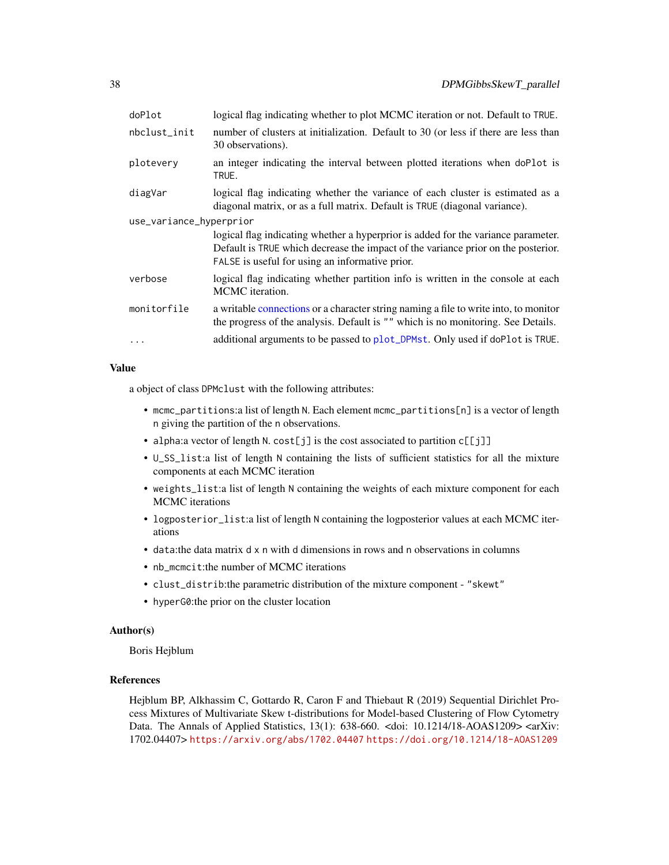| doPlot                  | logical flag indicating whether to plot MCMC iteration or not. Default to TRUE.                                                                                                                                           |  |
|-------------------------|---------------------------------------------------------------------------------------------------------------------------------------------------------------------------------------------------------------------------|--|
| nbclust_init            | number of clusters at initialization. Default to 30 (or less if there are less than<br>30 observations).                                                                                                                  |  |
| plotevery               | an integer indicating the interval between plotted iterations when doPlot is<br>TRUE.                                                                                                                                     |  |
| diagVar                 | logical flag indicating whether the variance of each cluster is estimated as a<br>diagonal matrix, or as a full matrix. Default is TRUE (diagonal variance).                                                              |  |
| use_variance_hyperprior |                                                                                                                                                                                                                           |  |
|                         | logical flag indicating whether a hyperprior is added for the variance parameter.<br>Default is TRUE which decrease the impact of the variance prior on the posterior.<br>FALSE is useful for using an informative prior. |  |
| verbose                 | logical flag indicating whether partition info is written in the console at each<br>MCMC iteration.                                                                                                                       |  |
| monitorfile             | a writable connections or a character string naming a file to write into, to monitor<br>the progress of the analysis. Default is "" which is no monitoring. See Details.                                                  |  |
|                         | additional arguments to be passed to plot_DPMst. Only used if doPlot is TRUE.                                                                                                                                             |  |

#### Value

a object of class DPMclust with the following attributes:

- mcmc\_partitions:a list of length N. Each element mcmc\_partitions[n] is a vector of length n giving the partition of the n observations.
- alpha:a vector of length N. cost[j] is the cost associated to partition c[[j]]
- U\_SS\_list:a list of length N containing the lists of sufficient statistics for all the mixture components at each MCMC iteration
- weights\_list:a list of length N containing the weights of each mixture component for each MCMC iterations
- logposterior\_list:a list of length N containing the logposterior values at each MCMC iterations
- data:the data matrix d x n with d dimensions in rows and n observations in columns
- nb\_mcmcit:the number of MCMC iterations
- clust\_distrib:the parametric distribution of the mixture component "skewt"
- hyperG0:the prior on the cluster location

## Author(s)

Boris Hejblum

### References

Hejblum BP, Alkhassim C, Gottardo R, Caron F and Thiebaut R (2019) Sequential Dirichlet Process Mixtures of Multivariate Skew t-distributions for Model-based Clustering of Flow Cytometry Data. The Annals of Applied Statistics,  $13(1)$ :  $638-660$ . <doi:  $10.1214/18$ -AOAS1209> <arXiv: 1702.04407> <https://arxiv.org/abs/1702.04407> <https://doi.org/10.1214/18-AOAS1209>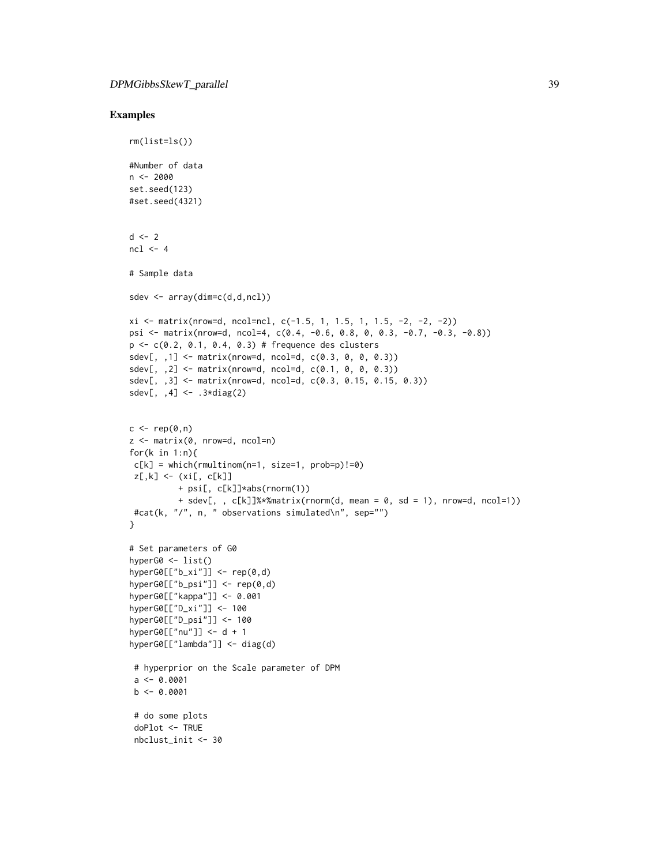```
rm(list=ls())
#Number of data
n < -2000set.seed(123)
#set.seed(4321)
d \leq -2ncl < -4# Sample data
sdev <- array(dim=c(d,d,ncl))
xi \leftarrow matrix(nrow=d, ncol=nc1, c(-1.5, 1, 1.5, 1, 1.5, -2, -2, -2))psi <- matrix(nrow=d, ncol=4, c(0.4, -0.6, 0.8, 0, 0.3, -0.7, -0.3, -0.8))
p <- c(0.2, 0.1, 0.4, 0.3) # frequence des clusters
sdev[,, 1] <- matrix(nrow=d, ncol=d, c(0.3, 0, 0, 0.3))
sdev[, ,2] <- matrix(nrow=d, ncol=d, c(0.1, 0, 0, 0.3))
sdev[, ,3] <- matrix(nrow=d, ncol=d, c(0.3, 0.15, 0.15, 0.3))
sdev[, ,4] <- .3*diag(2)
c \leq -\operatorname{rep}(\emptyset, n)z \le matrix(0, nrow=d, ncol=n)
for(k in 1:n){
c[k] = which(rmultinom(n=1, size=1, prob=p)!=0)
z[,k] <- (xi[, c[k]]
          + psi[, c[k]]*abs(rnorm(1))
          + sdev[, , c[k]]%*%matrix(rnorm(d, mean = 0, sd = 1), nrow=d, ncol=1))
 #cat(k, "/", n, " observations simulated\n", sep="")
}
# Set parameters of G0
hyperG0 <- list()
hyperG0[['b_xi''] <- rep(0,d)hyperG0[['b_psi''] <- rep(0,d)
hyperG0[["kappa"]] <- 0.001
hyperG0[["D_xi"]] <- 100
hyperG0[["D_psi"]] <- 100
hyperG0[["nu"]] <- d + 1
hyperG0[["lambda"]] <- diag(d)
 # hyperprior on the Scale parameter of DPM
 a \leq 0.0001b \le -0.0001# do some plots
 doPlot <- TRUE
 nbclust_init <- 30
```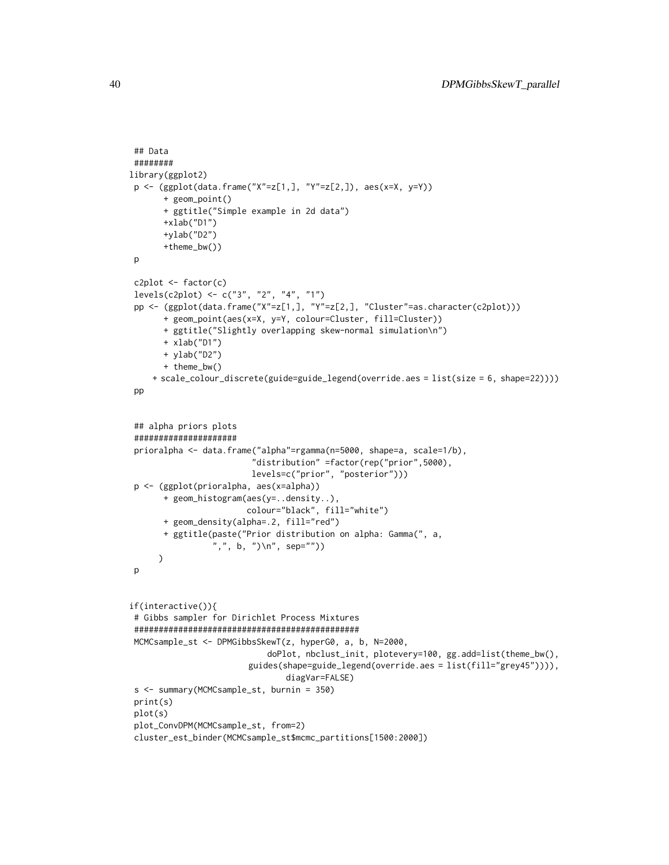```
## Data
 ########
library(ggplot2)
p \leftarrow (ggplot(data, frame("X" = z[1,], "Y" = z[2,]), aes(x=X, y=Y))+ geom_point()
       + ggtitle("Simple example in 2d data")
       +xlab("D1")
       +ylab("D2")
       +theme_bw())
p
c2plot <- factor(c)
 levels(c2plot) <- c("3", "2", "4", "1")
 pp <- (ggplot(data.frame("X"=z[1,], "Y"=z[2,], "Cluster"=as.character(c2plot)))
       + geom_point(aes(x=X, y=Y, colour=Cluster, fill=Cluster))
       + ggtitle("Slightly overlapping skew-normal simulation\n")
       + xlab("D1")
       + ylab("D2")
       + theme_bw()
    + scale_colour_discrete(guide=guide_legend(override.aes = list(size = 6, shape=22))))
 pp
 ## alpha priors plots
 #####################
 prioralpha <- data.frame("alpha"=rgamma(n=5000, shape=a, scale=1/b),
                         "distribution" =factor(rep("prior",5000),
                         levels=c("prior", "posterior")))
 p <- (ggplot(prioralpha, aes(x=alpha))
       + geom_histogram(aes(y=..density..),
                        colour="black", fill="white")
       + geom_density(alpha=.2, fill="red")
       + ggtitle(paste("Prior distribution on alpha: Gamma(", a,
                 ",", b, ")\n", sep=""))
     )
p
if(interactive()){
# Gibbs sampler for Dirichlet Process Mixtures
 ##############################################
MCMCsample_st <- DPMGibbsSkewT(z, hyperG0, a, b, N=2000,
                            doPlot, nbclust_init, plotevery=100, gg.add=list(theme_bw(),
                        guides(shape=guide_legend(override.aes = list(fill="grey45")))),
                                diagVar=FALSE)
 s <- summary(MCMCsample_st, burnin = 350)
print(s)
plot(s)
 plot_ConvDPM(MCMCsample_st, from=2)
 cluster_est_binder(MCMCsample_st$mcmc_partitions[1500:2000])
```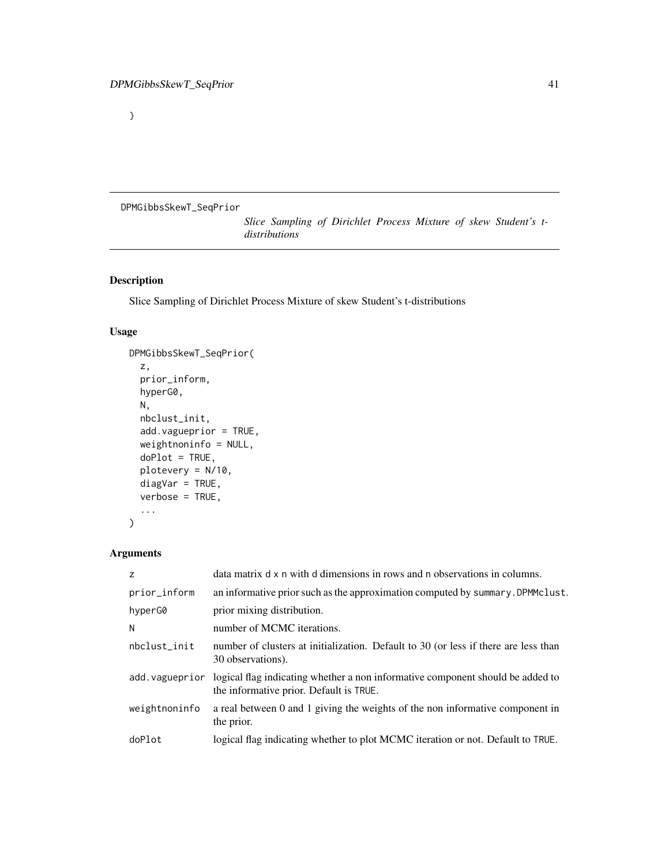}

<span id="page-40-0"></span>DPMGibbsSkewT\_SeqPrior

*Slice Sampling of Dirichlet Process Mixture of skew Student's tdistributions*

# Description

Slice Sampling of Dirichlet Process Mixture of skew Student's t-distributions

# Usage

```
DPMGibbsSkewT_SeqPrior(
  z,
 prior_inform,
 hyperG0,
 N,
  nbclust_init,
  add.vagueprior = TRUE,
 weightnoninfo = NULL,
 doPlot = TRUE,
 plotevery = N/10,
 diagVar = TRUE,
  verbose = TRUE,
  ...
)
```

| z              | data matrix d x n with d dimensions in rows and n observations in columns.                                                |
|----------------|---------------------------------------------------------------------------------------------------------------------------|
| prior_inform   | an informative prior such as the approximation computed by summary. DPMMclust.                                            |
| hyperG0        | prior mixing distribution.                                                                                                |
| N              | number of MCMC iterations.                                                                                                |
| nbclust_init   | number of clusters at initialization. Default to 30 (or less if there are less than<br>30 observations).                  |
| add.vagueprior | logical flag indicating whether a non informative component should be added to<br>the informative prior. Default is TRUE. |
| weightnoninfo  | a real between 0 and 1 giving the weights of the non informative component in<br>the prior.                               |
| doPlot         | logical flag indicating whether to plot MCMC iteration or not. Default to TRUE.                                           |
|                |                                                                                                                           |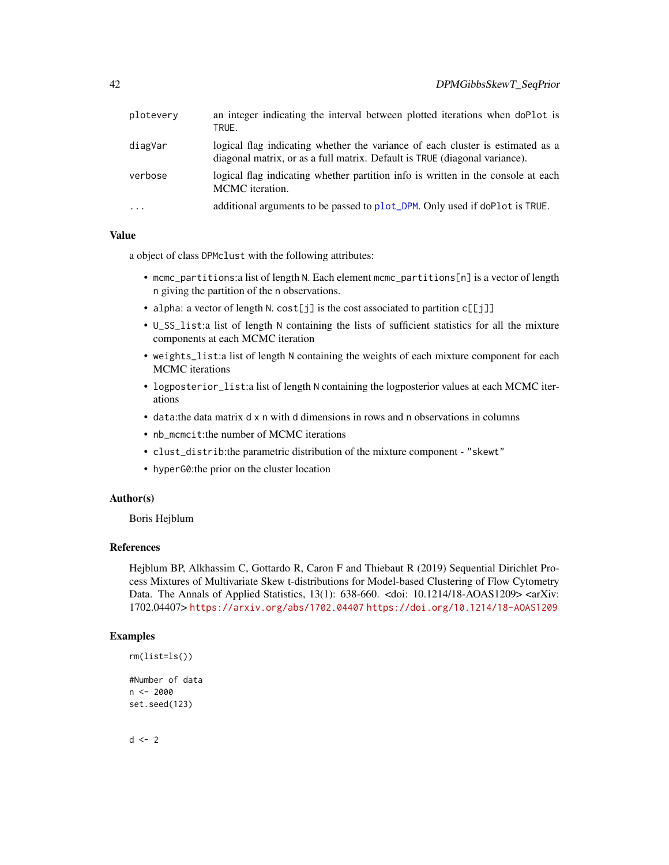| plotevery  | an integer indicating the interval between plotted iterations when doPlot is<br>TRUE.                                                                        |
|------------|--------------------------------------------------------------------------------------------------------------------------------------------------------------|
| diagVar    | logical flag indicating whether the variance of each cluster is estimated as a<br>diagonal matrix, or as a full matrix. Default is TRUE (diagonal variance). |
| verbose    | logical flag indicating whether partition info is written in the console at each<br>MCMC iteration.                                                          |
| $\ddots$ . | additional arguments to be passed to plot_DPM. Only used if doPlot is TRUE.                                                                                  |

#### Value

a object of class DPMclust with the following attributes:

- mcmc\_partitions:a list of length N. Each element mcmc\_partitions[n] is a vector of length n giving the partition of the n observations.
- alpha: a vector of length N. cost [j] is the cost associated to partition  $c[[j]]$
- U\_SS\_list:a list of length N containing the lists of sufficient statistics for all the mixture components at each MCMC iteration
- weights\_list:a list of length N containing the weights of each mixture component for each MCMC iterations
- logposterior\_list:a list of length N containing the logposterior values at each MCMC iterations
- data:the data matrix d x n with d dimensions in rows and n observations in columns
- nb\_mcmcit:the number of MCMC iterations
- clust\_distrib:the parametric distribution of the mixture component "skewt"
- hyperG0:the prior on the cluster location

#### Author(s)

Boris Hejblum

## References

Hejblum BP, Alkhassim C, Gottardo R, Caron F and Thiebaut R (2019) Sequential Dirichlet Process Mixtures of Multivariate Skew t-distributions for Model-based Clustering of Flow Cytometry Data. The Annals of Applied Statistics, 13(1): 638-660. <doi: 10.1214/18-AOAS1209> <arXiv: 1702.04407> <https://arxiv.org/abs/1702.04407> <https://doi.org/10.1214/18-AOAS1209>

# Examples

```
rm(list=ls())
#Number of data
n <- 2000
set.seed(123)
```
 $d \leq -2$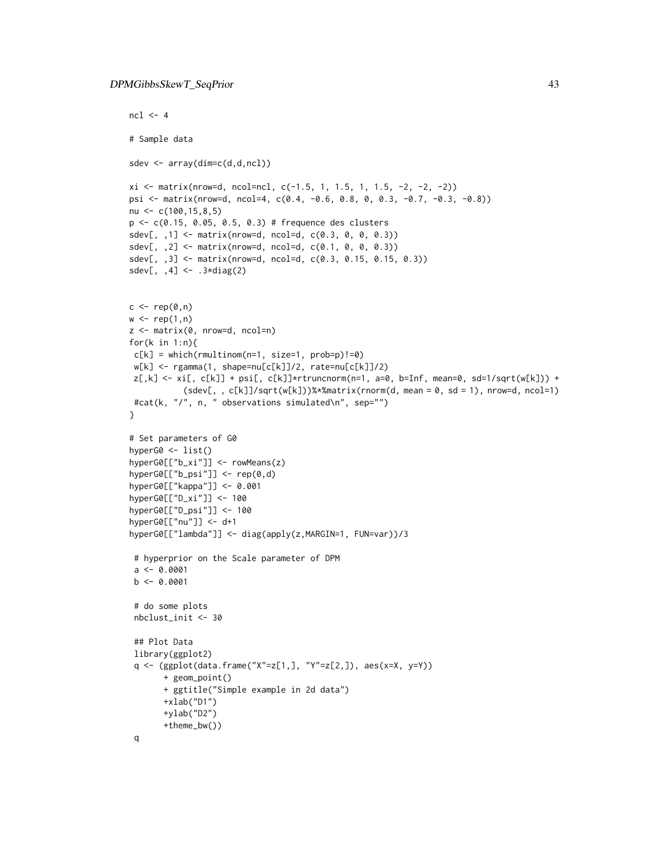```
ncl < -4# Sample data
sdev <- array(dim=c(d,d,ncl))
xi \leftarrow matrix(nrow=d, ncol=nc1, c(-1.5, 1, 1.5, 1, 1.5, -2, -2, -2))psi <- matrix(nrow=d, ncol=4, c(0.4, -0.6, 0.8, 0, 0.3, -0.7, -0.3, -0.8))
nu <- c(100,15,8,5)
p <- c(0.15, 0.05, 0.5, 0.3) # frequence des clusters
sdev[,, 1] <- matrix(nrow=d, ncol=d, c(0.3, 0, 0, 0.3))
sdev[, ,2] <- matrix(nrow=d, ncol=d, c(0.1, 0, 0, 0.3))
sdev[, ,3] <- matrix(nrow=d, ncol=d, c(0.3, 0.15, 0.15, 0.3))
sdev[, , 4] <- .3 \star diag(2)c \leftarrow rep(\emptyset, n)w \leftarrow \text{rep}(1, n)z <- matrix(0, nrow=d, ncol=n)
for(k in 1:n){
c[k] = which(rmultinom(n=1, size=1, prob=p)!=0)w[k] <- rgamma(1, shape=nu[c[k]]/2, rate=nu[c[k]]/2)
z[,k] \leftarrow xi[, c[k]] + psi[, c[k]]*rtrunconorm(n=1, a=0, b=Inf, mean=0, sd=1/sqrt(w[k])) +(sdev[, , c[k]]/sqrt(w[k]))%*%matrix(rnorm(d, mean = 0, sd = 1), nrow=d, ncol=1)
 #cat(k, "/", n, " observations simulated\n", sep="")
}
# Set parameters of G0
hyperG0 <- list()
hyperG0[["b_xi"]] <- rowMeans(z)
hyperG0[["b_psi"]] <- rep(0,d)
hyperG0[["kappa"]] <- 0.001
hyperG0[["D_xi"]] <- 100
hyperG0[["D_psi"]] <- 100
hyperG0[["nu"]] <- d+1
hyperG0[["lambda"]] <- diag(apply(z,MARGIN=1, FUN=var))/3
 # hyperprior on the Scale parameter of DPM
 a \leq 0.0001b \leq -0.0001# do some plots
 nbclust_init <- 30
 ## Plot Data
 library(ggplot2)
 q <- (ggplot(data.frame("X"=z[1,], "Y"=z[2,]), aes(x=X, y=Y))
       + geom_point()
       + ggtitle("Simple example in 2d data")
       +xlab("D1")
       +ylab("D2")
       +theme_bw())
 q
```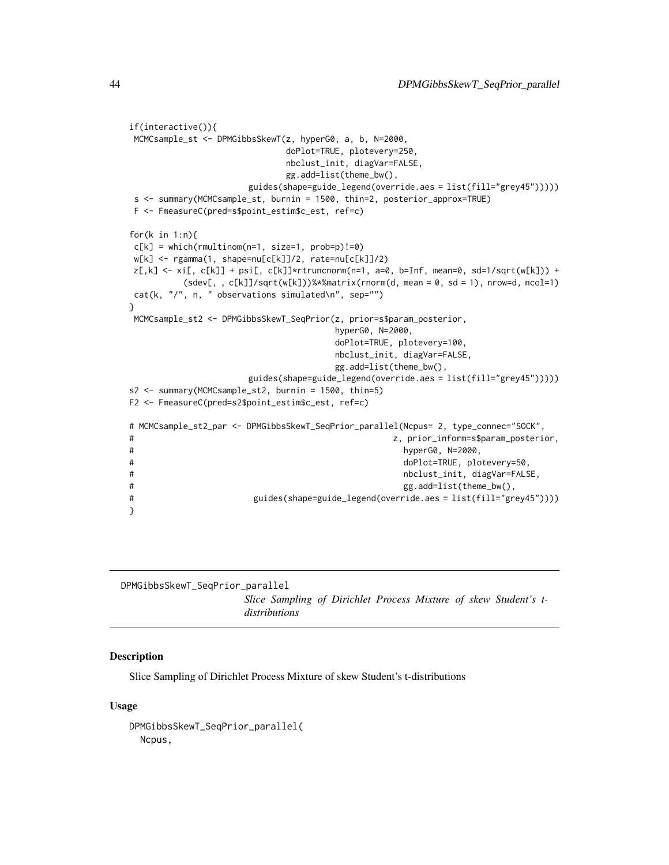```
if(interactive()){
MCMCsample_st <- DPMGibbsSkewT(z, hyperG0, a, b, N=2000,
                          doPlot=TRUE, plotevery=250,
                          nbclust_init, diagVar=FALSE,
                          gg.add=list(theme_bw(),
                    guides(shape=guide_legend(override.aes = list(fill="grey45")))))
s <- summary(MCMCsample_st, burnin = 1500, thin=2, posterior_approx=TRUE)
F <- FmeasureC(pred=s$point_estim$c_est, ref=c)
for(k in 1:n){
c[k] = which(rmultinom(n=1, size=1, prob=p)!=0)
w[k] <- rgamma(1, shape=nu[c[k]]/2, rate=nu[c[k]]/2)
z[,k] \leq xif, c[k]] + psi[, c[k]]*rtrunconorm(n=1, a=0, b=Inf, mean=0, sd=1/sqrt(w[k])) +(sdev[, , c[k]]/sqrt(w[k]))%*%matrix(rnorm(d, mean = 0, sd = 1), nrow=d, ncol=1)
cat(k, "/", n, " observations simulated\n", sep="")
}
MCMCsample_st2 <- DPMGibbsSkewT_SeqPrior(z, prior=s$param_posterior,
                                  hyperG0, N=2000,
                                   doPlot=TRUE, plotevery=100,
                                  nbclust_init, diagVar=FALSE,
                                  gg.add=list(theme_bw(),
                    guides(shape=guide_legend(override.aes = list(fill="grey45")))))
s2 <- summary(MCMCsample_st2, burnin = 1500, thin=5)
F2 <- FmeasureC(pred=s2$point_estim$c_est, ref=c)
# MCMCsample_st2_par <- DPMGibbsSkewT_SeqPrior_parallel(Ncpus= 2, type_connec="SOCK",
# z, prior_inform=s$param_posterior,
# hyperG0, N=2000,
# doPlot=TRUE, plotevery=50,
# nbclust_init, diagVar=FALSE,
# gg.add=list(theme_bw(),
# guides(shape=guide_legend(override.aes = list(fill="grey45"))))
}
```
<span id="page-43-0"></span>DPMGibbsSkewT\_SeqPrior\_parallel *Slice Sampling of Dirichlet Process Mixture of skew Student's tdistributions*

#### Description

Slice Sampling of Dirichlet Process Mixture of skew Student's t-distributions

#### Usage

DPMGibbsSkewT\_SeqPrior\_parallel( Ncpus,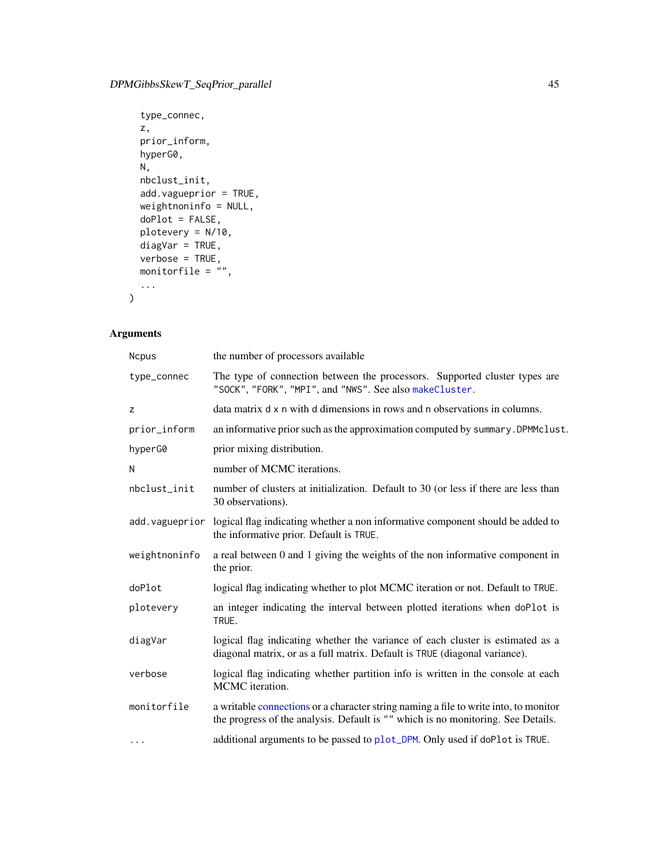```
type_connec,
z,
prior_inform,
hyperG0,
N,
nbclust_init,
add.vagueprior = TRUE,
weightnoninfo = NULL,
doPlot = FALSE,
plotevery = N/10,
diagVar = TRUE,
verbose = TRUE,
monitorfile = \sum_{n=1}^{\infty}...
```
# Arguments

 $\mathcal{L}$ 

| <b>Ncpus</b>  | the number of processors available                                                                                                                                       |  |
|---------------|--------------------------------------------------------------------------------------------------------------------------------------------------------------------------|--|
| type_connec   | The type of connection between the processors. Supported cluster types are<br>"SOCK", "FORK", "MPI", and "NWS". See also makeCluster.                                    |  |
| Z             | data matrix d x n with d dimensions in rows and n observations in columns.                                                                                               |  |
| prior_inform  | an informative prior such as the approximation computed by summary. DPMMclust.                                                                                           |  |
| hyperG0       | prior mixing distribution.                                                                                                                                               |  |
| N             | number of MCMC iterations.                                                                                                                                               |  |
| nbclust init  | number of clusters at initialization. Default to 30 (or less if there are less than<br>30 observations).                                                                 |  |
|               | add. vagueprior logical flag indicating whether a non informative component should be added to<br>the informative prior. Default is TRUE.                                |  |
| weightnoninfo | a real between 0 and 1 giving the weights of the non informative component in<br>the prior.                                                                              |  |
| doPlot        | logical flag indicating whether to plot MCMC iteration or not. Default to TRUE.                                                                                          |  |
| plotevery     | an integer indicating the interval between plotted iterations when doPlot is<br>TRUE.                                                                                    |  |
| diagVar       | logical flag indicating whether the variance of each cluster is estimated as a<br>diagonal matrix, or as a full matrix. Default is TRUE (diagonal variance).             |  |
| verbose       | logical flag indicating whether partition info is written in the console at each<br>MCMC iteration.                                                                      |  |
| monitorfile   | a writable connections or a character string naming a file to write into, to monitor<br>the progress of the analysis. Default is "" which is no monitoring. See Details. |  |
| $\cdots$      | additional arguments to be passed to plot_DPM. Only used if doPlot is TRUE.                                                                                              |  |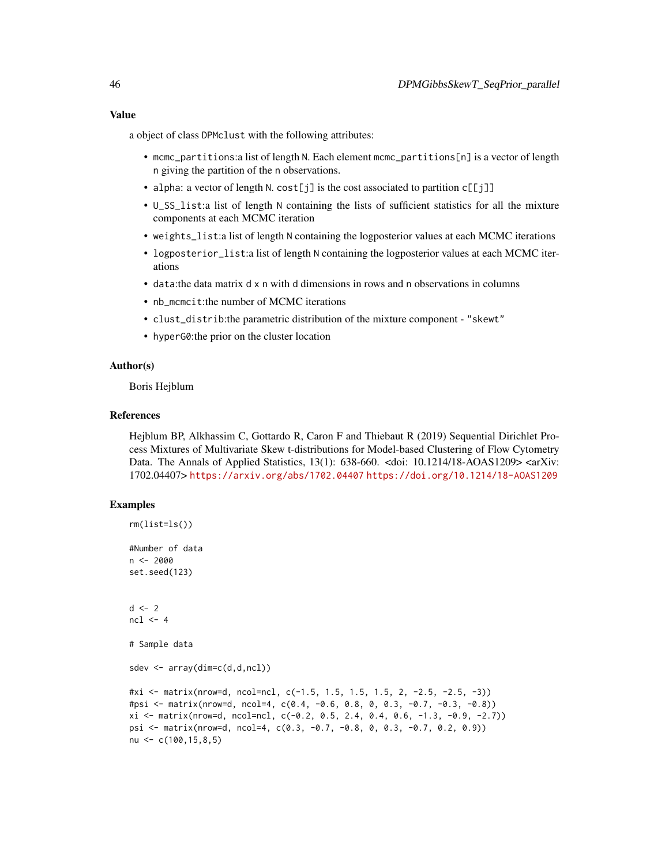## Value

a object of class DPMclust with the following attributes:

- mcmc\_partitions:a list of length N. Each element mcmc\_partitions[n] is a vector of length n giving the partition of the n observations.
- alpha: a vector of length N. cost[j] is the cost associated to partition  $c[[j]]$
- U\_SS\_list:a list of length N containing the lists of sufficient statistics for all the mixture components at each MCMC iteration
- weights\_list:a list of length N containing the logposterior values at each MCMC iterations
- logposterior\_list:a list of length N containing the logposterior values at each MCMC iterations
- data:the data matrix d x n with d dimensions in rows and n observations in columns
- nb\_mcmcit:the number of MCMC iterations
- clust\_distrib:the parametric distribution of the mixture component "skewt"
- hyperG0:the prior on the cluster location

## Author(s)

Boris Hejblum

## References

Hejblum BP, Alkhassim C, Gottardo R, Caron F and Thiebaut R (2019) Sequential Dirichlet Process Mixtures of Multivariate Skew t-distributions for Model-based Clustering of Flow Cytometry Data. The Annals of Applied Statistics, 13(1): 638-660. <doi: 10.1214/18-AOAS1209> <arXiv: 1702.04407> <https://arxiv.org/abs/1702.04407> <https://doi.org/10.1214/18-AOAS1209>

```
rm(list=ls())
#Number of data
n < -2000set.seed(123)
d \leq -2ncl < -4# Sample data
sdev <- array(dim=c(d,d,ncl))
#xi <- matrix(nrow=d, ncol=ncl, c(-1.5, 1.5, 1.5, 1.5, 2, -2.5, -2.5, -3))
#psi <- matrix(nrow=d, ncol=4, c(0.4, -0.6, 0.8, 0, 0.3, -0.7, -0.3, -0.8))
xi \leftarrow matrix(nrow=d, ncol=nc1, c(-0.2, 0.5, 2.4, 0.4, 0.6, -1.3, -0.9, -2.7))psi <- matrix(nrow=d, ncol=4, c(0.3, -0.7, -0.8, 0, 0.3, -0.7, 0.2, 0.9))
nu <- c(100,15,8,5)
```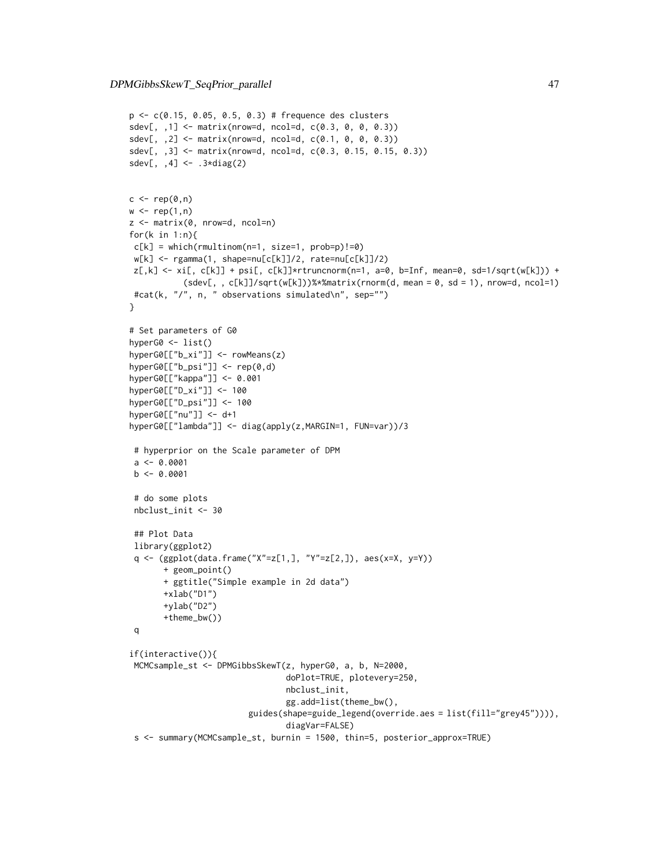```
p <- c(0.15, 0.05, 0.5, 0.3) # frequence des clusters
sdev[,, 1] <- matrix(nrow=d, ncol=d, c(0.3, 0, 0, 0.3))
sdev[,, 2] <- matrix(nrow=d, ncol=d, c(0.1, 0, 0, 0.3))
sdev[,, 3] <- matrix(nrow=d, ncol=d, c(0.3, 0.15, 0.15, 0.3))
sdev[, ,4] <- .3*diag(2)
c \leq -\operatorname{rep}(\emptyset, n)w \leftarrow \text{rep}(1,n)z <- matrix(0, nrow=d, ncol=n)
for(k in 1:n){
c[k] = which(rmultinom(n=1, size=1, prob=p)!=0)w[k] <- rgamma(1, shape=nu[c[k]]/2, rate=nu[c[k]]/2)
z[, k] \leq x[\, , c[k]] + psi[, \, c[k]]\times rtruncnorm(n=1, a=0, b=Inf, mean=0, sd=1/sqrt(w[k])) +
           (sdev[, , c[k]]/sqrt(w[k]))%*%matrix(rnorm(d, mean = 0, sd = 1), nrow=d, ncol=1)
#cat(k, "/", n, " observations simulated\n", sep="")
}
# Set parameters of G0
hyperG0 <- list()
hyperG0[["b_xi"]] <- rowMeans(z)
hyperG0[["b_psi"]] <- rep(0,d)
hyperG0[["kappa"]] <- 0.001
hyperG0[["D_xi"]] <- 100
hyperG0[["D_psi"]] <- 100
hyperG0[["nu"]] <- d+1
hyperG0[["lambda"]] <- diag(apply(z,MARGIN=1, FUN=var))/3
 # hyperprior on the Scale parameter of DPM
 a \leq -0.0001b \leq -0.0001# do some plots
 nbclust_init <- 30
 ## Plot Data
 library(ggplot2)
 q <- (ggplot(data.frame("X"=z[1,], "Y"=z[2,]), aes(x=X, y=Y))
       + geom_point()
       + ggtitle("Simple example in 2d data")
       +xlab("D1")
       +ylab("D2")
       +theme_bw())
 q
if(interactive()){
MCMCsample_st <- DPMGibbsSkewT(z, hyperG0, a, b, N=2000,
                                 doPlot=TRUE, plotevery=250,
                                 nbclust_init,
                                 gg.add=list(theme_bw(),
                         guides(shape=guide_legend(override.aes = list(fill="grey45")))),
                                 diagVar=FALSE)
 s <- summary(MCMCsample_st, burnin = 1500, thin=5, posterior_approx=TRUE)
```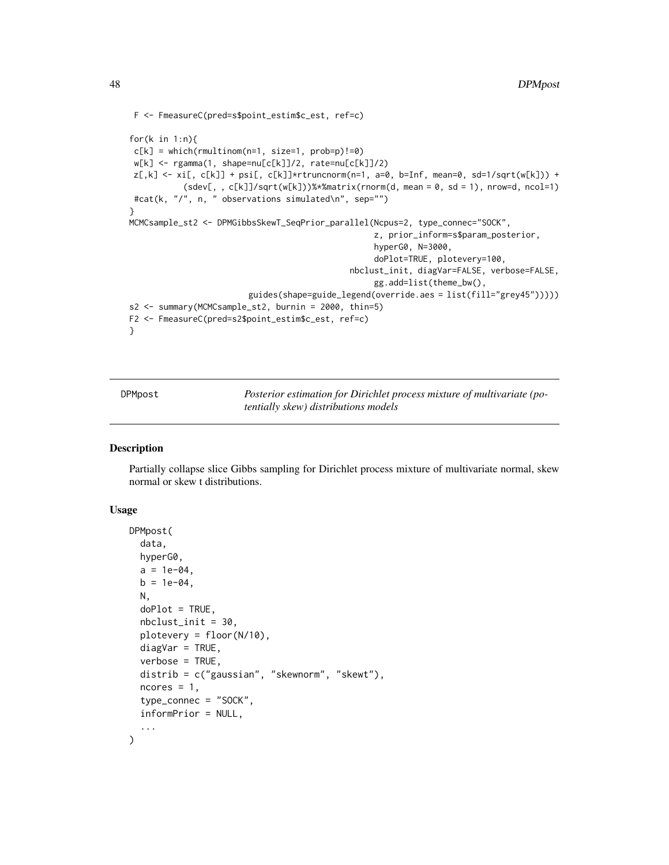```
F <- FmeasureC(pred=s$point_estim$c_est, ref=c)
for(k in 1:n){
 c[k] = which(rmultinom(n=1, size=1, prob=p)!=0)w[k] <- rgamma(1, shape=nu[c[k]]/2, rate=nu[c[k]]/2)
z[,k] \leftarrow xi[, c[k]] + psi[, c[k]]*trunconorm(n=1, a=0, b=Inf, mean=0, sd=1/sqrt(w[k])) +(sdev[, , c[k]]/sqrt(w[k]))%*%matrix(rnorm(d, mean = 0, sd = 1), nrow=d, ncol=1)
 #cat(k, "/", n, " observations simulated\n", sep="")
}
MCMCsample_st2 <- DPMGibbsSkewT_SeqPrior_parallel(Ncpus=2, type_connec="SOCK",
                                                   z, prior_inform=s$param_posterior,
                                                   hyperG0, N=3000,
                                                   doPlot=TRUE, plotevery=100,
                                              nbclust_init, diagVar=FALSE, verbose=FALSE,
                                                   gg.add=list(theme_bw(),
                         guides(shape=guide_legend(override.aes = list(fill="grey45")))))
s2 <- summary(MCMCsample_st2, burnin = 2000, thin=5)
F2 <- FmeasureC(pred=s2$point_estim$c_est, ref=c)
}
```
DPMpost *Posterior estimation for Dirichlet process mixture of multivariate (potentially skew) distributions models*

## Description

Partially collapse slice Gibbs sampling for Dirichlet process mixture of multivariate normal, skew normal or skew t distributions.

## Usage

```
DPMpost(
  data,
  hyperG0,
  a = 1e-04,
 b = 1e-04,
 N,
  doPlot = TRUE,
  nbclust_init = 30,
 plotevery = floor(N/10),
  diagVar = TRUE,verbose = TRUE,
  distrib = c("gaussian", "skewnorm", "skewt"),
  ncores = 1,
  type_connec = "SOCK",
  informPrior = NULL,
  ...
)
```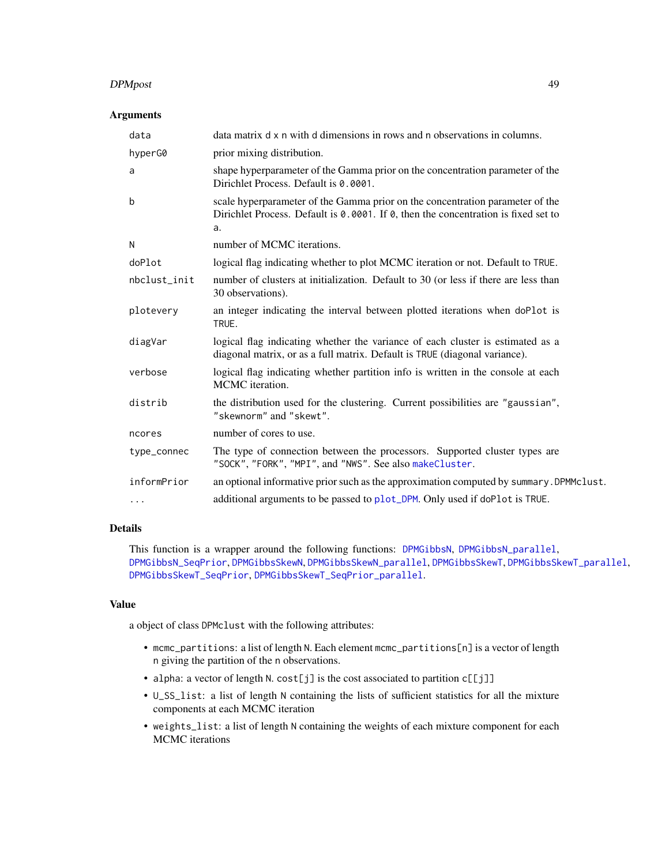#### DPMpost 49

# Arguments

| data         | data matrix d x n with d dimensions in rows and n observations in columns.                                                                                                |
|--------------|---------------------------------------------------------------------------------------------------------------------------------------------------------------------------|
| hyperG0      | prior mixing distribution.                                                                                                                                                |
| a            | shape hyperparameter of the Gamma prior on the concentration parameter of the<br>Dirichlet Process. Default is 0.0001.                                                    |
| $\mathbf b$  | scale hyperparameter of the Gamma prior on the concentration parameter of the<br>Dirichlet Process. Default is 0.0001. If 0, then the concentration is fixed set to<br>a. |
| N            | number of MCMC iterations.                                                                                                                                                |
| doPlot       | logical flag indicating whether to plot MCMC iteration or not. Default to TRUE.                                                                                           |
| nbclust_init | number of clusters at initialization. Default to 30 (or less if there are less than<br>30 observations).                                                                  |
| plotevery    | an integer indicating the interval between plotted iterations when doPlot is<br>TRUE.                                                                                     |
| diagVar      | logical flag indicating whether the variance of each cluster is estimated as a<br>diagonal matrix, or as a full matrix. Default is TRUE (diagonal variance).              |
| verbose      | logical flag indicating whether partition info is written in the console at each<br>MCMC iteration.                                                                       |
| distrib      | the distribution used for the clustering. Current possibilities are "gaussian",<br>"skewnorm" and "skewt".                                                                |
| ncores       | number of cores to use.                                                                                                                                                   |
| type_connec  | The type of connection between the processors. Supported cluster types are<br>"SOCK", "FORK", "MPI", and "NWS". See also makeCluster.                                     |
| informPrior  | an optional informative prior such as the approximation computed by summary. DPMMclust.                                                                                   |
| $\cdots$     | additional arguments to be passed to plot_DPM. Only used if doPlot is TRUE.                                                                                               |
|              |                                                                                                                                                                           |

# Details

This function is a wrapper around the following functions: [DPMGibbsN](#page-9-0), [DPMGibbsN\\_parallel](#page-13-0), [DPMGibbsN\\_SeqPrior](#page-16-0), [DPMGibbsSkewN](#page-20-0), [DPMGibbsSkewN\\_parallel](#page-27-0), [DPMGibbsSkewT](#page-31-0), [DPMGibbsSkewT\\_parallel](#page-36-0), [DPMGibbsSkewT\\_SeqPrior](#page-40-0), [DPMGibbsSkewT\\_SeqPrior\\_parallel](#page-43-0).

#### Value

a object of class DPMclust with the following attributes:

- mcmc\_partitions: a list of length N. Each element mcmc\_partitions[n] is a vector of length n giving the partition of the n observations.
- alpha: a vector of length N. cost[j] is the cost associated to partition c[[j]]
- U\_SS\_list: a list of length N containing the lists of sufficient statistics for all the mixture components at each MCMC iteration
- weights\_list: a list of length N containing the weights of each mixture component for each MCMC iterations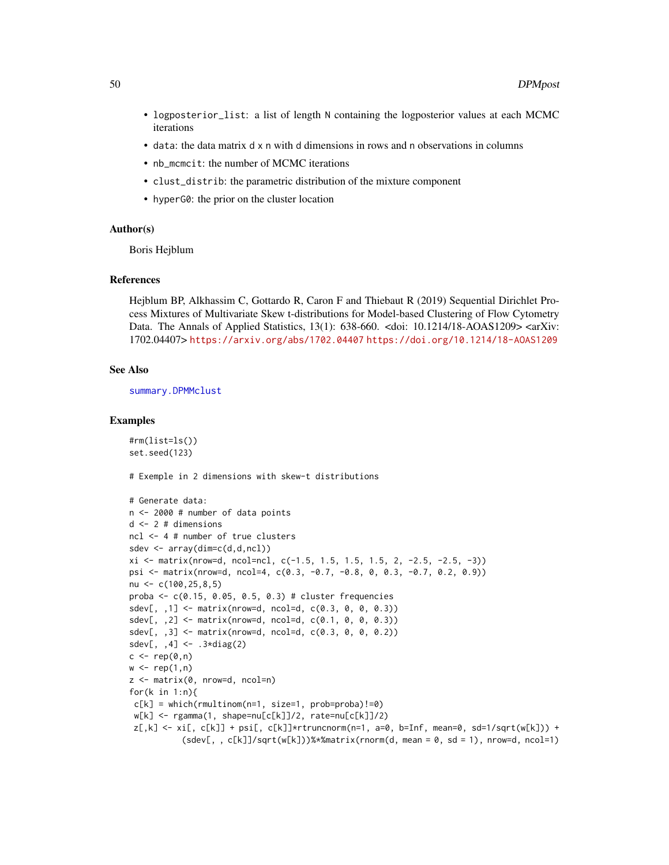- logposterior\_list: a list of length N containing the logposterior values at each MCMC iterations
- data: the data matrix d x n with d dimensions in rows and n observations in columns
- nb\_mcmcit: the number of MCMC iterations
- clust\_distrib: the parametric distribution of the mixture component
- hyperG0: the prior on the cluster location

#### Author(s)

Boris Hejblum

#### References

Hejblum BP, Alkhassim C, Gottardo R, Caron F and Thiebaut R (2019) Sequential Dirichlet Process Mixtures of Multivariate Skew t-distributions for Model-based Clustering of Flow Cytometry Data. The Annals of Applied Statistics, 13(1): 638-660. <doi: 10.1214/18-AOAS1209> <arXiv: 1702.04407> <https://arxiv.org/abs/1702.04407> <https://doi.org/10.1214/18-AOAS1209>

#### See Also

[summary.DPMMclust](#page-95-0)

#### Examples

```
#rm(list=ls())
set.seed(123)
```
# Exemple in 2 dimensions with skew-t distributions

```
# Generate data:
n <- 2000 # number of data points
d <- 2 # dimensions
ncl <- 4 # number of true clusters
sdev <- array(dim=c(d,d,ncl))
xi \leftarrow matrix(nrow=d, ncol=nc1, c(-1.5, 1.5, 1.5, 1.5, 2, -2.5, -2.5, -3))psi <- matrix(nrow=d, ncol=4, c(0.3, -0.7, -0.8, 0, 0.3, -0.7, 0.2, 0.9))
nu \leq c(100, 25, 8, 5)
proba <- c(0.15, 0.05, 0.5, 0.3) # cluster frequencies
sdev[,, 1] <- matrix(nrow=d, ncol=d, c(0.3, 0, 0, 0.3))
sdev[,, 2] <- matrix(nrow=d, ncol=d, c(0.1, 0, 0, 0.3))
sdev[, , 3] \leq matrix(nrow=d, ncol=d, c(0.3, 0, 0, 0.2))sdev[, , 4] <- .3 \star diag(2)c \leq -\text{rep}(\emptyset, n)w \leftarrow \text{rep}(1, n)z <- matrix(0, nrow=d, ncol=n)
for(k in 1:n){
 c[k] = which(rmultinom(n=1, size=1, prob=proba)!=0)w[k] <- rgamma(1, shape=nu[c[k]]/2, rate=nu[c[k]]/2)
 z[,k] \leq xif, c[k]] + psi[, c[k]]*rtrunconorm(n=1, a=0, b=Inf, mean=0, sd=1/sqrt(w[k])) +(sdev[, , c[k]]/sqrt(w[k]))%*%matrix(rnorm(d, mean = 0, sd = 1), nrow=d, ncol=1)
```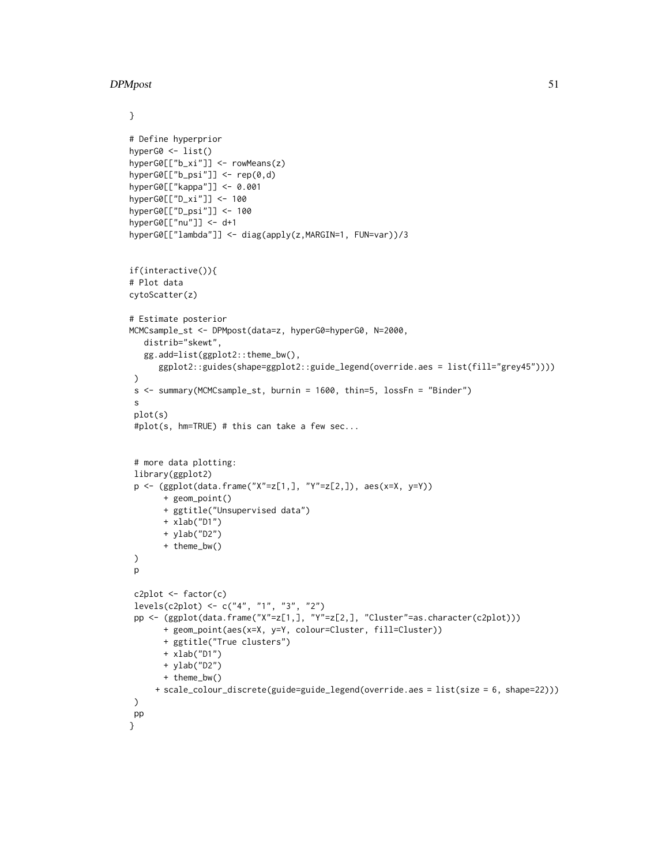## DPMpost 51

```
}
# Define hyperprior
hyperG0 <- list()
hyperG0[["b_xi"]] <- rowMeans(z)
hyperG0[["b_psi"]] <- rep(0,d)
hyperG0[["kappa"]] <- 0.001
hyperG0[["D_xi"]] <- 100
hyperG0[["D_psi"]] <- 100
hyperG0[["nu"]] <- d+1
hyperG0[["lambda"]] <- diag(apply(z,MARGIN=1, FUN=var))/3
if(interactive()){
# Plot data
cytoScatter(z)
# Estimate posterior
MCMCsample_st <- DPMpost(data=z, hyperG0=hyperG0, N=2000,
   distrib="skewt",
   gg.add=list(ggplot2::theme_bw(),
      ggplot2::guides(shape=ggplot2::guide_legend(override.aes = list(fill="grey45"))))
 )
 s <- summary(MCMCsample_st, burnin = 1600, thin=5, lossFn = "Binder")
 s
 plot(s)
 #plot(s, hm=TRUE) # this can take a few sec...
 # more data plotting:
 library(ggplot2)
 p <- (ggplot(data.frame("X"=z[1,], "Y"=z[2,]), aes(x=X, y=Y))
       + geom_point()
       + ggtitle("Unsupervised data")
       + xlab("D1")
       + ylab("D2")
       + theme_bw()
 )
 p
 c2plot \leftarrow factor(c)levels(c2plot) <- c("4", "1", "3", "2")
 pp <- (ggplot(data.frame("X"=z[1,], "Y"=z[2,], "Cluster"=as.character(c2plot)))
       + geom_point(aes(x=X, y=Y, colour=Cluster, fill=Cluster))
       + ggtitle("True clusters")
       + xlab("D1")
       + ylab("D2")
       + theme_bw()
     + scale_colour_discrete(guide=guide_legend(override.aes = list(size = 6, shape=22)))
 \lambdapp
}
```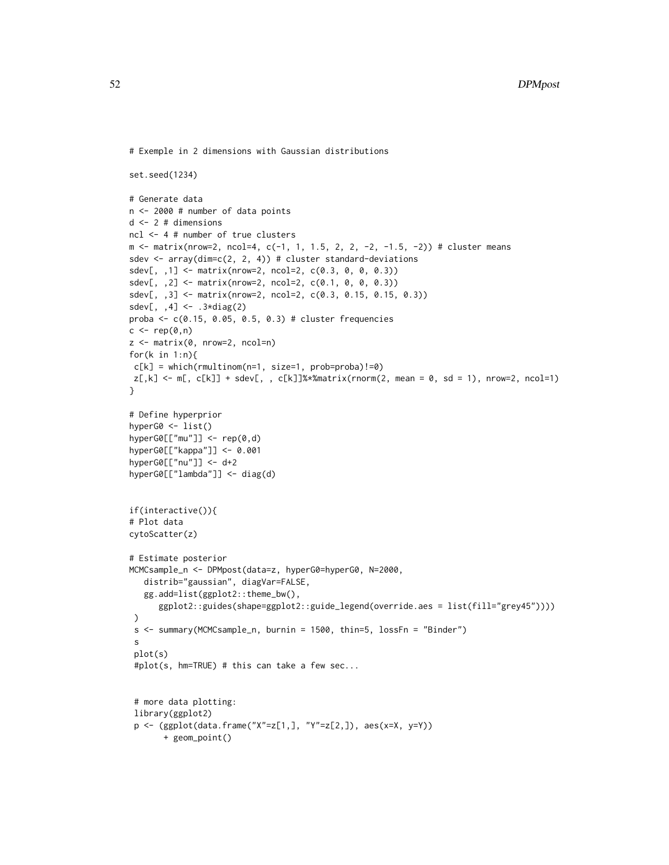```
# Exemple in 2 dimensions with Gaussian distributions
```

```
set.seed(1234)
# Generate data
n <- 2000 # number of data points
d <- 2 # dimensions
ncl <- 4 # number of true clusters
m <- matrix(nrow=2, ncol=4, c(-1, 1, 1.5, 2, 2, -2, -1.5, -2)) # cluster means
sdev \leq array(dim=c(2, 2, 4)) # cluster standard-deviations
sdev[, ,1] <- matrix(nrow=2, ncol=2, c(0.3, 0, 0, 0.3))
sdev[, ,2] <- matrix(nrow=2, ncol=2, c(0.1, 0, 0, 0.3))
sdev[, ,3] <- matrix(nrow=2, ncol=2, c(0.3, 0.15, 0.15, 0.3))
sdev[, ,4] <- .3*diag(2)
proba <- c(0.15, 0.05, 0.5, 0.3) # cluster frequencies
c \leq - rep(0, n)z \le matrix(0, nrow=2, ncol=n)
for(k in 1:n){
c[k] = which(rmultinom(n=1, size=1, prob=proba)!=0)
z[, k] \leftarrow m[, c[k]] + sdev[, , c[k]]%matrix(rnorm(2, mean = 0, sd = 1), nrow=2, ncol=1)
}
# Define hyperprior
hyperG0 <- list()
hyperG0[["mu"]] <- rep(0,d)
hyperG0[["kappa"]] <- 0.001
hyperG0[["nu"]] <- d+2
hyperG0[["lambda"]] <- diag(d)
if(interactive()){
# Plot data
cytoScatter(z)
# Estimate posterior
MCMCsample_n <- DPMpost(data=z, hyperG0=hyperG0, N=2000,
   distrib="gaussian", diagVar=FALSE,
   gg.add=list(ggplot2::theme_bw(),
      ggplot2::guides(shape=ggplot2::guide_legend(override.aes = list(fill="grey45"))))
 )
 s <- summary(MCMCsample_n, burnin = 1500, thin=5, lossFn = "Binder")
 s
 plot(s)
 #plot(s, hm=TRUE) # this can take a few sec...
 # more data plotting:
 library(ggplot2)
 p <- (ggplot(data.frame("X"=z[1,], "Y"=z[2,]), aes(x=X, y=Y))
       + geom_point()
```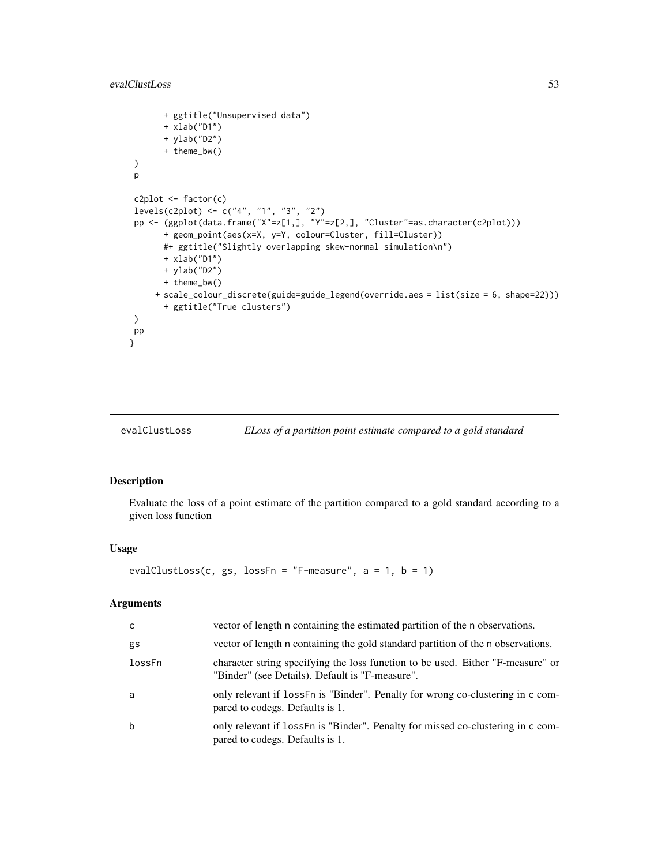## evalClustLoss 53

```
+ ggtitle("Unsupervised data")
      + xlab("D1")
      + ylab("D2")
      + theme_bw()
)
p
c2plot <- factor(c)
levels(c2plot) <- c("4", "1", "3", "2")
pp <- (ggplot(data.frame("X"=z[1,], "Y"=z[2,], "Cluster"=as.character(c2plot)))
      + geom_point(aes(x=X, y=Y, colour=Cluster, fill=Cluster))
      #+ ggtitle("Slightly overlapping skew-normal simulation\n")
      + xlab("D1")
      + ylab("D2")
      + theme_bw()
     + scale_colour_discrete(guide=guide_legend(override.aes = list(size = 6, shape=22)))
      + ggtitle("True clusters")
)
pp
}
```
#### evalClustLoss *ELoss of a partition point estimate compared to a gold standard*

## Description

Evaluate the loss of a point estimate of the partition compared to a gold standard according to a given loss function

## Usage

```
evalClustLoss(c, gs, lossFn = "F-measure", a = 1, b = 1)
```

| $\mathsf{C}$ | vector of length n containing the estimated partition of the n observations.                                                       |
|--------------|------------------------------------------------------------------------------------------------------------------------------------|
| gs           | vector of length n containing the gold standard partition of the n observations.                                                   |
| lossFn       | character string specifying the loss function to be used. Either "F-measure" or<br>"Binder" (see Details). Default is "F-measure". |
| a            | only relevant if loss F n is "Binder". Penalty for wrong co-clustering in c com-<br>pared to codegs. Defaults is 1.                |
| b            | only relevant if loss F n is "Binder". Penalty for missed co-clustering in c com-<br>pared to codegs. Defaults is 1.               |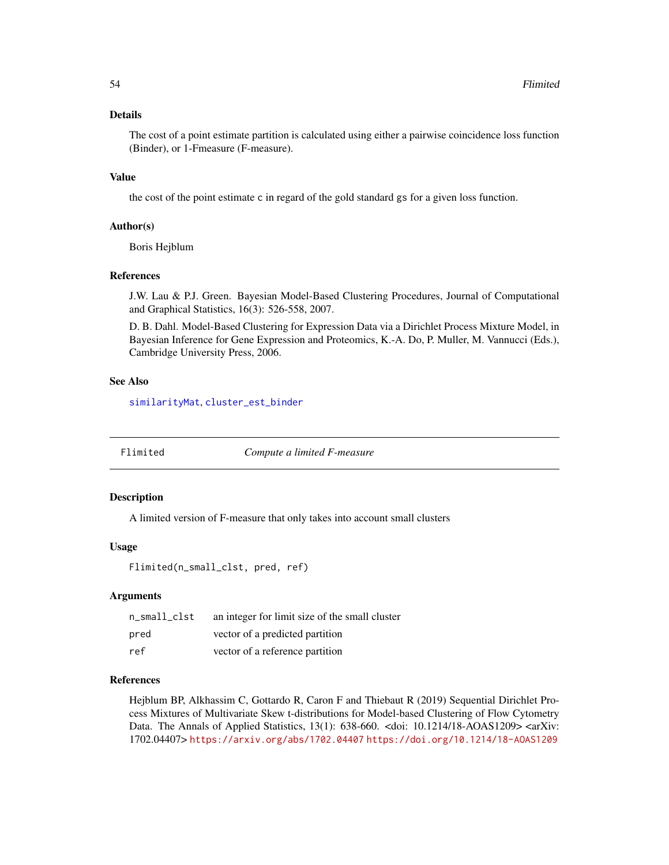## Details

The cost of a point estimate partition is calculated using either a pairwise coincidence loss function (Binder), or 1-Fmeasure (F-measure).

#### Value

the cost of the point estimate c in regard of the gold standard gs for a given loss function.

#### Author(s)

Boris Hejblum

## References

J.W. Lau & P.J. Green. Bayesian Model-Based Clustering Procedures, Journal of Computational and Graphical Statistics, 16(3): 526-558, 2007.

D. B. Dahl. Model-Based Clustering for Expression Data via a Dirichlet Process Mixture Model, in Bayesian Inference for Gene Expression and Proteomics, K.-A. Do, P. Muller, M. Vannucci (Eds.), Cambridge University Press, 2006.

### See Also

[similarityMat](#page-93-0), [cluster\\_est\\_binder](#page-3-0)

Flimited *Compute a limited F-measure*

#### Description

A limited version of F-measure that only takes into account small clusters

#### Usage

Flimited(n\_small\_clst, pred, ref)

### **Arguments**

| n_small_clst | an integer for limit size of the small cluster |
|--------------|------------------------------------------------|
| pred         | vector of a predicted partition                |
| ref          | vector of a reference partition                |

#### References

Hejblum BP, Alkhassim C, Gottardo R, Caron F and Thiebaut R (2019) Sequential Dirichlet Process Mixtures of Multivariate Skew t-distributions for Model-based Clustering of Flow Cytometry Data. The Annals of Applied Statistics, 13(1): 638-660. <doi: 10.1214/18-AOAS1209> <arXiv: 1702.04407> <https://arxiv.org/abs/1702.04407> <https://doi.org/10.1214/18-AOAS1209>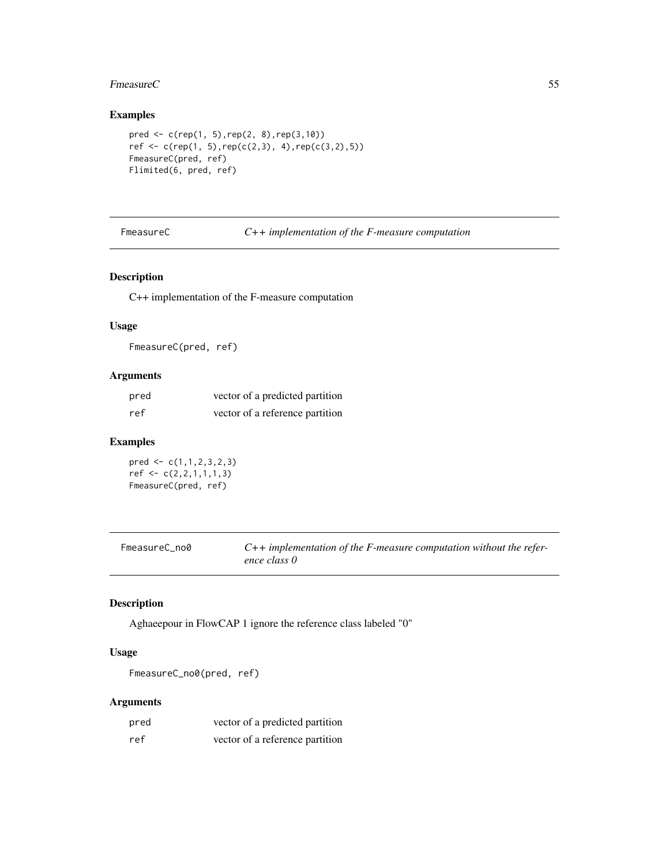#### Fmeasure C  $\sim$  55

# Examples

```
pred <- c(rep(1, 5),rep(2, 8),rep(3,10))
ref \leftarrow c(rep(1, 5), rep(c(2,3), 4), rep(c(3,2),5))FmeasureC(pred, ref)
Flimited(6, pred, ref)
```
FmeasureC *C++ implementation of the F-measure computation*

## Description

C++ implementation of the F-measure computation

# Usage

FmeasureC(pred, ref)

# Arguments

| pred | vector of a predicted partition |
|------|---------------------------------|
| ref  | vector of a reference partition |

# Examples

pred <- c(1,1,2,3,2,3)  $ref < -c(2,2,1,1,1,3)$ FmeasureC(pred, ref)

| FmeasureC no0 | $C++$ implementation of the F-measure computation without the refer- |
|---------------|----------------------------------------------------------------------|
|               | ence class 0                                                         |

# Description

Aghaeepour in FlowCAP 1 ignore the reference class labeled "0"

# Usage

FmeasureC\_no0(pred, ref)

| pred | vector of a predicted partition |
|------|---------------------------------|
| ref  | vector of a reference partition |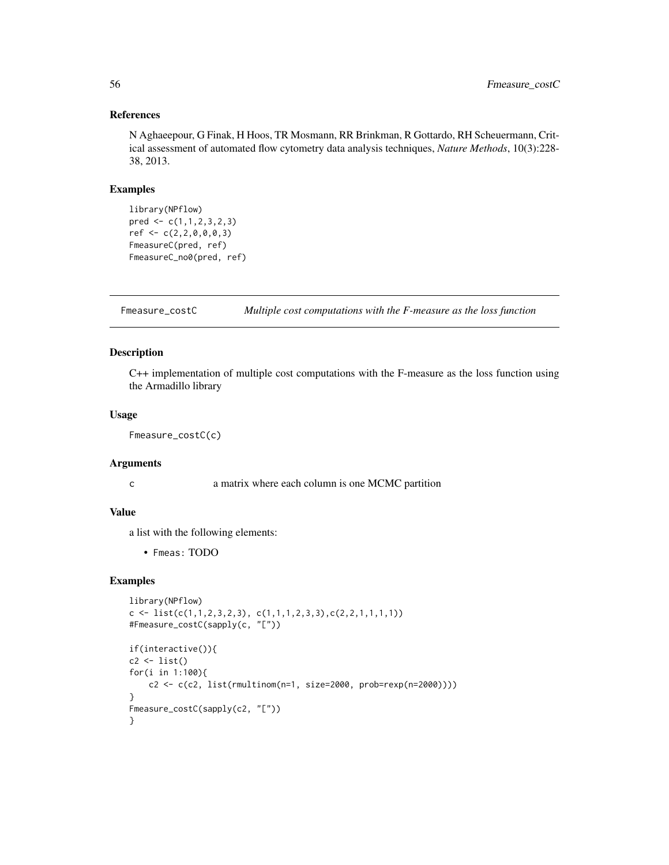## References

N Aghaeepour, G Finak, H Hoos, TR Mosmann, RR Brinkman, R Gottardo, RH Scheuermann, Critical assessment of automated flow cytometry data analysis techniques, *Nature Methods*, 10(3):228- 38, 2013.

## Examples

```
library(NPflow)
pred \leq c(1,1,2,3,2,3)ref <- c(2,2,0,0,0,3)
FmeasureC(pred, ref)
FmeasureC_no0(pred, ref)
```
Fmeasure\_costC *Multiple cost computations with the F-measure as the loss function*

## Description

C++ implementation of multiple cost computations with the F-measure as the loss function using the Armadillo library

## Usage

Fmeasure\_costC(c)

### Arguments

c a matrix where each column is one MCMC partition

# Value

a list with the following elements:

• Fmeas: TODO

```
library(NPflow)
c \leftarrow list(c(1,1,2,3,2,3), c(1,1,1,2,3,3), c(2,2,1,1,1,1))#Fmeasure_costC(sapply(c, "["))
if(interactive()){
c2 \leftarrow list()for(i in 1:100){
    c2 <- c(c2, list(rmultinom(n=1, size=2000, prob=rexp(n=2000))))
}
Fmeasure_costC(sapply(c2, "["))
}
```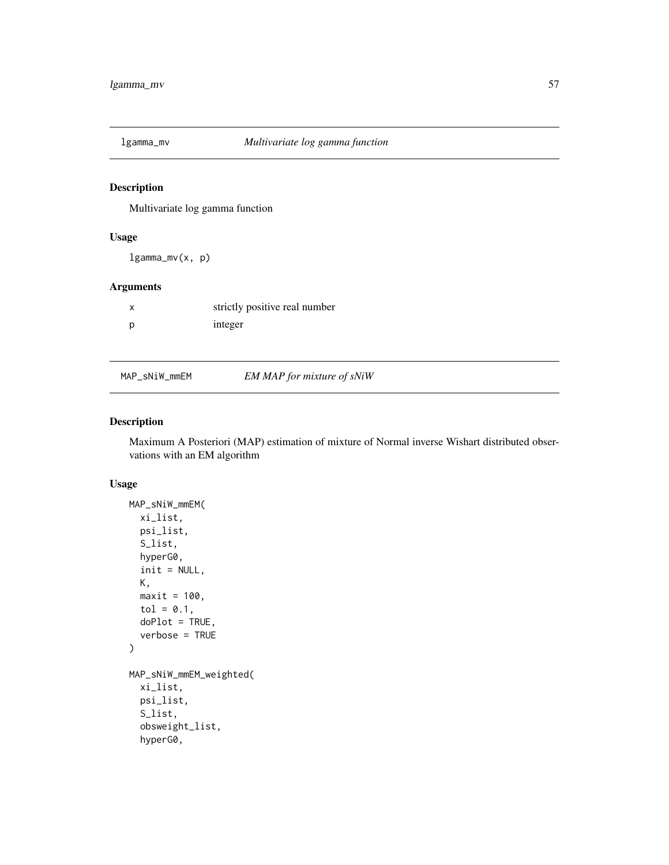# Description

Multivariate log gamma function

# Usage

lgamma\_mv(x, p)

# Arguments

| strictly positive real number |
|-------------------------------|
| integer                       |

# MAP\_sNiW\_mmEM *EM MAP for mixture of sNiW*

## Description

Maximum A Posteriori (MAP) estimation of mixture of Normal inverse Wishart distributed observations with an EM algorithm

#### Usage

```
MAP_sNiW_mmEM(
  xi_list,
  psi_list,
  S_list,
  hyperG0,
  init = NULL,
 K,
 maxit = 100,
  tol = 0.1,doPlot = TRUE,
  verbose = TRUE
)
MAP_sNiW_mmEM_weighted(
  xi_list,
 psi_list,
  S_list,
  obsweight_list,
  hyperG0,
```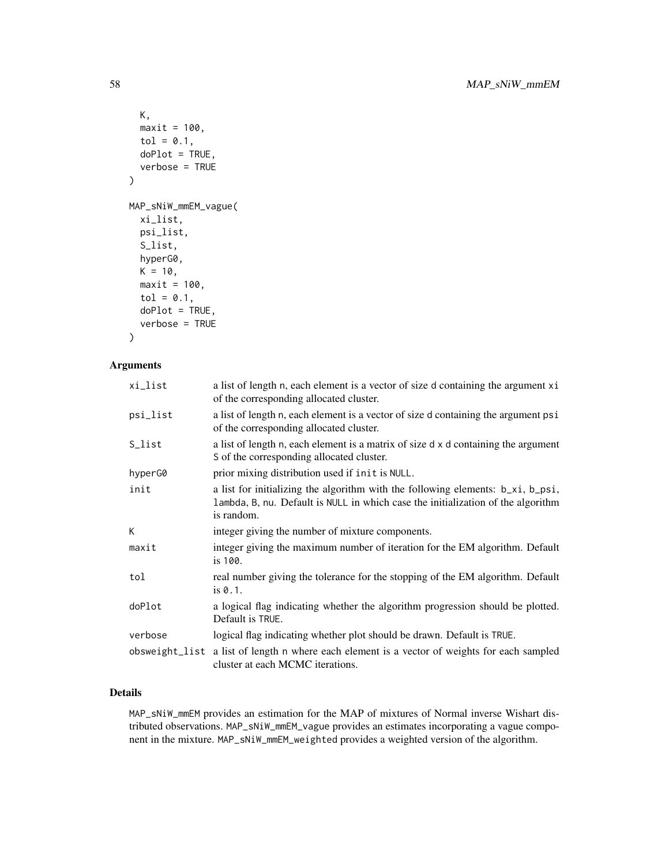```
K,
  maxit = 100,
  tol = 0.1,doPlot = TRUE,
  verbose = TRUE
)
MAP_sNiW_mmEM_vague(
  xi_list,
  psi_list,
  S_list,
  hyperG0,
  K = 10,
  maxit = 100,
  tol = 0.1,doPlot = TRUE,
  verbose = TRUE
```

```
)
```
## Arguments

| xi_list  | a list of length n, each element is a vector of size d containing the argument xi<br>of the corresponding allocated cluster.                                                      |
|----------|-----------------------------------------------------------------------------------------------------------------------------------------------------------------------------------|
| psi_list | a list of length n, each element is a vector of size d containing the argument psi<br>of the corresponding allocated cluster.                                                     |
| S_list   | a list of length n, each element is a matrix of size d x d containing the argument<br>S of the corresponding allocated cluster.                                                   |
| hyperG0  | prior mixing distribution used if init is NULL.                                                                                                                                   |
| init     | a list for initializing the algorithm with the following elements: b_xi, b_psi,<br>lambda, B, nu. Default is NULL in which case the initialization of the algorithm<br>is random. |
| K        | integer giving the number of mixture components.                                                                                                                                  |
| maxit    | integer giving the maximum number of iteration for the EM algorithm. Default<br>is 100.                                                                                           |
| tol      | real number giving the tolerance for the stopping of the EM algorithm. Default<br>is $0.1$ .                                                                                      |
| doPlot   | a logical flag indicating whether the algorithm progression should be plotted.<br>Default is TRUE.                                                                                |
| verbose  | logical flag indicating whether plot should be drawn. Default is TRUE.                                                                                                            |
|          | obsweight_list a list of length n where each element is a vector of weights for each sampled<br>cluster at each MCMC iterations.                                                  |

# Details

MAP\_sNiW\_mmEM provides an estimation for the MAP of mixtures of Normal inverse Wishart distributed observations. MAP\_sNiW\_mmEM\_vague provides an estimates incorporating a vague component in the mixture. MAP\_sNiW\_mmEM\_weighted provides a weighted version of the algorithm.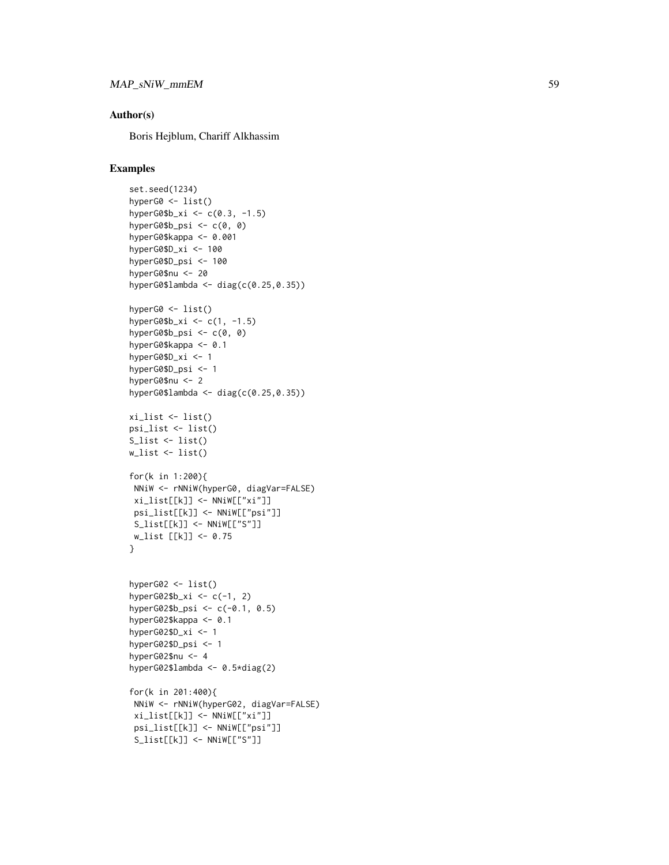## Author(s)

Boris Hejblum, Chariff Alkhassim

```
set.seed(1234)
hyperG0 <- list()
hyperG0$b_xi <- c(0.3, -1.5)
hyperG0$b_psi <- c(0, 0)
hyperG0$kappa <- 0.001
hyperG0$D_xi <- 100
hyperG0$D_psi <- 100
hyperG0$nu <- 20
hyperG0$lambda <- diag(c(0.25,0.35))
hyperG0 <- list()
hyperG0$b_xi <- c(1, -1.5)
hyperG0$b_psi <- c(0, 0)
hyperG0$kappa <- 0.1
hyperG0$D_xi <- 1
hyperG0$D_psi <- 1
hyperG0$nu <- 2
hyperG0$lambda <- diag(c(0.25,0.35))
xi_list <- list()
psi_list <- list()
S_{\text{list}} \leftarrow \text{list}()w_list <- list()
for(k in 1:200){
NNiW <- rNNiW(hyperG0, diagVar=FALSE)
 xi_list[[k]] <- NNiW[["xi"]]
 psi_list[[k]] <- NNiW[["psi"]]
 S_list[[k]] <- NNiW[["S"]]
w_list [[k]] <- 0.75
}
hyperG02 <- list()
hyperG02$b_xi <- c(-1, 2)hyperG02$b_psi <- c(-0.1, 0.5)
hyperG02$kappa <- 0.1
hyperG02$D_xi <- 1
hyperG02$D_psi <- 1
hyperG02$nu <- 4
hyperG02$lambda <- 0.5*diag(2)
for(k in 201:400){
NNiW <- rNNiW(hyperG02, diagVar=FALSE)
 xi_list[[k]] <- NNiW[["xi"]]
 psi_list[[k]] <- NNiW[["psi"]]
 S_list[[k]] <- NNiW[["S"]]
```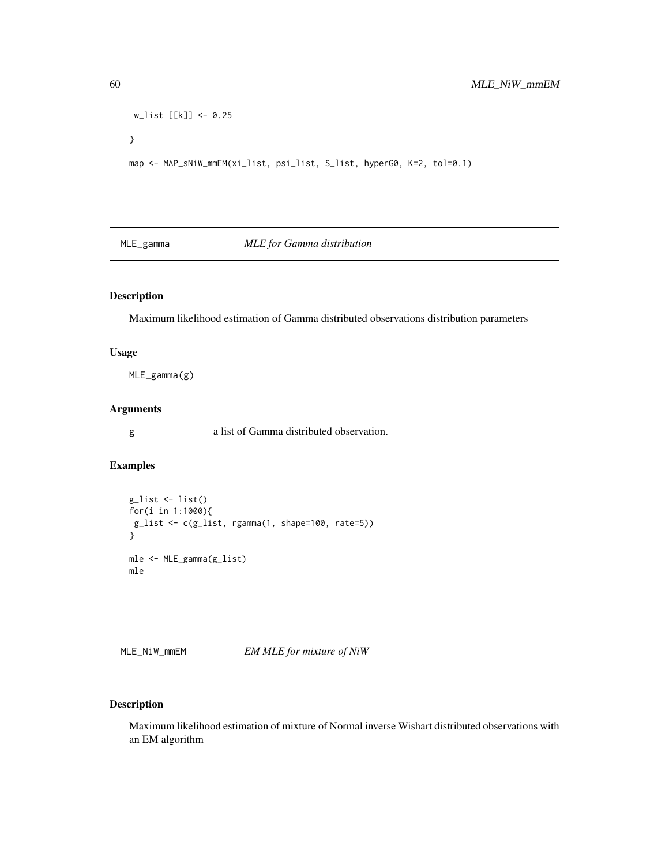```
w_list [[k]] <- 0.25
}
map <- MAP_sNiW_mmEM(xi_list, psi_list, S_list, hyperG0, K=2, tol=0.1)
```
# MLE\_gamma *MLE for Gamma distribution*

# Description

Maximum likelihood estimation of Gamma distributed observations distribution parameters

# Usage

MLE\_gamma(g)

# Arguments

g a list of Gamma distributed observation.

# Examples

```
g_list <- list()
for(i in 1:1000){
g_list <- c(g_list, rgamma(1, shape=100, rate=5))
}
mle <- MLE_gamma(g_list)
mle
```
MLE\_NiW\_mmEM *EM MLE for mixture of NiW*

# Description

Maximum likelihood estimation of mixture of Normal inverse Wishart distributed observations with an EM algorithm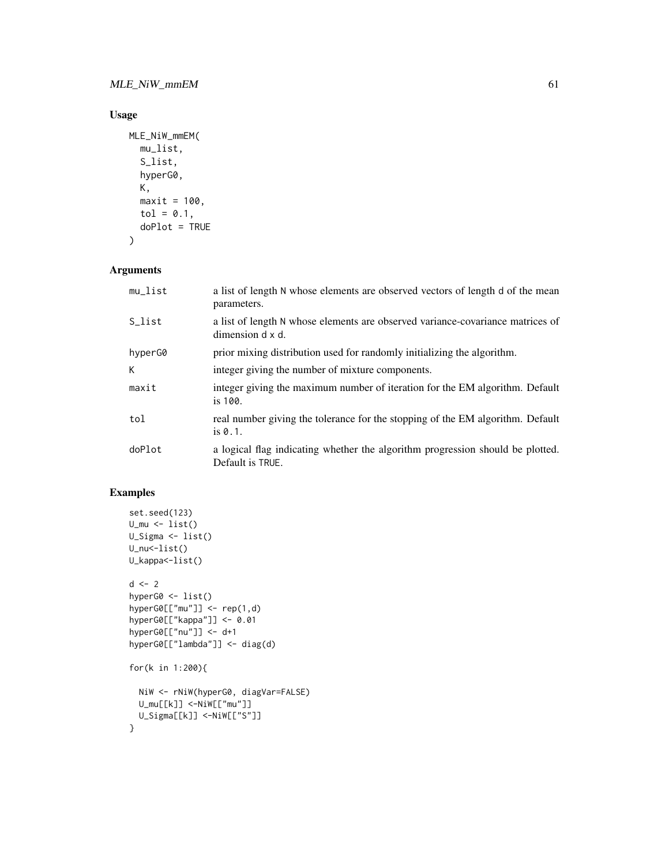# Usage

```
MLE_NiW_mmEM(
  mu_list,
  S_list,
  hyperG0,
  K,
  maxit = 100,
  tol = 0.1,doPlot = TRUE
\mathcal{L}
```
# Arguments

| mu_list | a list of length N whose elements are observed vectors of length d of the mean<br>parameters.      |
|---------|----------------------------------------------------------------------------------------------------|
| S_list  | a list of length N whose elements are observed variance-covariance matrices of<br>dimension d x d. |
| hyperG0 | prior mixing distribution used for randomly initializing the algorithm.                            |
| K       | integer giving the number of mixture components.                                                   |
| maxit   | integer giving the maximum number of iteration for the EM algorithm. Default<br>is $100.$          |
| tol     | real number giving the tolerance for the stopping of the EM algorithm. Default<br>is $0.1$ .       |
| doPlot  | a logical flag indicating whether the algorithm progression should be plotted.<br>Default is TRUE. |

```
set.seed(123)
U_m u \leftarrow list()U_Sigma <- list()
U_nu<-list()
U_kappa<-list()
d \le -2hyperG0 <- list()
hyperGØ[["mu"]] < - rep(1,d)hyperG0[["kappa"]] <- 0.01
hyperG0[["nu"]] <- d+1
hyperG0[["lambda"]] <- diag(d)
for(k in 1:200){
  NiW <- rNiW(hyperG0, diagVar=FALSE)
  U_mu[[k]] <-NiW[["mu"]]
  U_Sigma[[k]] <-NiW[["S"]]
}
```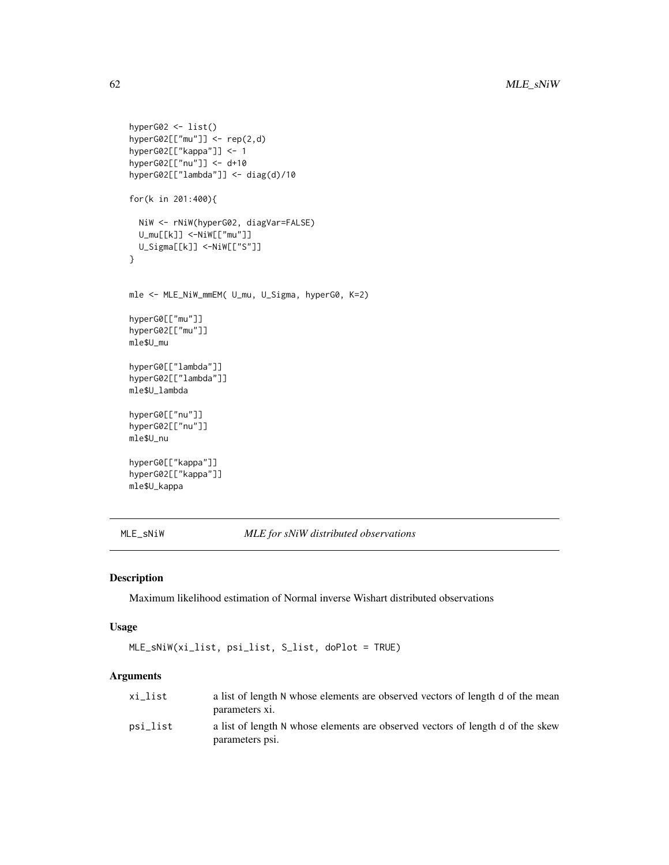```
hyperG02 <- list()
hyperG02[["mu"]] <- rep(2,d)
hyperG02[["kappa"]] <- 1
hyperG02[["nu"]] <- d+10
hyperG02[["lambda"]] <- diag(d)/10
for(k in 201:400){
  NiW <- rNiW(hyperG02, diagVar=FALSE)
  U_mu[[k]] <-NiW[["mu"]]
  U_Sigma[[k]] <-NiW[["S"]]
}
mle <- MLE_NiW_mmEM( U_mu, U_Sigma, hyperG0, K=2)
hyperG0[["mu"]]
hyperG02[["mu"]]
mle$U_mu
hyperG0[["lambda"]]
hyperG02[["lambda"]]
mle$U_lambda
hyperG0[["nu"]]
hyperG02[["nu"]]
mle$U_nu
hyperG0[["kappa"]]
hyperG02[["kappa"]]
mle$U_kappa
```
MLE\_sNiW *MLE for sNiW distributed observations*

## Description

Maximum likelihood estimation of Normal inverse Wishart distributed observations

## Usage

```
MLE_sNiW(xi_list, psi_list, S_list, doPlot = TRUE)
```

| xi list  | a list of length N whose elements are observed vectors of length d of the mean                    |
|----------|---------------------------------------------------------------------------------------------------|
|          | parameters xi.                                                                                    |
| psi list | a list of length N whose elements are observed vectors of length d of the skew<br>parameters psi. |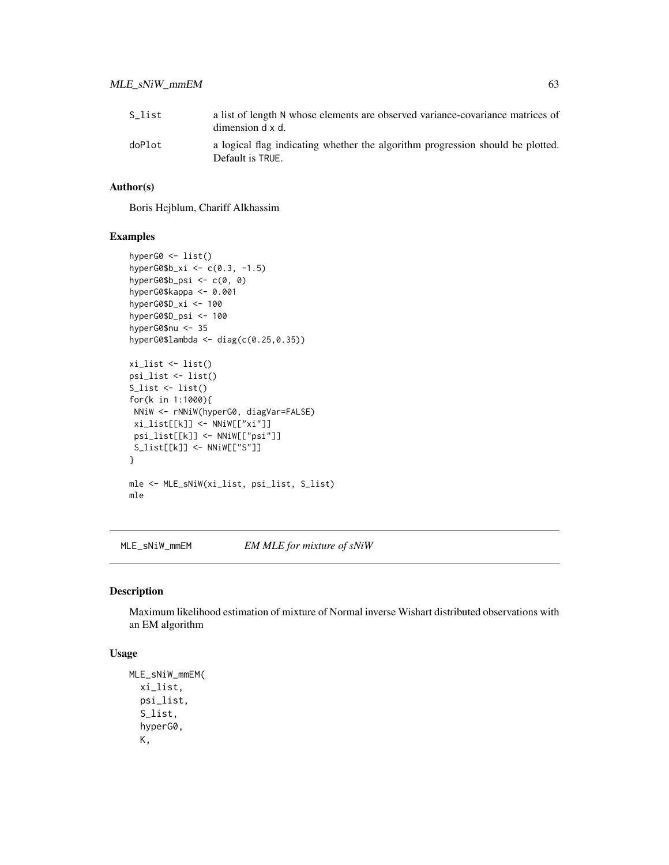| S list | a list of length N whose elements are observed variance-covariance matrices of<br>dimension d x d. |
|--------|----------------------------------------------------------------------------------------------------|
| doPlot | a logical flag indicating whether the algorithm progression should be plotted.<br>Default is TRUE. |

### Author(s)

Boris Hejblum, Chariff Alkhassim

## Examples

```
hyperG0 <- list()
hyperG0$b_xi <- c(0.3, -1.5)
hyperG0$b_psi <- c(0, 0)
hyperG0$kappa <- 0.001
hyperG0$D_xi <- 100
hyperG0$D_psi <- 100
hyperG0$nu <- 35
hyperG0$lambda <- diag(c(0.25,0.35))
xi_list <- list()
psi_list <- list()
S_list <- list()
for(k in 1:1000){
NNiW <- rNNiW(hyperG0, diagVar=FALSE)
xi_list[[k]] <- NNiW[["xi"]]
 psi_list[[k]] <- NNiW[["psi"]]
 S_list[[k]] <- NNiW[["S"]]
}
mle <- MLE_sNiW(xi_list, psi_list, S_list)
mle
```
MLE\_sNiW\_mmEM *EM MLE for mixture of sNiW*

#### Description

Maximum likelihood estimation of mixture of Normal inverse Wishart distributed observations with an EM algorithm

## Usage

```
MLE_sNiW_mmEM(
  xi_list,
 psi_list,
  S_list,
  hyperG0,
  K,
```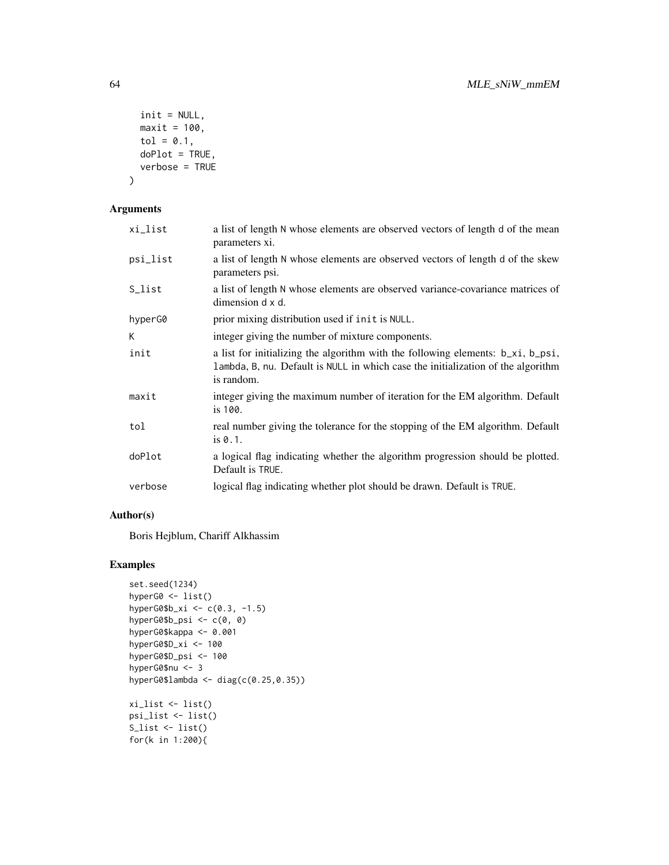```
init = NULL,maxit = 100,
  tol = 0.1,doPlot = TRUE,
  verbose = TRUE
\mathcal{L}
```
# Arguments

| xi_list  | a list of length N whose elements are observed vectors of length d of the mean<br>parameters xi.                                                                                  |
|----------|-----------------------------------------------------------------------------------------------------------------------------------------------------------------------------------|
| psi_list | a list of length N whose elements are observed vectors of length d of the skew<br>parameters psi.                                                                                 |
| S_list   | a list of length N whose elements are observed variance-covariance matrices of<br>dimension d x d.                                                                                |
| hyperG0  | prior mixing distribution used if init is NULL.                                                                                                                                   |
| K.       | integer giving the number of mixture components.                                                                                                                                  |
| init     | a list for initializing the algorithm with the following elements: b_xi, b_psi,<br>lambda, B, nu. Default is NULL in which case the initialization of the algorithm<br>is random. |
| maxit    | integer giving the maximum number of iteration for the EM algorithm. Default<br>is 100.                                                                                           |
| tol      | real number giving the tolerance for the stopping of the EM algorithm. Default<br>is 0.1.                                                                                         |
| doPlot   | a logical flag indicating whether the algorithm progression should be plotted.<br>Default is TRUE.                                                                                |
| verbose  | logical flag indicating whether plot should be drawn. Default is TRUE.                                                                                                            |

# Author(s)

Boris Hejblum, Chariff Alkhassim

```
set.seed(1234)
hyperG0 <- list()
hyperG0$b_xi <- c(0.3, -1.5)hyperG0$b_psi <- c(0, 0)
hyperG0$kappa <- 0.001
hyperG0$D_xi <- 100
hyperG0$D_psi <- 100
hyperG0$nu <- 3
hyperG0$lambda <- diag(c(0.25,0.35))
xi_list <- list()
psi_list <- list()
S_list <- list()
for(k in 1:200){
```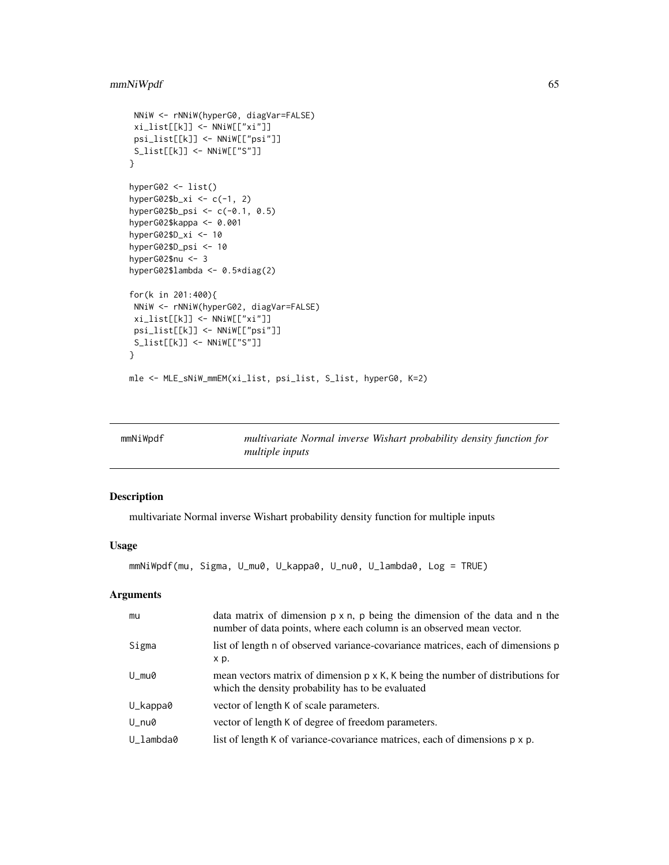# mmNiWpdf 65

```
NNiW <- rNNiW(hyperG0, diagVar=FALSE)
xi_list[[k]] <- NNiW[["xi"]]
 psi_list[[k]] <- NNiW[["psi"]]
S_list[[k]] <- NNiW[["S"]]
}
hyperG02 <- list()
hyperG02$b_xi <- c(-1, 2)
hyperG02$b_psi <- c(-0.1, 0.5)
hyperG02$kappa <- 0.001
hyperG02$D_xi <- 10
hyperG02$D_psi <- 10
hyperG02$nu <- 3
hyperG02$lambda <- 0.5*diag(2)
for(k in 201:400){
NNiW <- rNNiW(hyperG02, diagVar=FALSE)
 xi_list[[k]] <- NNiW[["xi"]]
 psi_list[[k]] <- NNiW[["psi"]]
 S_list[[k]] <- NNiW[["S"]]
}
mle <- MLE_sNiW_mmEM(xi_list, psi_list, S_list, hyperG0, K=2)
```

| mmNiWpdf | multivariate Normal inverse Wishart probability density function for |  |  |  |
|----------|----------------------------------------------------------------------|--|--|--|
|          | <i>multiple inputs</i>                                               |  |  |  |

# Description

multivariate Normal inverse Wishart probability density function for multiple inputs

## Usage

```
mmNiWpdf(mu, Sigma, U_mu0, U_kappa0, U_nu0, U_lambda0, Log = TRUE)
```

| mu        | data matrix of dimension $p \times n$ , p being the dimension of the data and n the<br>number of data points, where each column is an observed mean vector. |
|-----------|-------------------------------------------------------------------------------------------------------------------------------------------------------------|
| Sigma     | list of length n of observed variance-covariance matrices, each of dimensions p<br>x p.                                                                     |
| U mu0     | mean vectors matrix of dimension $p \times K$ , K being the number of distributions for<br>which the density probability has to be evaluated                |
| U_kappa0  | vector of length K of scale parameters.                                                                                                                     |
| U_nu0     | vector of length K of degree of freedom parameters.                                                                                                         |
| U lambda0 | list of length K of variance-covariance matrices, each of dimensions p x p.                                                                                 |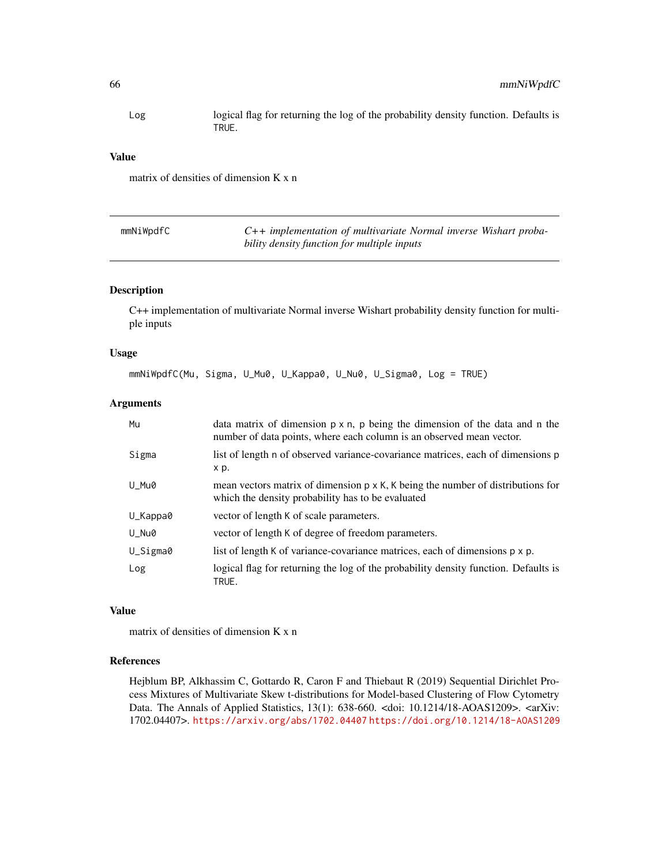Log logical flag for returning the log of the probability density function. Defaults is TRUE.

### Value

matrix of densities of dimension K x n

| mmNiWpdfC | $C++$ implementation of multivariate Normal inverse Wishart proba- |
|-----------|--------------------------------------------------------------------|
|           | bility density function for multiple inputs                        |

## Description

C++ implementation of multivariate Normal inverse Wishart probability density function for multiple inputs

## Usage

```
mmNiWpdfC(Mu, Sigma, U_Mu0, U_Kappa0, U_Nu0, U_Sigma0, Log = TRUE)
```
## Arguments

| Mu       | data matrix of dimension $p \times n$ , p being the dimension of the data and n the<br>number of data points, where each column is an observed mean vector. |
|----------|-------------------------------------------------------------------------------------------------------------------------------------------------------------|
| Sigma    | list of length n of observed variance-covariance matrices, each of dimensions p<br>x p.                                                                     |
| U Mu0    | mean vectors matrix of dimension $p \times K$ , K being the number of distributions for<br>which the density probability has to be evaluated                |
| U_Kappa0 | vector of length K of scale parameters.                                                                                                                     |
| U_Nu0    | vector of length K of degree of freedom parameters.                                                                                                         |
| U_Sigma0 | list of length K of variance-covariance matrices, each of dimensions p x p.                                                                                 |
| Log      | logical flag for returning the log of the probability density function. Defaults is<br>TRUE.                                                                |

#### Value

matrix of densities of dimension K x n

## References

Hejblum BP, Alkhassim C, Gottardo R, Caron F and Thiebaut R (2019) Sequential Dirichlet Process Mixtures of Multivariate Skew t-distributions for Model-based Clustering of Flow Cytometry Data. The Annals of Applied Statistics, 13(1): 638-660. <doi: 10.1214/18-AOAS1209>. <arXiv: 1702.04407>. <https://arxiv.org/abs/1702.04407> <https://doi.org/10.1214/18-AOAS1209>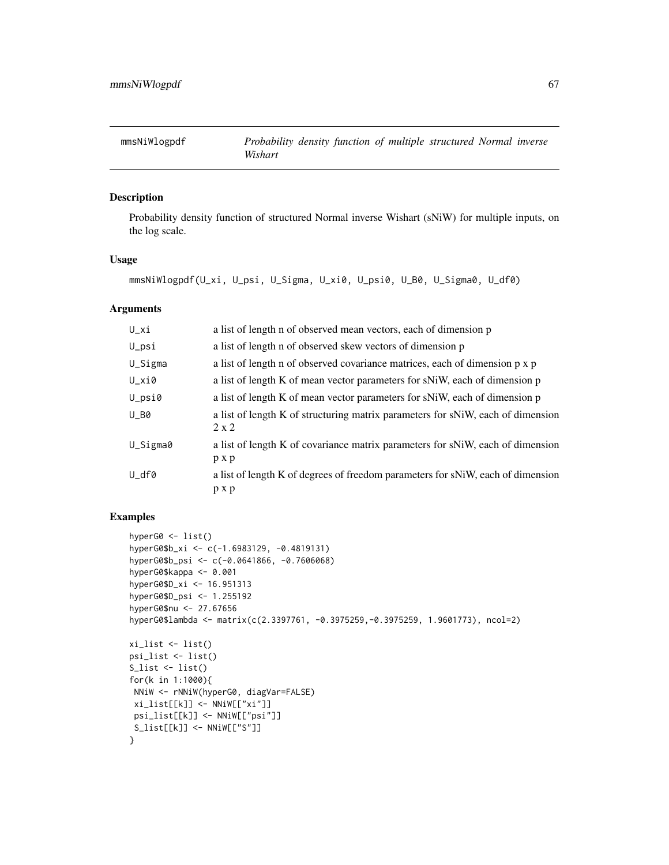# Description

Probability density function of structured Normal inverse Wishart (sNiW) for multiple inputs, on the log scale.

### Usage

```
mmsNiWlogpdf(U_xi, U_psi, U_Sigma, U_xi0, U_psi0, U_B0, U_Sigma0, U_df0)
```
#### Arguments

| $U_x$ i            | a list of length n of observed mean vectors, each of dimension p                                |
|--------------------|-------------------------------------------------------------------------------------------------|
| $U$ <sub>psi</sub> | a list of length n of observed skew vectors of dimension p                                      |
| U_Sigma            | a list of length n of observed covariance matrices, each of dimension p x p                     |
| U_xi0              | a list of length K of mean vector parameters for sNiW, each of dimension p                      |
| $U$ _psi0          | a list of length K of mean vector parameters for sNiW, each of dimension p                      |
| $U_B0$             | a list of length K of structuring matrix parameters for sNiW, each of dimension<br>$2 \times 2$ |
| U_Sigma0           | a list of length K of covariance matrix parameters for sNiW, each of dimension<br>p x p         |
| U_df0              | a list of length K of degrees of freedom parameters for sNiW, each of dimension<br>p x p        |

```
hyperG0 <- list()
hyperG0$b_xi <- c(-1.6983129, -0.4819131)
hyperG0$b_psi <- c(-0.0641866, -0.7606068)
hyperG0$kappa <- 0.001
hyperG0$D_xi <- 16.951313
hyperG0$D_psi <- 1.255192
hyperG0$nu <- 27.67656
hyperG0$lambda <- matrix(c(2.3397761, -0.3975259,-0.3975259, 1.9601773), ncol=2)
xi_list <- list()
psi_list <- list()
S_{\text{list}} \leftarrow \text{list}()for(k in 1:1000){
NNiW <- rNNiW(hyperG0, diagVar=FALSE)
 xi_list[[k]] <- NNiW[["xi"]]
 psi_list[[k]] <- NNiW[["psi"]]
S_list[[k]] <- NNiW[["S"]]
}
```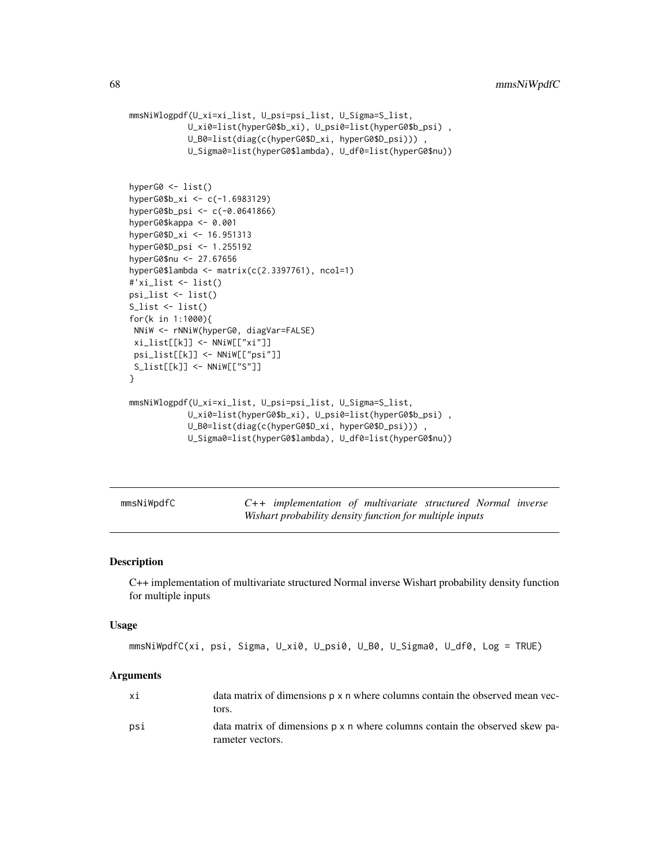```
mmsNiWlogpdf(U_xi=xi_list, U_psi=psi_list, U_Sigma=S_list,
            U_xi0=list(hyperG0$b_xi), U_psi0=list(hyperG0$b_psi) ,
            U_B0=list(diag(c(hyperG0$D_xi, hyperG0$D_psi))) ,
            U_Sigma0=list(hyperG0$lambda), U_df0=list(hyperG0$nu))
hyperG0 <- list()
hyperG0$b_xi <- c(-1.6983129)
hyperG0$b_psi <- c(-0.0641866)
hyperG0$kappa <- 0.001
hyperG0$D_xi <- 16.951313
hyperG0$D_psi <- 1.255192
hyperG0$nu <- 27.67656
hyperG0$lambda <- matrix(c(2.3397761), ncol=1)
#'xi_list <- list()
psi_list <- list()
S_{\text{list}} \leftarrow \text{list}()for(k in 1:1000){
NNiW <- rNNiW(hyperG0, diagVar=FALSE)
xi_list[[k]] <- NNiW[["xi"]]
psi_list[[k]] <- NNiW[["psi"]]
S_list[[k]] <- NNiW[["S"]]
}
mmsNiWlogpdf(U_xi=xi_list, U_psi=psi_list, U_Sigma=S_list,
            U_xi0=list(hyperG0$b_xi), U_psi0=list(hyperG0$b_psi) ,
            U_B0=list(diag(c(hyperG0$D_xi, hyperG0$D_psi))) ,
            U_Sigma0=list(hyperG0$lambda), U_df0=list(hyperG0$nu))
```
mmsNiWpdfC *C++ implementation of multivariate structured Normal inverse Wishart probability density function for multiple inputs*

#### Description

C++ implementation of multivariate structured Normal inverse Wishart probability density function for multiple inputs

#### Usage

```
mmsNiWpdfC(xi, psi, Sigma, U_xi0, U_psi0, U_B0, U_Sigma0, U_df0, Log = TRUE)
```

| хi  | data matrix of dimensions p x n where columns contain the observed mean vec-<br>tors.           |
|-----|-------------------------------------------------------------------------------------------------|
| psi | data matrix of dimensions p x n where columns contain the observed skew pa-<br>rameter vectors. |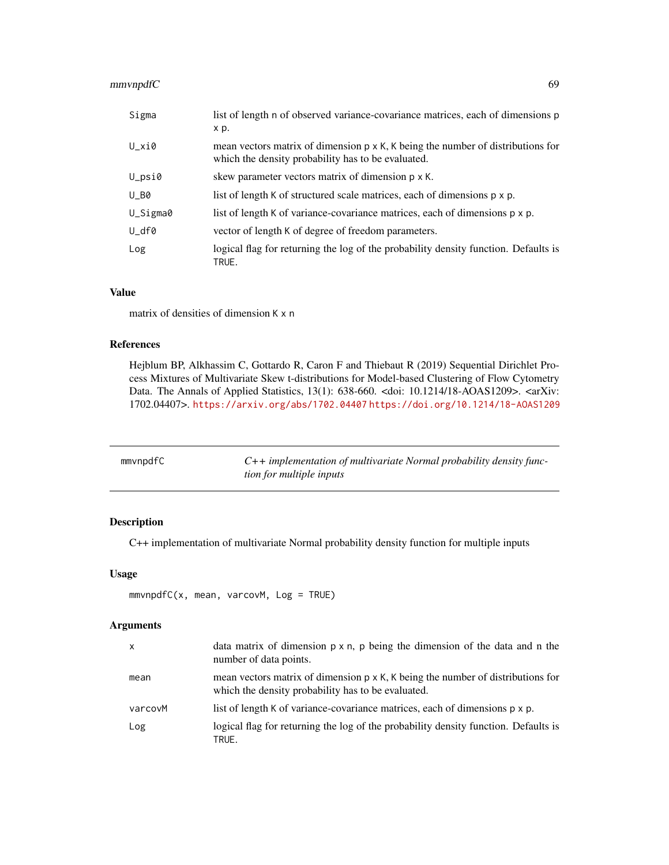# mmvnpdfC 69

| Sigma    | list of length n of observed variance-covariance matrices, each of dimensions p<br>x p.                                                       |
|----------|-----------------------------------------------------------------------------------------------------------------------------------------------|
| U_xi0    | mean vectors matrix of dimension $p \times K$ , K being the number of distributions for<br>which the density probability has to be evaluated. |
| U_psi0   | skew parameter vectors matrix of dimension $p \times K$ .                                                                                     |
| $U_B0$   | list of length K of structured scale matrices, each of dimensions p x p.                                                                      |
| U_Sigma0 | list of length K of variance-covariance matrices, each of dimensions p x p.                                                                   |
| U_df0    | vector of length K of degree of freedom parameters.                                                                                           |
| Log      | logical flag for returning the log of the probability density function. Defaults is<br>TRUE.                                                  |

# Value

matrix of densities of dimension K x n

## References

Hejblum BP, Alkhassim C, Gottardo R, Caron F and Thiebaut R (2019) Sequential Dirichlet Process Mixtures of Multivariate Skew t-distributions for Model-based Clustering of Flow Cytometry Data. The Annals of Applied Statistics, 13(1): 638-660. <doi: 10.1214/18-AOAS1209>. <arXiv: 1702.04407>. <https://arxiv.org/abs/1702.04407> <https://doi.org/10.1214/18-AOAS1209>

| mmvnpdfC | $C++$ implementation of multivariate Normal probability density func- |
|----------|-----------------------------------------------------------------------|
|          | <i>tion for multiple inputs</i>                                       |

# Description

C++ implementation of multivariate Normal probability density function for multiple inputs

## Usage

```
mmvnpdfC(x, mean, varcovM, Log = TRUE)
```

| $\mathsf{x}$ | data matrix of dimension $p \times n$ , p being the dimension of the data and n the<br>number of data points.                                 |
|--------------|-----------------------------------------------------------------------------------------------------------------------------------------------|
| mean         | mean vectors matrix of dimension $p \times K$ , K being the number of distributions for<br>which the density probability has to be evaluated. |
| varcovM      | list of length K of variance-covariance matrices, each of dimensions p x p.                                                                   |
| Log          | logical flag for returning the log of the probability density function. Defaults is<br>TRUE.                                                  |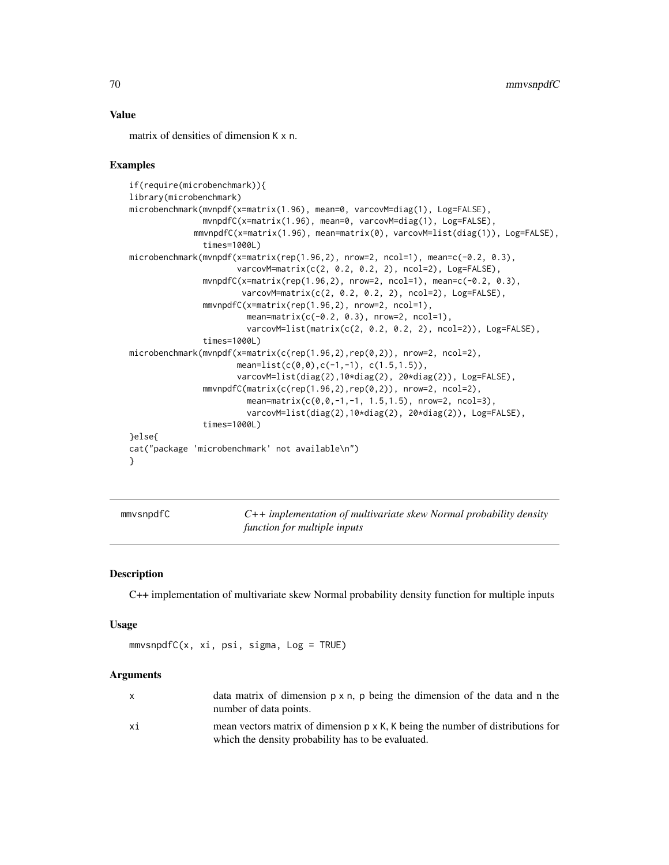#### Value

matrix of densities of dimension K x n.

### Examples

```
if(require(microbenchmark)){
library(microbenchmark)
microbenchmark(mvnpdf(x=matrix(1.96), mean=0, varcovM=diag(1), Log=FALSE),
               mvnpdfC(x=matrix(1.96), mean=0, varcovM=diag(1), Log=FALSE),
             mmvnpdfC(x=matrix(1.96), mean=matrix(0), varcovM=list(diag(1)), Log=FALSE),
               times=1000L)
microbenchmark(mvnpdf(x=matrix(rep(1.96,2), nrow=2, ncol=1), mean=c(-0.2, 0.3),
                      varcovM=matrix(c(2, 0.2, 0.2, 2), ncol=2), Log=FALSE),
               mvnpdfC(x=matrix(rep(1.96,2), nrow=2, ncol=1), mean=c(-0.2, 0.3),
                       varcovM=matrix(c(2, 0.2, 0.2, 2), ncol=2), Log=FALSE),
               mmvnpdfC(x=matrix(rep(1.96,2), nrow=2, ncol=1),
                        mean=matrix(c(-0.2, 0.3), nrow=2, ncol=1),
                        varcovM=list(matrix(c(2, 0.2, 0.2, 2), ncol=2)), Log=FALSE),
               times=1000L)
microbenchmark(mvnpdf(x=matrix(c(rep(1.96,2),rep(0,2)), nrow=2, ncol=2),
                      mean=list(c(0,0),c(-1,-1), c(1.5,1.5)),varcovM=list(diag(2),10*diag(2), 20*diag(2)), Log=FALSE),
               mmvnpdfC(matrix(c(rep(1.96,2),rep(0,2)), nrow=2, ncol=2),
                        mean=matrix(c(0, 0, -1, -1, 1.5, 1.5), nrow=2, ncol=3),
                        varcovM=list(diag(2),10*diag(2), 20*diag(2)), Log=FALSE),
               times=1000L)
}else{
cat("package 'microbenchmark' not available\n")
}
```
mmvsnpdfC *C++ implementation of multivariate skew Normal probability density function for multiple inputs*

## **Description**

C++ implementation of multivariate skew Normal probability density function for multiple inputs

#### Usage

 $mmvsnpdfC(x, xi, psi, sigma, Log = TRUE)$ 

|    | data matrix of dimension $p \times n$ , p being the dimension of the data and n the<br>number of data points.                                 |
|----|-----------------------------------------------------------------------------------------------------------------------------------------------|
| хi | mean vectors matrix of dimension $p \times K$ , K being the number of distributions for<br>which the density probability has to be evaluated. |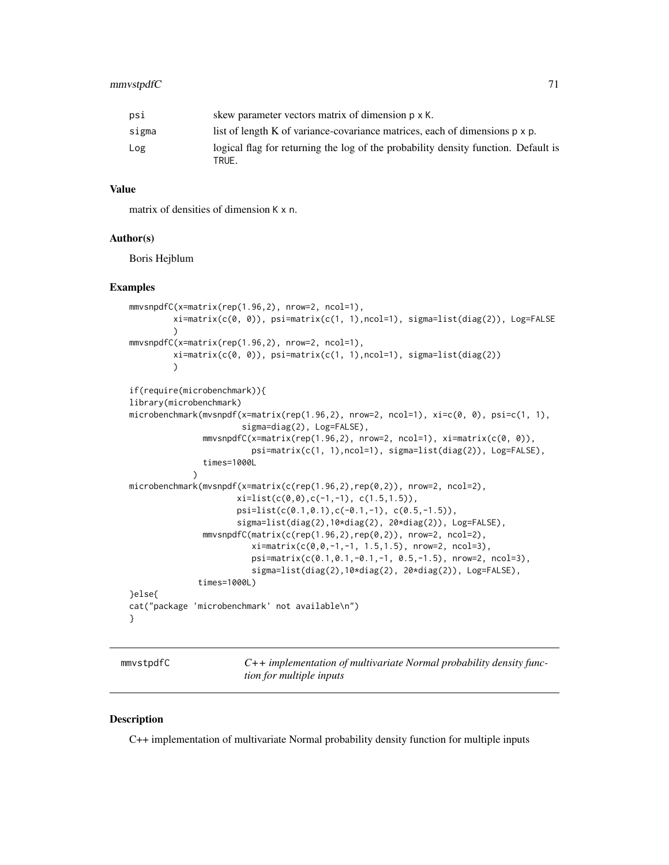## mmvstpdfC 71

| psi   | skew parameter vectors matrix of dimension p x K.                                           |
|-------|---------------------------------------------------------------------------------------------|
| sigma | list of length K of variance-covariance matrices, each of dimensions $p \times p$ .         |
| Log   | logical flag for returning the log of the probability density function. Default is<br>TRUE. |

## Value

matrix of densities of dimension K x n.

#### Author(s)

Boris Hejblum

## Examples

```
mmvsnpdfC(x=matrix(rep(1.96,2), nrow=2, ncol=1),
         xi=matrix(c(0, 0)), psi=matrix(c(1, 1),ncol=1), sigma=list(diag(2)), Log=FALSE
         )
mmvsnpdfC(x=matrix(rep(1.96,2), nrow=2, ncol=1),
         xi=matrix(c(0, 0)), psi=matrix(c(1, 1),ncol=1), sigma=list(diag(2))
         )
if(require(microbenchmark)){
library(microbenchmark)
microbenchmark(mvsnpdf(x=matrix(rep(1.96,2), nrow=2, ncol=1), xi=c(0, 0), psi=c(1, 1),
                       sigma=diag(2), Log=FALSE),
               mmvsnpdfC(x=matrix(rep(1.96,2), nrow=2, ncol=1), xi=matrix(c(0, 0)),
                         psi=matrix(c(1, 1),ncol=1), sigma=list(diag(2)), Log=FALSE),
               times=1000L
             )
microbenchmark(mvsnpdf(x=matrix(c(rep(1.96,2),rep(0,2)), nrow=2, ncol=2),
                      xi=list(c(\emptyset, \emptyset), c(-1, -1), c(1.5, 1.5)),psi=list(c(0.1,0.1),c(-0.1,-1), c(0.5,-1.5)),
                      sigma=list(diag(2),10*diag(2), 20*diag(2)), Log=FALSE),
               mmvsnpdfC(matrix(c(rep(1.96,2),rep(0,2)), nrow=2, ncol=2),
                         xi=matrix(c(0,0,-1,-1, 1.5,1.5), nrow=2, ncol=3),
                         psi=matrix(c(0.1,0.1,-0.1,-1, 0.5,-1.5), nrow=2, ncol=3),
                         sigma=list(diag(2),10*diag(2), 20*diag(2)), Log=FALSE),
              times=1000L)
}else{
cat("package 'microbenchmark' not available\n")
}
```

| mmvstpdfC |  |
|-----------|--|
|           |  |

C++ *implementation of multivariate Normal probability density function for multiple inputs*

### **Description**

C++ implementation of multivariate Normal probability density function for multiple inputs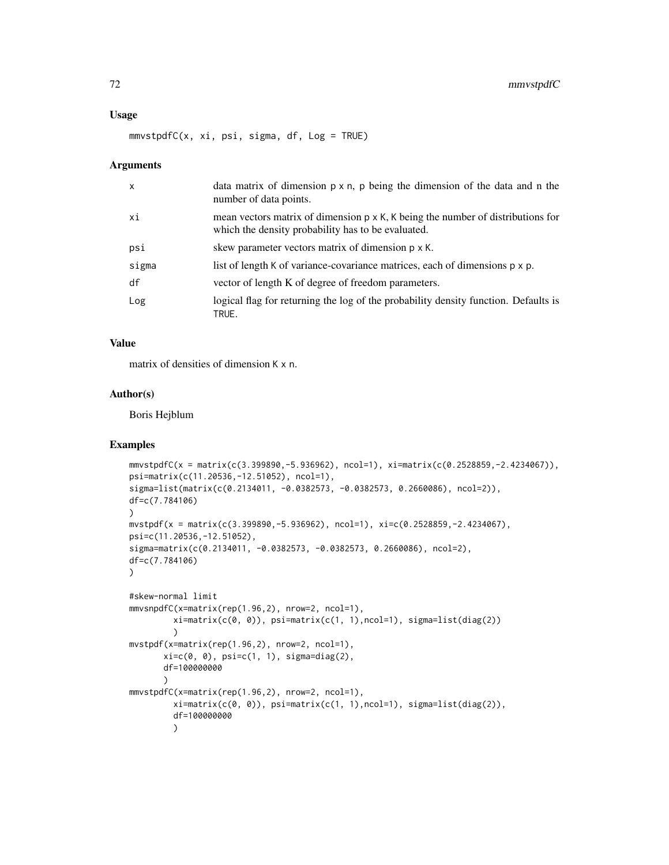#### Usage

mmvstpdfC(x, xi, psi, sigma, df, Log = TRUE)

#### Arguments

| $\mathsf{x}$ | data matrix of dimension $p \times n$ , p being the dimension of the data and n the<br>number of data points.                                 |
|--------------|-----------------------------------------------------------------------------------------------------------------------------------------------|
| хi           | mean vectors matrix of dimension $p \times K$ , K being the number of distributions for<br>which the density probability has to be evaluated. |
| psi          | skew parameter vectors matrix of dimension p x K.                                                                                             |
| sigma        | list of length K of variance-covariance matrices, each of dimensions p x p.                                                                   |
| df           | vector of length K of degree of freedom parameters.                                                                                           |
| Log          | logical flag for returning the log of the probability density function. Defaults is<br>TRUE.                                                  |

## Value

matrix of densities of dimension K x n.

### Author(s)

Boris Hejblum

```
mmvstpdfC(x = matrix(c(3.399890,-5.936962), ncol=1), xi=matrix(c(0.2528859,-2.4234067)),
psi=matrix(c(11.20536,-12.51052), ncol=1),
sigma=list(matrix(c(0.2134011, -0.0382573, -0.0382573, 0.2660086), ncol=2)),
df=c(7.784106)
)
m \times \text{tpdf}(x) = \text{matrix}(c(3.399890, -5.936962), \text{ncol} = 1), \text{ xi} = c(0.2528859, -2.4234067),psi=c(11.20536,-12.51052),
sigma=matrix(c(0.2134011, -0.0382573, -0.0382573, 0.2660086), ncol=2),
df=c(7.784106)
)
#skew-normal limit
mmvsnpdfC(x=matrix(rep(1.96,2), nrow=2, ncol=1),
         xi=matrix(c(0, 0)), psi=matrix(c(1, 1),ncol=1), sigma=list(diag(2))
         )
mvstpdf(x=matrix(rep(1.96,2), nrow=2, ncol=1),
       xi = c(0, 0), \psi = c(1, 1), \sigma = d i a g(2),df=100000000
       )
mmvstpdfC(x=matrix(rep(1.96,2), nrow=2, ncol=1),
         xi = matrix(c(\emptyset, \emptyset)), psi = matrix(c(1, 1), ncol=1), sigma = list(diag(2)),df=100000000
         )
```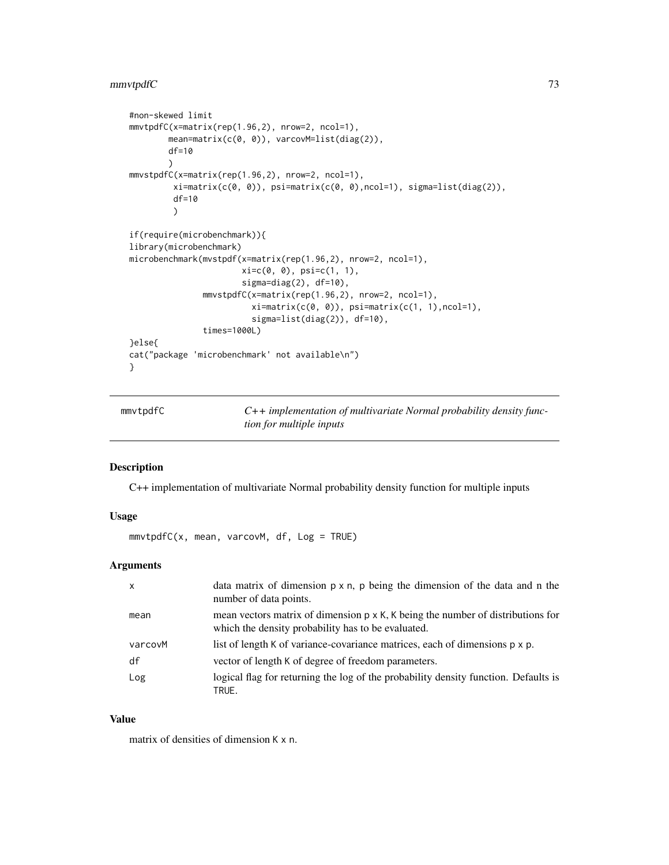## <span id="page-72-0"></span>mmvtpdfC 73

```
#non-skewed limit
mmvtpdfC(x=matrix(rep(1.96,2), nrow=2, ncol=1),
        mean=matrix(c(0, 0)), varcovM=list(diag(2)),
        df=10
        )
mmvstpdfC(x=matrix(rep(1.96,2), nrow=2, ncol=1),
         xi=matrix(c(0, 0)), psi=matrix(c(0, 0),ncol=1), sigma=list(diag(2)),
         df=10
         )
if(require(microbenchmark)){
library(microbenchmark)
microbenchmark(mvstpdf(x=matrix(rep(1.96,2), nrow=2, ncol=1),
                        xi=c(0, 0), psi=c(1, 1),
                        sigma=diag(2), df=10),
               mmvstpdfC(x=matrix(rep(1.96,2), nrow=2, ncol=1),
                          xi=matrix(c(\emptyset, \emptyset)), psi=matrix(c(1, 1), ncol=1),
                          sigma=list(diag(2)), df=10),
               times=1000L)
}else{
cat("package 'microbenchmark' not available\n")
}
```
mmvtpdfC *C++ implementation of multivariate Normal probability density function for multiple inputs*

#### Description

C++ implementation of multivariate Normal probability density function for multiple inputs

#### Usage

mmvtpdfC(x, mean, varcovM, df, Log = TRUE)

#### Arguments

| X       | data matrix of dimension $p \times n$ , $p$ being the dimension of the data and $n$ the<br>number of data points.                             |
|---------|-----------------------------------------------------------------------------------------------------------------------------------------------|
| mean    | mean vectors matrix of dimension $p \times K$ , K being the number of distributions for<br>which the density probability has to be evaluated. |
| varcovM | list of length K of variance-covariance matrices, each of dimensions p x p.                                                                   |
| df      | vector of length K of degree of freedom parameters.                                                                                           |
| Log     | logical flag for returning the log of the probability density function. Defaults is<br>TRUE.                                                  |

#### Value

matrix of densities of dimension K x n.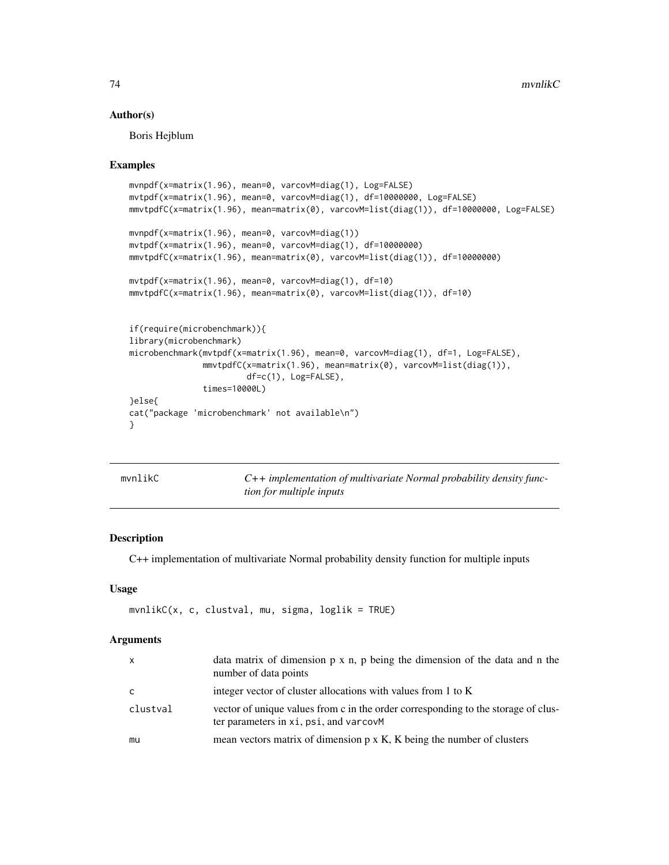#### Author(s)

Boris Hejblum

#### Examples

```
mvnpdf(x=matrix(1.96), mean=0, varcovM=diag(1), Log=FALSE)
mvtpdf(x=matrix(1.96), mean=0, varcovM=diag(1), df=10000000, Log=FALSE)
mmvtpdfC(x=matrix(1.96), mean=matrix(0), varcovM=list(diag(1)), df=10000000, Log=FALSE)
mvnpdf(x=matrix(1.96), mean=0, varcovM=diag(1))
mvtpdf(x=matrix(1.96), mean=0, varcovM=diag(1), df=10000000)
mmvtpdfC(x=matrix(1.96), mean=matrix(0), varcovM=list(diag(1)), df=10000000)
mvtpdf(x=matrix(1.96), mean=0, varcovM=diag(1), df=10)
mmvtpdfC(x=matrix(1.96), mean=matrix(0), varcovM=list(diag(1)), df=10)
if(require(microbenchmark)){
library(microbenchmark)
microbenchmark(mvtpdf(x=matrix(1.96), mean=0, varcovM=diag(1), df=1, Log=FALSE),
               mmvtpdfC(x=matrix(1.96), mean=matrix(0), varcovM=list(diag(1)),
                        df=c(1), Log=FALSE),
               times=10000L)
}else{
cat("package 'microbenchmark' not available\n")
}
```

| mvnlikC | $C++$ implementation of multivariate Normal probability density func- |
|---------|-----------------------------------------------------------------------|
|         | <i>tion for multiple inputs</i>                                       |

#### Description

C++ implementation of multivariate Normal probability density function for multiple inputs

## Usage

```
mvnlikC(x, c, clustval, mu, sigma, loglik = TRUE)
```
#### Arguments

| $\mathsf{x}$ | data matrix of dimension $p \times n$ , p being the dimension of the data and n the<br>number of data points                |
|--------------|-----------------------------------------------------------------------------------------------------------------------------|
| C            | integer vector of cluster allocations with values from 1 to K                                                               |
| clustval     | vector of unique values from c in the order corresponding to the storage of clus-<br>ter parameters in xi, psi, and varcovM |
| mu           | mean vectors matrix of dimension $p \times K$ , K being the number of clusters                                              |

<span id="page-73-0"></span>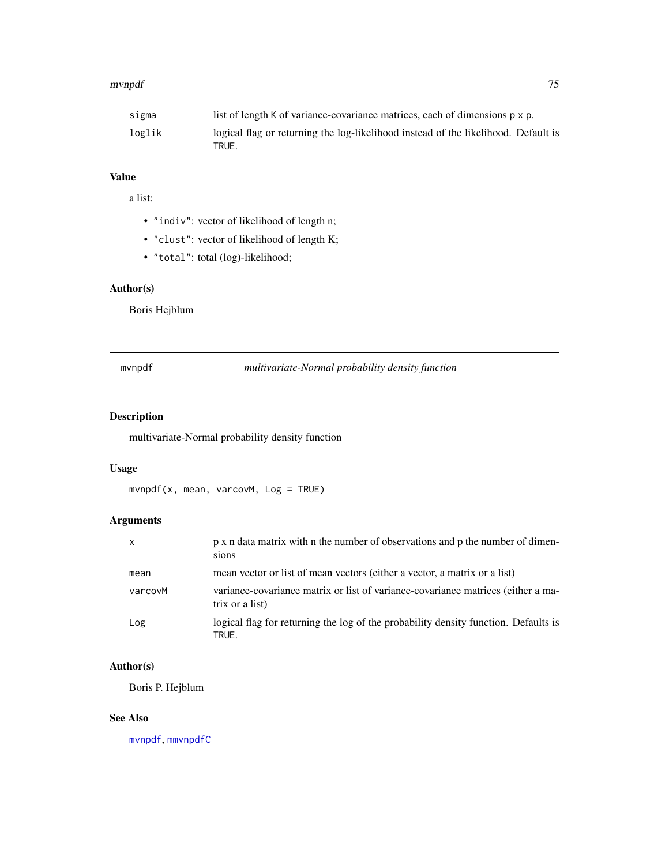<span id="page-74-1"></span>

| sigma  | list of length K of variance-covariance matrices, each of dimensions $p \times p$ .         |
|--------|---------------------------------------------------------------------------------------------|
| loglik | logical flag or returning the log-likelihood instead of the likelihood. Default is<br>TRUE. |

# Value

a list:

- "indiv": vector of likelihood of length n;
- "clust": vector of likelihood of length K;
- "total": total (log)-likelihood;

# Author(s)

Boris Hejblum

# <span id="page-74-0"></span>mvnpdf *multivariate-Normal probability density function*

# Description

multivariate-Normal probability density function

# Usage

mvnpdf(x, mean, varcovM, Log = TRUE)

## Arguments

| $\mathsf{x}$ | p x n data matrix with n the number of observations and p the number of dimen-<br>sions             |
|--------------|-----------------------------------------------------------------------------------------------------|
| mean         | mean vector or list of mean vectors (either a vector, a matrix or a list)                           |
| varcovM      | variance-covariance matrix or list of variance-covariance matrices (either a ma-<br>trix or a list) |
| Log          | logical flag for returning the log of the probability density function. Defaults is<br>TRUE.        |

# Author(s)

Boris P. Hejblum

#### See Also

[mvnpdf](#page-74-0), [mmvnpdfC](#page-68-0)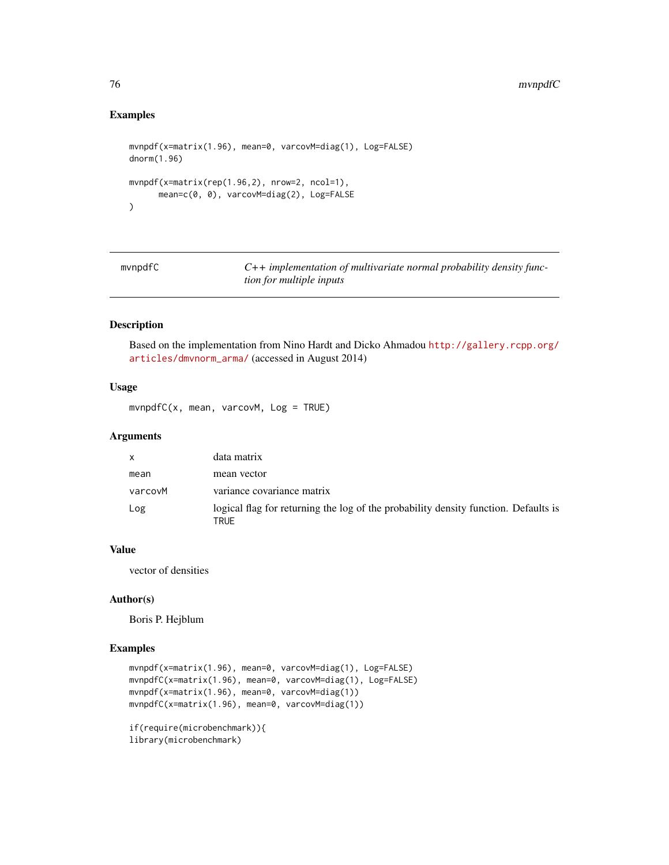# Examples

```
mvnpdf(x=matrix(1.96), mean=0, varcovM=diag(1), Log=FALSE)
dnorm(1.96)
mvnpdf(x=matrix(rep(1.96,2), nrow=2, ncol=1),
      mean=c(0, 0), varcovM=diag(2), Log=FALSE
)
```

| mvnpdfC |  |
|---------|--|
|         |  |

C++ *implementation of multivariate normal probability density function for multiple inputs*

#### Description

Based on the implementation from Nino Hardt and Dicko Ahmadou [http://gallery.rcpp.org/](http://gallery.rcpp.org/articles/dmvnorm_arma/) [articles/dmvnorm\\_arma/](http://gallery.rcpp.org/articles/dmvnorm_arma/) (accessed in August 2014)

#### Usage

mvnpdfC(x, mean, varcovM, Log = TRUE)

#### Arguments

| $\mathsf{x}$ | data matrix                                                                                 |
|--------------|---------------------------------------------------------------------------------------------|
| mean         | mean vector                                                                                 |
| varcovM      | variance covariance matrix                                                                  |
| Log          | logical flag for returning the log of the probability density function. Defaults is<br>TRUE |

#### Value

vector of densities

#### Author(s)

Boris P. Hejblum

# Examples

```
mvnpdf(x=matrix(1.96), mean=0, varcovM=diag(1), Log=FALSE)
mvnpdfC(x=matrix(1.96), mean=0, varcovM=diag(1), Log=FALSE)
mvnpdf(x=matrix(1.96), mean=0, varcovM=diag(1))
mvnpdfC(x=matrix(1.96), mean=0, varcovM=diag(1))
if(require(microbenchmark)){
```
library(microbenchmark)

<span id="page-75-0"></span>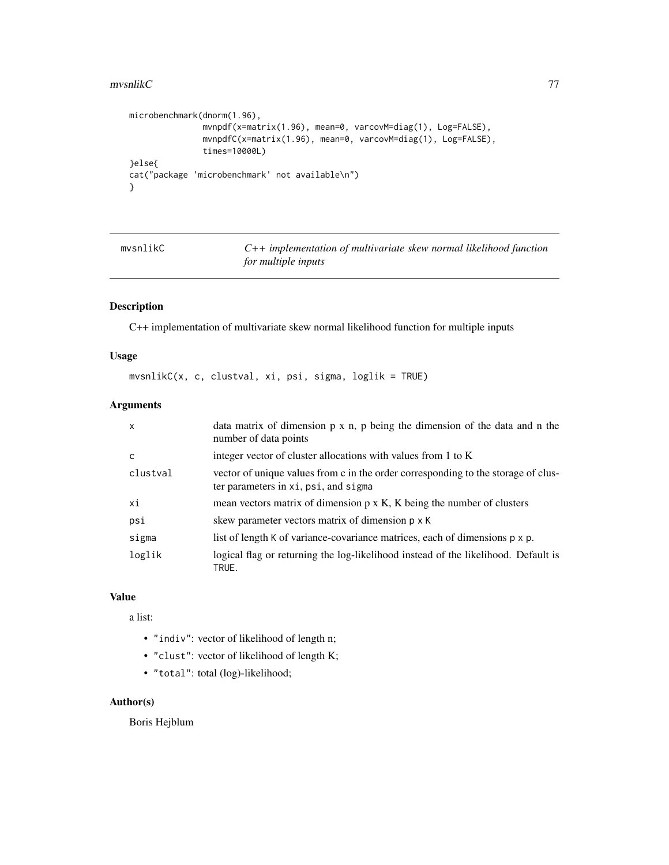#### <span id="page-76-0"></span> $m$ vsnlik $C$   $\hspace{1.5cm}$  77

```
microbenchmark(dnorm(1.96),
               mvnpdf(x=matrix(1.96), mean=0, varcovM=diag(1), Log=FALSE),
               mvnpdfC(x=matrix(1.96), mean=0, varcovM=diag(1), Log=FALSE),
               times=10000L)
}else{
cat("package 'microbenchmark' not available\n")
}
```

| mvsnlikC |  |
|----------|--|
|          |  |

C++ implementation of multivariate skew normal likelihood function *for multiple inputs*

# Description

C++ implementation of multivariate skew normal likelihood function for multiple inputs

#### Usage

mvsnlikC(x, c, clustval, xi, psi, sigma, loglik = TRUE)

#### Arguments

| $\mathsf{x}$ | data matrix of dimension $p \times n$ , $p$ being the dimension of the data and $n$ the<br>number of data points          |
|--------------|---------------------------------------------------------------------------------------------------------------------------|
| C            | integer vector of cluster allocations with values from 1 to K                                                             |
| clustval     | vector of unique values from c in the order corresponding to the storage of clus-<br>ter parameters in xi, psi, and sigma |
| хi           | mean vectors matrix of dimension $p \times K$ , K being the number of clusters                                            |
| psi          | skew parameter vectors matrix of dimension $p \times K$                                                                   |
| sigma        | list of length K of variance-covariance matrices, each of dimensions p x p.                                               |
| loglik       | logical flag or returning the log-likelihood instead of the likelihood. Default is<br>TRUE.                               |

#### Value

a list:

- "indiv": vector of likelihood of length n;
- "clust": vector of likelihood of length K;
- "total": total (log)-likelihood;

# Author(s)

Boris Hejblum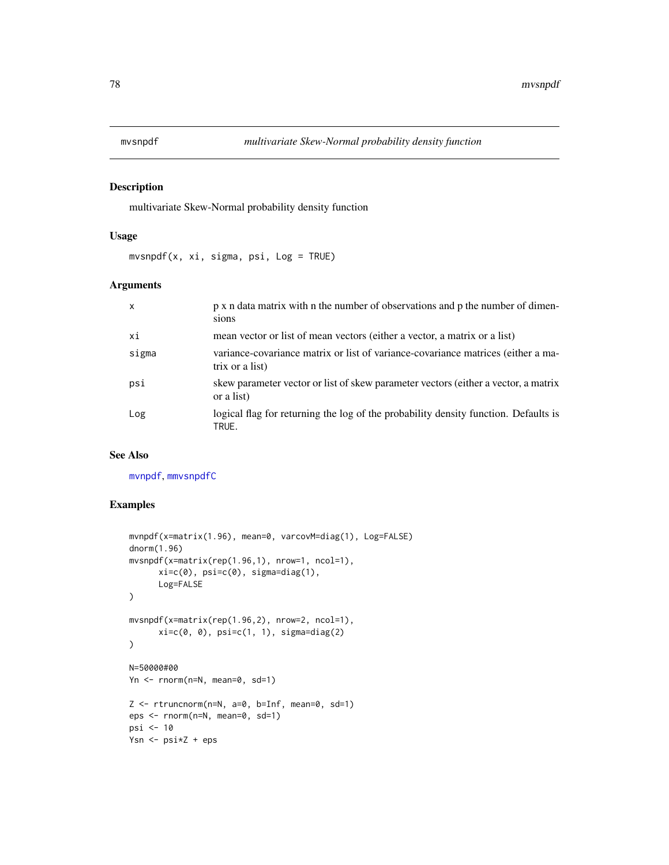<span id="page-77-1"></span><span id="page-77-0"></span>

#### Description

multivariate Skew-Normal probability density function

#### Usage

 $mvsnpdf(x, xi, sigma, psi, Log = TRUE)$ 

## Arguments

| $\mathsf{x}$ | p x n data matrix with n the number of observations and p the number of dimen-<br>sions             |
|--------------|-----------------------------------------------------------------------------------------------------|
| хi           | mean vector or list of mean vectors (either a vector, a matrix or a list)                           |
| sigma        | variance-covariance matrix or list of variance-covariance matrices (either a ma-<br>trix or a list) |
| psi          | skew parameter vector or list of skew parameter vectors (either a vector, a matrix<br>or a list)    |
| Log          | logical flag for returning the log of the probability density function. Defaults is<br>TRUE.        |

#### See Also

[mvnpdf](#page-74-0), [mmvsnpdfC](#page-69-0)

#### Examples

```
mvnpdf(x=matrix(1.96), mean=0, varcovM=diag(1), Log=FALSE)
dnorm(1.96)
mvsnpdf(x=matrix(rep(1.96,1), nrow=1, ncol=1),
      xi=c(\emptyset), psi=c(\emptyset), sigma=diag(1),
      Log=FALSE
)
mvsnpdf(x=matrix(rep(1.96,2), nrow=2, ncol=1),
      xi=c(0, 0), psi=c(1, 1), sigma=diag(2)
\mathcal{L}N=50000#00
Yn <- rnorm(n=N, mean=0, sd=1)
Z \leq -rtruncnorm(n=N, a=0, b=Inf, mean=0, sd=1)eps <- rnorm(n=N, mean=0, sd=1)
psi <- 10
Ysn <- psi*Z + eps
```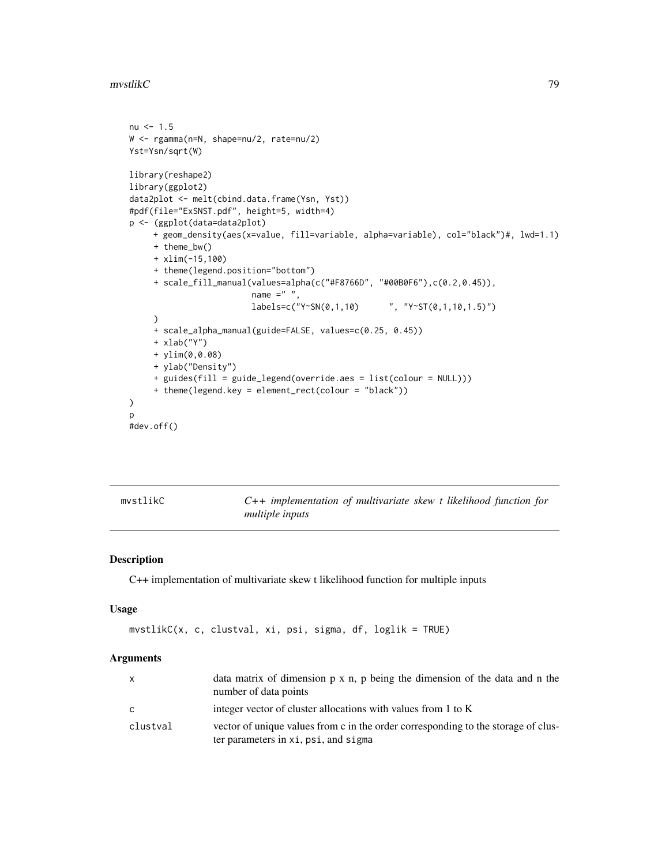<span id="page-78-1"></span> $m$ vstlik $C$   $\hspace{1.6cm}$  79

```
nu < -1.5W <- rgamma(n=N, shape=nu/2, rate=nu/2)
Yst=Ysn/sqrt(W)
library(reshape2)
library(ggplot2)
data2plot <- melt(cbind.data.frame(Ysn, Yst))
#pdf(file="ExSNST.pdf", height=5, width=4)
p <- (ggplot(data=data2plot)
     + geom_density(aes(x=value, fill=variable, alpha=variable), col="black")#, lwd=1.1)
     + theme_bw()
    + xlim(-15,100)
     + theme(legend.position="bottom")
     + scale_fill_manual(values=alpha(c("#F8766D", "#00B0F6"),c(0.2,0.45)),
                         name =" ",
                         labels=c("Y~SN(0,1,10) ", "Y~ST(0,1,10,1.5)")
     )
     + scale_alpha_manual(guide=FALSE, values=c(0.25, 0.45))
     + xlab("Y")
     + ylim(0,0.08)
     + ylab("Density")
     + guides(fill = guide_legend(override.aes = list(colour = NULL)))
     + theme(legend.key = element_rect(colour = "black"))
\mathcal{L}p
#dev.off()
```
<span id="page-78-0"></span>

mvstlikC *C++ implementation of multivariate skew t likelihood function for multiple inputs*

#### Description

C++ implementation of multivariate skew t likelihood function for multiple inputs

#### Usage

```
mvstlikC(x, c, clustval, xi, psi, sigma, df, loglik = TRUE)
```
#### Arguments

| X        | data matrix of dimension $p \times n$ , $p$ being the dimension of the data and $n$ the<br>number of data points          |
|----------|---------------------------------------------------------------------------------------------------------------------------|
| C        | integer vector of cluster allocations with values from 1 to K                                                             |
| clustval | vector of unique values from c in the order corresponding to the storage of clus-<br>ter parameters in xi, psi, and sigma |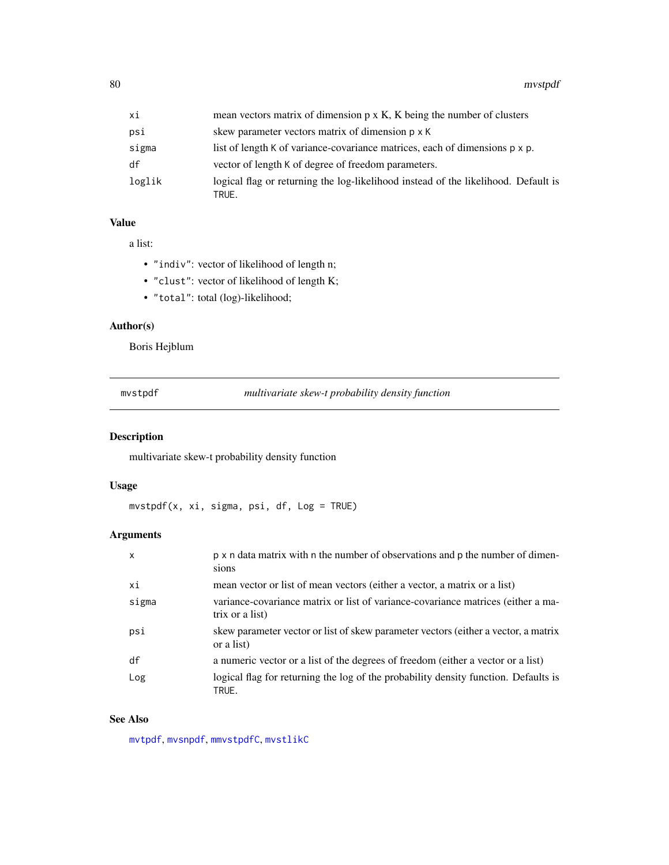<span id="page-79-0"></span>

| хi     | mean vectors matrix of dimension $p \times K$ , $K$ being the number of clusters            |
|--------|---------------------------------------------------------------------------------------------|
| psi    | skew parameter vectors matrix of dimension $p \times K$                                     |
| sigma  | list of length K of variance-covariance matrices, each of dimensions $p \times p$ .         |
| df     | vector of length K of degree of freedom parameters.                                         |
| loglik | logical flag or returning the log-likelihood instead of the likelihood. Default is<br>TRUE. |

# Value

a list:

- "indiv": vector of likelihood of length n;
- "clust": vector of likelihood of length K;
- "total": total (log)-likelihood;

## Author(s)

Boris Hejblum

mvstpdf *multivariate skew-t probability density function*

## Description

multivariate skew-t probability density function

## Usage

mvstpdf(x, xi, sigma, psi, df, Log = TRUE)

# Arguments

| $\mathsf{x}$ | p x n data matrix with n the number of observations and p the number of dimen-<br>sions             |
|--------------|-----------------------------------------------------------------------------------------------------|
| хi           | mean vector or list of mean vectors (either a vector, a matrix or a list)                           |
| sigma        | variance-covariance matrix or list of variance-covariance matrices (either a ma-<br>trix or a list) |
| psi          | skew parameter vector or list of skew parameter vectors (either a vector, a matrix<br>or a list)    |
| df           | a numeric vector or a list of the degrees of freedom (either a vector or a list)                    |
| Log          | logical flag for returning the log of the probability density function. Defaults is<br>TRUE.        |

#### See Also

[mvtpdf](#page-80-0), [mvsnpdf](#page-77-0), [mmvstpdfC](#page-70-0), [mvstlikC](#page-78-0)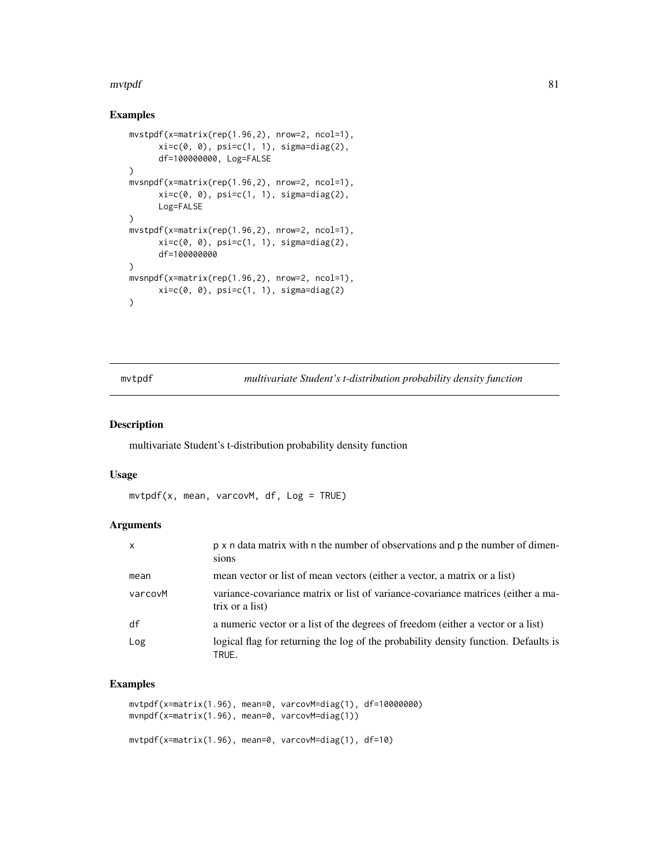#### <span id="page-80-1"></span>mvtpdf 81

# Examples

```
mvstpdf(x=matrix(rep(1.96,2), nrow=2, ncol=1),
      xi=c(0, 0), psi=c(1, 1), sigma=diag(2),df=100000000, Log=FALSE
\mathcal{L}mvsnpdf(x=matrix(rep(1.96,2), nrow=2, ncol=1),
      xi=c(0, 0), psi=c(1, 1), sigma=diag(2),Log=FALSE
)
mvstpdf(x=matrix(rep(1.96,2), nrow=2, ncol=1),
      xi=c(\emptyset, \emptyset), psi=c(1, 1), sigma=diag(2),
      df=100000000
)
mvsnpdf(x=matrix(rep(1.96,2), nrow=2, ncol=1),
      xi=c(0, 0), psi=c(1, 1), sigma=diag(2))
```
<span id="page-80-0"></span>mvtpdf *multivariate Student's t-distribution probability density function*

#### Description

multivariate Student's t-distribution probability density function

#### Usage

```
mvtpdf(x, mean, varcovM, df, Log = TRUE)
```
#### Arguments

| $\mathsf{x}$ | p x n data matrix with n the number of observations and p the number of dimen-<br>sions             |
|--------------|-----------------------------------------------------------------------------------------------------|
| mean         | mean vector or list of mean vectors (either a vector, a matrix or a list)                           |
| varcovM      | variance-covariance matrix or list of variance-covariance matrices (either a ma-<br>trix or a list) |
| df           | a numeric vector or a list of the degrees of freedom (either a vector or a list)                    |
| Log          | logical flag for returning the log of the probability density function. Defaults is<br>TRUE.        |

## Examples

```
mvtpdf(x=matrix(1.96), mean=0, varcovM=diag(1), df=10000000)
mvnpdf(x=matrix(1.96), mean=0, varcovM=diag(1))
mvtpdf(x=matrix(1.96), mean=0, varcovM=diag(1), df=10)
```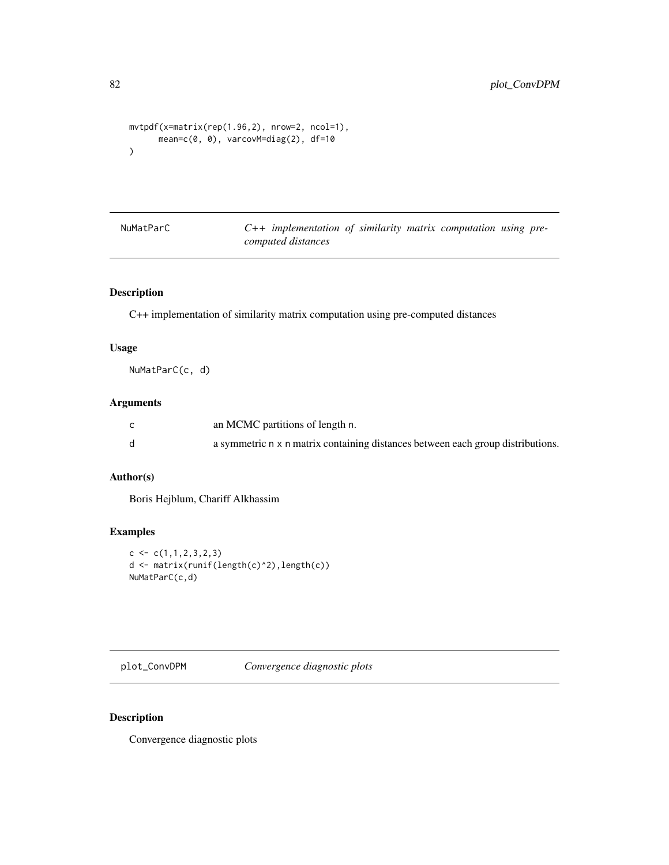```
mvtpdf(x=matrix(rep(1.96,2), nrow=2, ncol=1),
      mean=c(0, 0), varcovM=diag(2), df=10
\mathcal{L}
```

| NuMatParC |  |
|-----------|--|
|-----------|--|

C++ implementation of similarity matrix computation using pre*computed distances*

## Description

C++ implementation of similarity matrix computation using pre-computed distances

## Usage

NuMatParC(c, d)

#### Arguments

| an MCMC partitions of length n.                                                 |
|---------------------------------------------------------------------------------|
| a symmetric n x n matrix containing distances between each group distributions. |

# Author(s)

Boris Hejblum, Chariff Alkhassim

## Examples

```
c \leftarrow c(1,1,2,3,2,3)d <- matrix(runif(length(c)^2),length(c))
NuMatParC(c,d)
```
plot\_ConvDPM *Convergence diagnostic plots*

# Description

Convergence diagnostic plots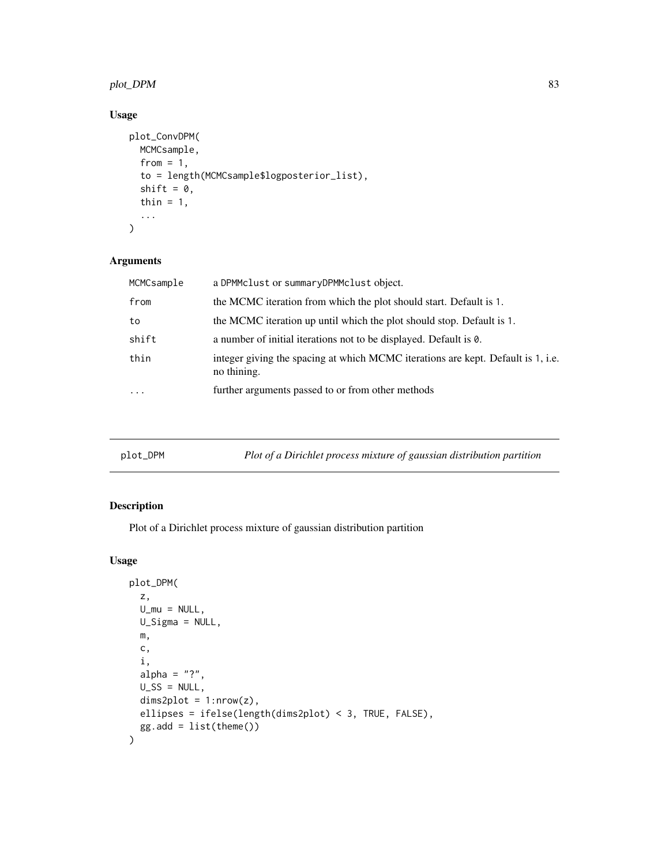## <span id="page-82-0"></span>plot\_DPM 83

# Usage

```
plot_ConvDPM(
  MCMCsample,
  from = 1,
  to = length(MCMCsample$logposterior_list),
  shift = 0,thin = 1,
  ...
)
```
## Arguments

| MCMCsample | a DPMMclust or summaryDPMMclust object.                                                         |
|------------|-------------------------------------------------------------------------------------------------|
| from       | the MCMC iteration from which the plot should start. Default is 1.                              |
| to         | the MCMC iteration up until which the plot should stop. Default is 1.                           |
| shift      | a number of initial iterations not to be displayed. Default is 0.                               |
| thin       | integer giving the spacing at which MCMC iterations are kept. Default is 1, i.e.<br>no thining. |
| $\ddotsc$  | further arguments passed to or from other methods                                               |
|            |                                                                                                 |

| Plot of a Dirichlet process mixture of gaussian distribution partition<br>plot_DPM |  |
|------------------------------------------------------------------------------------|--|
|------------------------------------------------------------------------------------|--|

# Description

Plot of a Dirichlet process mixture of gaussian distribution partition

```
plot_DPM(
 z,
 U_mu = NULL,
 U_Sigma = NULL,
 m,
 c,
 i,
 alpha = "?",U_S = NULL,dims2plot = 1:nrow(z),
 ellipses = ifelse(length(dims2plot) < 3, TRUE, FALSE),
 gg.add = list(theme())
\mathcal{L}
```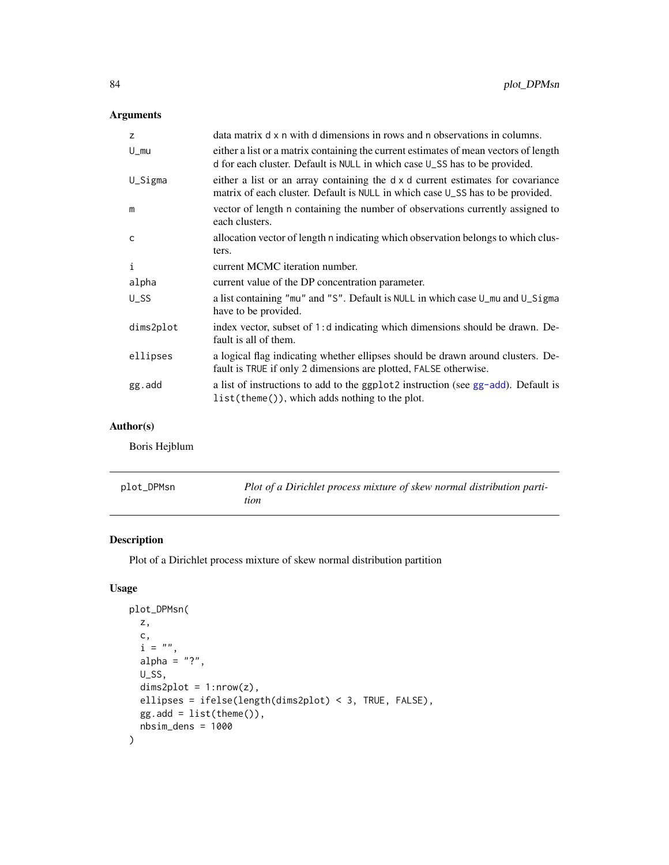# <span id="page-83-0"></span>Arguments

| z                   | data matrix d x n with d dimensions in rows and n observations in columns.                                                                                         |
|---------------------|--------------------------------------------------------------------------------------------------------------------------------------------------------------------|
| $U_{\rm m}$         | either a list or a matrix containing the current estimates of mean vectors of length<br>d for each cluster. Default is NULL in which case U_SS has to be provided. |
| U_Sigma             | either a list or an array containing the d x d current estimates for covariance<br>matrix of each cluster. Default is NULL in which case U_SS has to be provided.  |
| m                   | vector of length n containing the number of observations currently assigned to<br>each clusters.                                                                   |
| $\mathsf{C}$        | allocation vector of length n indicating which observation belongs to which clus-<br>ters.                                                                         |
| $\mathbf{i}$        | current MCMC iteration number.                                                                                                                                     |
| alpha               | current value of the DP concentration parameter.                                                                                                                   |
| $U$ <sub>_</sub> SS | a list containing "mu" and "S". Default is NULL in which case U_mu and U_Sigma<br>have to be provided.                                                             |
| dims2plot           | index vector, subset of 1: d indicating which dimensions should be drawn. De-<br>fault is all of them.                                                             |
| ellipses            | a logical flag indicating whether ellipses should be drawn around clusters. De-<br>fault is TRUE if only 2 dimensions are plotted, FALSE otherwise.                |
| gg.add              | a list of instructions to add to the ggplot2 instruction (see gg-add). Default is<br>$list(theme())$ , which adds nothing to the plot.                             |

# Author(s)

Boris Hejblum

| plot_DPMsn | Plot of a Dirichlet process mixture of skew normal distribution parti- |
|------------|------------------------------------------------------------------------|
|            | tion                                                                   |

# Description

Plot of a Dirichlet process mixture of skew normal distribution partition

```
plot_DPMsn(
 z,
 c,
 i ="",
 alpha = "?",U_SS,
 dims2plot = 1:nrow(z),ellipses = ifelse(length(dims2plot) < 3, TRUE, FALSE),
 gg.add = list(theme()),
 nbsim_dens = 1000
)
```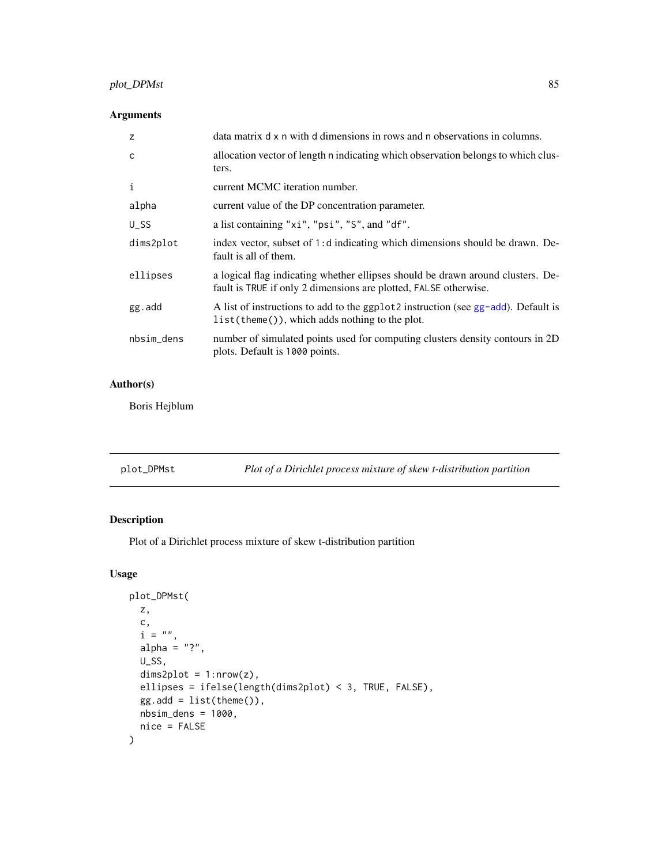# <span id="page-84-0"></span>plot\_DPMst 85

# Arguments

| z                   | data matrix d x n with d dimensions in rows and n observations in columns.                                                                          |
|---------------------|-----------------------------------------------------------------------------------------------------------------------------------------------------|
| C                   | allocation vector of length n indicating which observation belongs to which clus-<br>ters.                                                          |
| i                   | current MCMC iteration number.                                                                                                                      |
| alpha               | current value of the DP concentration parameter.                                                                                                    |
| $U$ <sub>_</sub> SS | a list containing "xi", "psi", "S", and "df".                                                                                                       |
| dims2plot           | index vector, subset of 1: d indicating which dimensions should be drawn. De-<br>fault is all of them.                                              |
| ellipses            | a logical flag indicating whether ellipses should be drawn around clusters. De-<br>fault is TRUE if only 2 dimensions are plotted, FALSE otherwise. |
| gg.add              | A list of instructions to add to the ggplot2 instruction (see gg-add). Default is<br>list(theme()), which adds nothing to the plot.                 |
| nbsim_dens          | number of simulated points used for computing clusters density contours in 2D<br>plots. Default is 1000 points.                                     |

# Author(s)

Boris Hejblum

| plot_DPMst | Plot of a Dirichlet process mixture of skew t-distribution partition |
|------------|----------------------------------------------------------------------|
|------------|----------------------------------------------------------------------|

# Description

Plot of a Dirichlet process mixture of skew t-distribution partition

```
plot_DPMst(
  z,
  c,
  \label{eq:6} \begin{array}{ll} \mathrm{i} \;\; = \;\; {''} \; {''} \; , \end{array}alpha = "?",U_SS,
  dims2plot = 1: nrow(z),
  ellipses = ifelse(length(dims2plot) < 3, TRUE, FALSE),
  gg.add = list(theme()),
  nbsim\_dens = 1000,nice = FALSE
)
```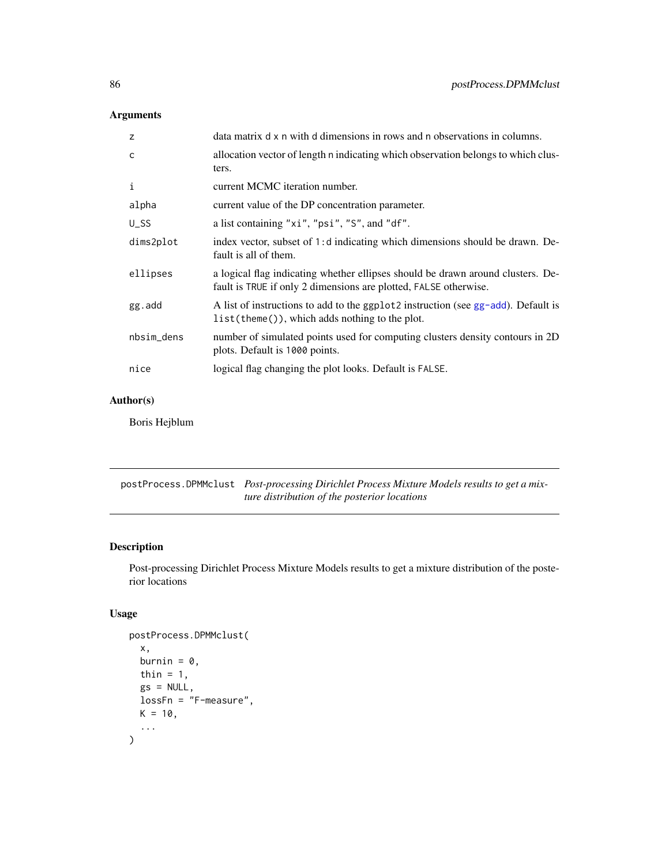# <span id="page-85-0"></span>Arguments

| z                 | data matrix d x n with d dimensions in rows and n observations in columns.                                                                          |
|-------------------|-----------------------------------------------------------------------------------------------------------------------------------------------------|
| $\mathsf{C}$      | allocation vector of length n indicating which observation belongs to which clus-<br>ters.                                                          |
| $\mathbf{i}$      | current MCMC iteration number.                                                                                                                      |
| alpha             | current value of the DP concentration parameter.                                                                                                    |
| $U$ <sub>SS</sub> | a list containing "xi", "psi", "S", and "df".                                                                                                       |
| dims2plot         | index vector, subset of 1: d indicating which dimensions should be drawn. De-<br>fault is all of them.                                              |
| ellipses          | a logical flag indicating whether ellipses should be drawn around clusters. De-<br>fault is TRUE if only 2 dimensions are plotted, FALSE otherwise. |
| gg.add            | A list of instructions to add to the ggplot2 instruction (see gg-add). Default is<br>list(theme()), which adds nothing to the plot.                 |
| nbsim_dens        | number of simulated points used for computing clusters density contours in 2D<br>plots. Default is 1000 points.                                     |
| nice              | logical flag changing the plot looks. Default is FALSE.                                                                                             |

# Author(s)

Boris Hejblum

postProcess.DPMMclust *Post-processing Dirichlet Process Mixture Models results to get a mixture distribution of the posterior locations*

# Description

Post-processing Dirichlet Process Mixture Models results to get a mixture distribution of the posterior locations

```
postProcess.DPMMclust(
  x,
 burnin = \theta,
  thin = 1,
 gs = NULL,lossFn = "F-measure",
 K = 10,
  ...
)
```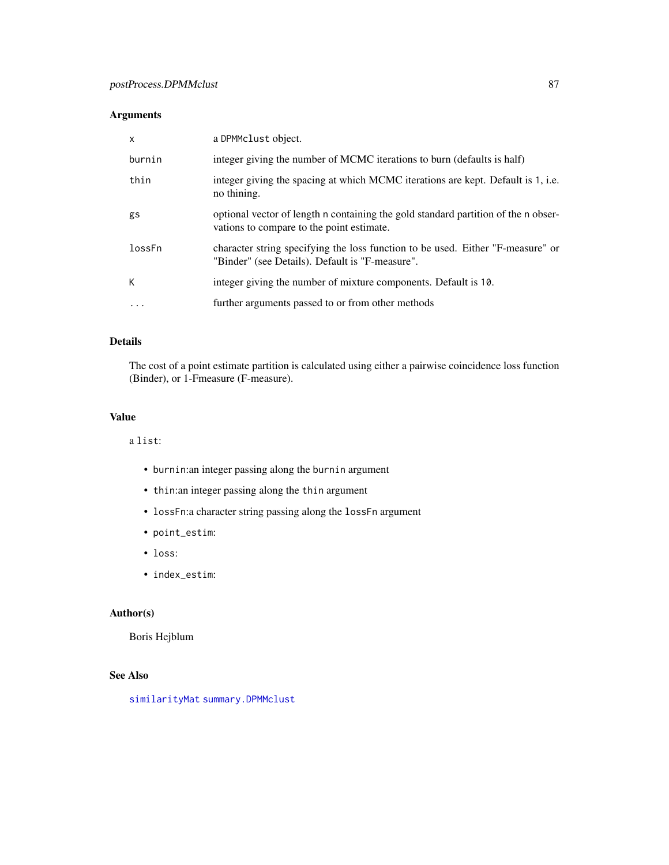# <span id="page-86-0"></span>Arguments

| $\mathsf{x}$ | a DPMMclust object.                                                                                                                |
|--------------|------------------------------------------------------------------------------------------------------------------------------------|
| burnin       | integer giving the number of MCMC iterations to burn (defaults is half)                                                            |
| thin         | integer giving the spacing at which MCMC iterations are kept. Default is 1, i.e.<br>no thining.                                    |
| gs           | optional vector of length n containing the gold standard partition of the n obser-<br>vations to compare to the point estimate.    |
| lossFn       | character string specifying the loss function to be used. Either "F-measure" or<br>"Binder" (see Details). Default is "F-measure". |
| К            | integer giving the number of mixture components. Default is 10.                                                                    |
| $\cdots$     | further arguments passed to or from other methods                                                                                  |

# Details

The cost of a point estimate partition is calculated using either a pairwise coincidence loss function (Binder), or 1-Fmeasure (F-measure).

# Value

a list:

- burnin:an integer passing along the burnin argument
- thin:an integer passing along the thin argument
- lossFn:a character string passing along the lossFn argument
- point\_estim:
- loss:
- index\_estim:

#### Author(s)

Boris Hejblum

# See Also

[similarityMat](#page-93-0) [summary.DPMMclust](#page-95-0)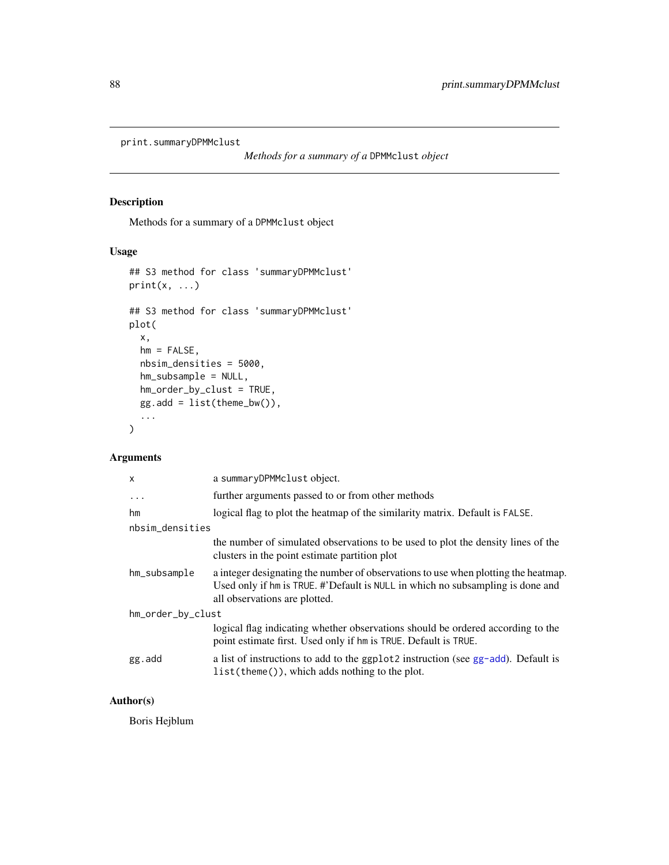```
print.summaryDPMMclust
```
*Methods for a summary of a* DPMMclust *object*

# Description

Methods for a summary of a DPMMclust object

## Usage

```
## S3 method for class 'summaryDPMMclust'
print(x, \ldots)## S3 method for class 'summaryDPMMclust'
plot(
  x,
 hm = FALSE,nbsim_densities = 5000,
 hm_subsample = NULL,
 hm_order_by_clust = TRUE,
 gg.add = list(theme_bw()),
  ...
)
```
#### Arguments

| $\mathsf{x}$      | a summaryDPMMclust object.                                                                                                                                                                            |
|-------------------|-------------------------------------------------------------------------------------------------------------------------------------------------------------------------------------------------------|
| $\cdots$          | further arguments passed to or from other methods                                                                                                                                                     |
| hm                | logical flag to plot the heatmap of the similarity matrix. Default is FALSE.                                                                                                                          |
| nbsim_densities   |                                                                                                                                                                                                       |
|                   | the number of simulated observations to be used to plot the density lines of the<br>clusters in the point estimate partition plot                                                                     |
| hm_subsample      | a integer designating the number of observations to use when plotting the heatmap.<br>Used only if hm is TRUE. #'Default is NULL in which no subsampling is done and<br>all observations are plotted. |
| hm_order_by_clust |                                                                                                                                                                                                       |
|                   | logical flag indicating whether observations should be ordered according to the<br>point estimate first. Used only if hm is TRUE. Default is TRUE.                                                    |
| gg.add            | a list of instructions to add to the ggplot2 instruction (see gg-add). Default is<br>$list$ (theme()), which adds nothing to the plot.                                                                |

# Author(s)

Boris Hejblum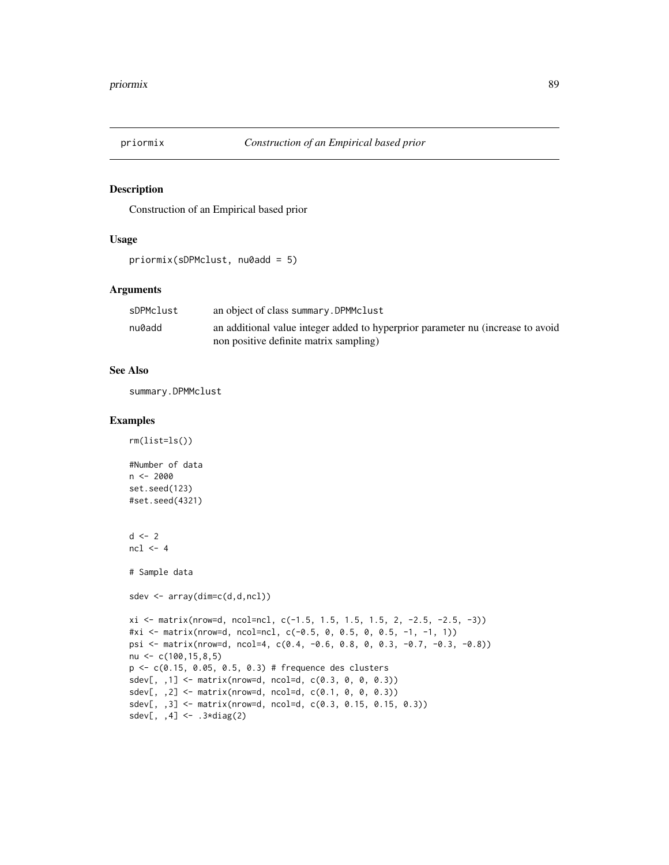<span id="page-88-0"></span>

#### Description

Construction of an Empirical based prior

# Usage

```
priormix(sDPMclust, nu0add = 5)
```
#### Arguments

| sDPMclust | an object of class summary. DPMMclust                                           |
|-----------|---------------------------------------------------------------------------------|
| nu0add    | an additional value integer added to hyperprior parameter nu (increase to avoid |
|           | non positive definite matrix sampling)                                          |

#### See Also

summary.DPMMclust

#### Examples

rm(list=ls())

```
#Number of data
n < -2000set.seed(123)
#set.seed(4321)
d \le -2ncl \leq -4# Sample data
sdev <- array(dim=c(d,d,ncl))
xi <- matrix(nrow=d, ncol=ncl, c(-1.5, 1.5, 1.5, 1.5, 2, -2.5, -2.5, -3))
#xi <- matrix(nrow=d, ncol=ncl, c(-0.5, 0, 0.5, 0, 0.5, -1, -1, 1))
psi <- matrix(nrow=d, ncol=4, c(0.4, -0.6, 0.8, 0, 0.3, -0.7, -0.3, -0.8))
nu <- c(100,15,8,5)
p <- c(0.15, 0.05, 0.5, 0.3) # frequence des clusters
sdev[,, 1] <- matrix(nrow=d, ncol=d, c(0.3, 0, 0, 0.3))
sdev[, ,2] <- matrix(nrow=d, ncol=d, c(0.1, 0, 0, 0.3))
sdev[, ,3] <- matrix(nrow=d, ncol=d, c(0.3, 0.15, 0.15, 0.3))
sdev[, ,4] <- .3*diag(2)
```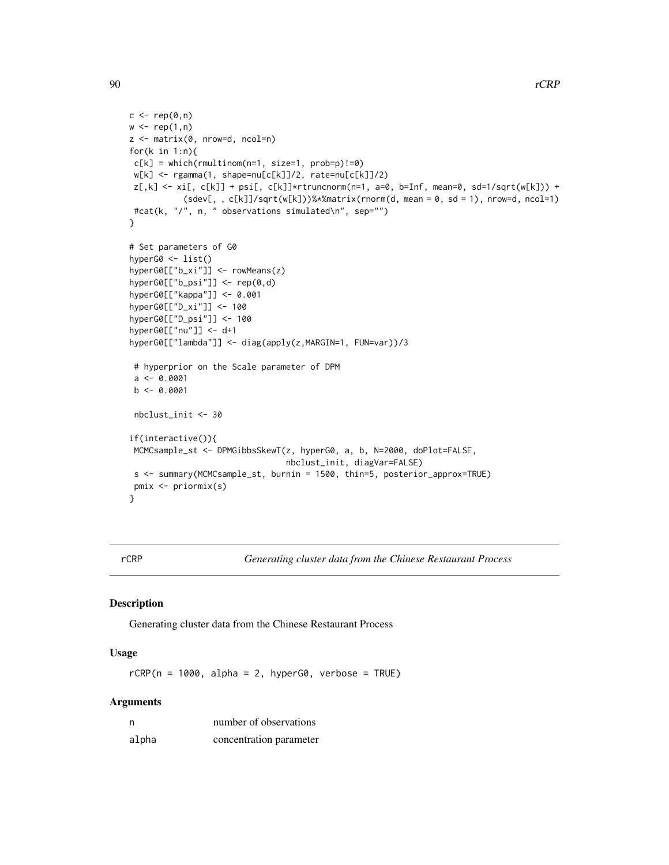```
c \leftarrow rep(\emptyset, n)w < - rep(1, n)z <- matrix(0, nrow=d, ncol=n)
for(k in 1:n){
c[k] = which(rmultinom(n=1, size=1, prob=p)!=0)w[k] <- rgamma(1, shape=nu[c[k]]/2, rate=nu[c[k]]/2)
z[,k] \leq x[\,] c[k]] + psi[, c[k]]*rtruncnorm(n=1, a=0, b=Inf, mean=0, sd=1/sqrt(w[k])) +
           (sdev[, , c[k]]/sqrt(w[k]))%*%matrix(rnorm(d, mean = 0, sd = 1), nrow=d, ncol=1)
#cat(k, "/", n, " observations simulated\n", sep="")
}
# Set parameters of G0
hyperG0 <- list()
hyperG0[["b_xi"]] <- rowMeans(z)
hyperG0[["b_psi"]] <- rep(0,d)
hyperG0[["kappa"]] <- 0.001
hyperG0[["D_xi"]] <- 100
hyperG0[["D_psi"]] <- 100
hyperG0[["nu"]] <- d+1
hyperG0[["lambda"]] <- diag(apply(z,MARGIN=1, FUN=var))/3
# hyperprior on the Scale parameter of DPM
a \leftarrow 0.0001b \leftarrow 0.0001nbclust_init <- 30
if(interactive()){
MCMCsample_st <- DPMGibbsSkewT(z, hyperG0, a, b, N=2000, doPlot=FALSE,
                                 nbclust_init, diagVar=FALSE)
s <- summary(MCMCsample_st, burnin = 1500, thin=5, posterior_approx=TRUE)
pmix <- priormix(s)
}
```
rCRP *Generating cluster data from the Chinese Restaurant Process*

#### Description

Generating cluster data from the Chinese Restaurant Process

#### Usage

 $rCRP(n = 1000, alpha = 2, hyperG0, verbose = TRUE)$ 

# Arguments

| n     | number of observations  |
|-------|-------------------------|
| alpha | concentration parameter |

<span id="page-89-0"></span>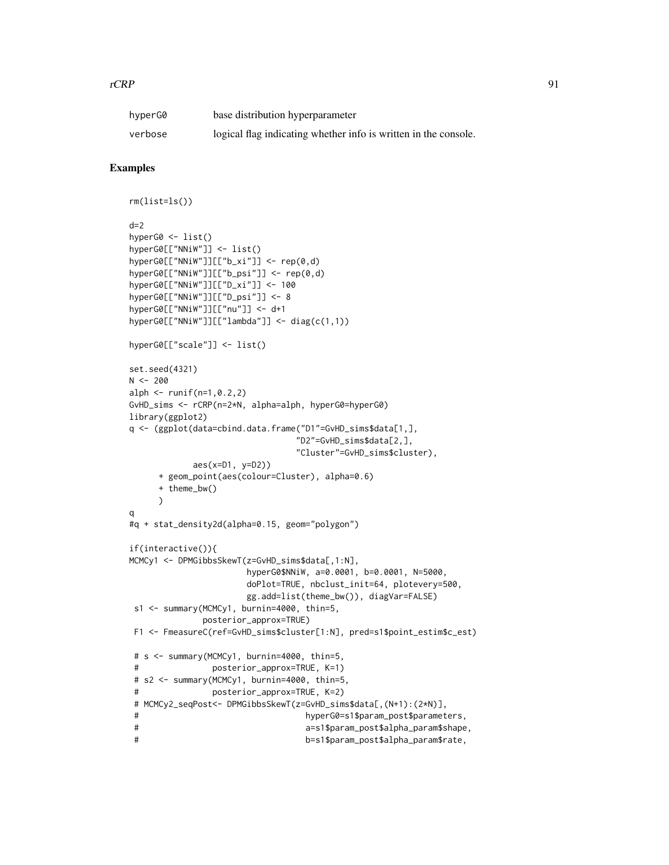#### $rCRP$  91

| hyperG0 | base distribution hyperparameter                                |
|---------|-----------------------------------------------------------------|
| verbose | logical flag indicating whether info is written in the console. |

#### Examples

```
rm(list=ls())
d=2hyperG0 <- list()
hyperG0[["NNiW"]] <- list()
hyperG0[["NNiW"]][["b_xi"]] <- rep(0,d)
hyperG0[["NNiW"]][["b_psi"]] <- rep(0,d)
hyperG0[["NNiW"]][["D_xi"]] <- 100
hyperG0[["NNiW"]][["D_psi"]] <- 8
hyperG0[["NNiW"]][["nu"]] <- d+1
hyperG0[["NNiW"]][["lambda"]] <- diag(c(1,1))
hyperG0[["scale"]] <- list()
set.seed(4321)
N < -200alph \le runif(n=1,0.2,2)
GvHD_sims <- rCRP(n=2*N, alpha=alph, hyperG0=hyperG0)
library(ggplot2)
q <- (ggplot(data=cbind.data.frame("D1"=GvHD_sims$data[1,],
                               "D2"=GvHD_sims$data[2,],
                               "Cluster"=GvHD_sims$cluster),
            aes(x=D1, y=D2))
     + geom_point(aes(colour=Cluster), alpha=0.6)
     + theme_bw()
     )
q
#q + stat_density2d(alpha=0.15, geom="polygon")
if(interactive()){
MCMCy1 <- DPMGibbsSkewT(z=GvHD_sims$data[,1:N],
                      hyperG0$NNiW, a=0.0001, b=0.0001, N=5000,
                      doPlot=TRUE, nbclust_init=64, plotevery=500,
                      gg.add=list(theme_bw()), diagVar=FALSE)
s1 <- summary(MCMCy1, burnin=4000, thin=5,
             posterior_approx=TRUE)
F1 <- FmeasureC(ref=GvHD_sims$cluster[1:N], pred=s1$point_estim$c_est)
 # s <- summary(MCMCy1, burnin=4000, thin=5,
 # posterior_approx=TRUE, K=1)
# s2 <- summary(MCMCy1, burnin=4000, thin=5,
# posterior_approx=TRUE, K=2)
# MCMCy2_seqPost<- DPMGibbsSkewT(z=GvHD_sims$data[,(N+1):(2*N)],
# hyperG0=s1$param_post$parameters,
# a=s1$param_post$alpha_param$shape,
 # b=s1$param_post$alpha_param$rate,
```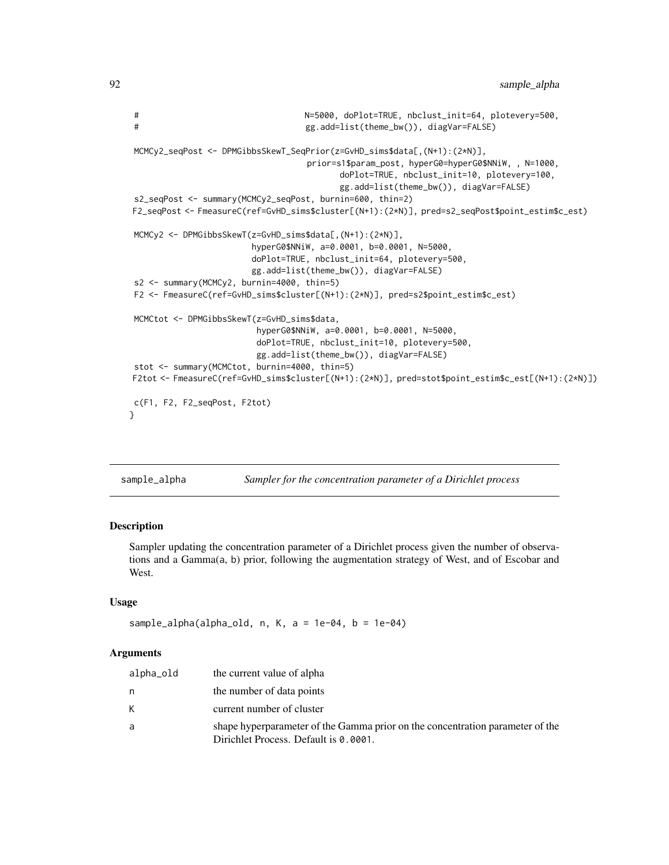```
# N=5000, doPlot=TRUE, nbclust_init=64, plotevery=500,
# gg.add=list(theme_bw()), diagVar=FALSE)
MCMCy2_seqPost <- DPMGibbsSkewT_SeqPrior(z=GvHD_sims$data[,(N+1):(2*N)],
                                  prior=s1$param_post, hyperG0=hyperG0$NNiW, , N=1000,
                                        doPlot=TRUE, nbclust_init=10, plotevery=100,
                                        gg.add=list(theme_bw()), diagVar=FALSE)
s2_seqPost <- summary(MCMCy2_seqPost, burnin=600, thin=2)
F2_seqPost <- FmeasureC(ref=GvHD_sims$cluster[(N+1):(2*N)], pred=s2_seqPost$point_estim$c_est)
MCMCy2 <- DPMGibbsSkewT(z=GvHD_sims$data[,(N+1):(2*N)],
                       hyperG0$NNiW, a=0.0001, b=0.0001, N=5000,
                       doPlot=TRUE, nbclust_init=64, plotevery=500,
                       gg.add=list(theme_bw()), diagVar=FALSE)
s2 <- summary(MCMCy2, burnin=4000, thin=5)
F2 <- FmeasureC(ref=GvHD_sims$cluster[(N+1):(2*N)], pred=s2$point_estim$c_est)
MCMCtot <- DPMGibbsSkewT(z=GvHD_sims$data,
                        hyperG0$NNiW, a=0.0001, b=0.0001, N=5000,
                        doPlot=TRUE, nbclust_init=10, plotevery=500,
                        gg.add=list(theme_bw()), diagVar=FALSE)
stot <- summary(MCMCtot, burnin=4000, thin=5)
F2tot <- FmeasureC(ref=GvHD_sims$cluster[(N+1):(2*N)], pred=stot$point_estim$c_est[(N+1):(2*N)])
c(F1, F2, F2_seqPost, F2tot)
}
```

| sample_alpha | Sampler for the concentration parameter of a Dirichlet process |  |  |
|--------------|----------------------------------------------------------------|--|--|
|              |                                                                |  |  |

#### Description

Sampler updating the concentration parameter of a Dirichlet process given the number of observations and a Gamma(a, b) prior, following the augmentation strategy of West, and of Escobar and West.

#### Usage

```
sample_alpha(alpha_old, n, K, a = 1e-04, b = 1e-04)
```
#### **Arguments**

| alpha_old | the current value of alpha                                                                                             |
|-----------|------------------------------------------------------------------------------------------------------------------------|
| n         | the number of data points                                                                                              |
| К         | current number of cluster                                                                                              |
| a         | shape hyperparameter of the Gamma prior on the concentration parameter of the<br>Dirichlet Process. Default is 0.0001. |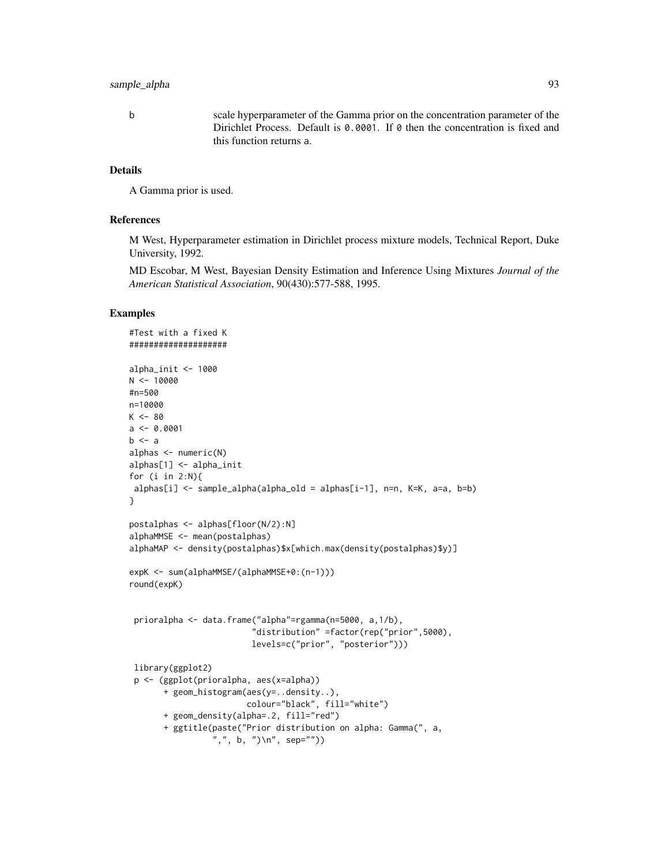## sample\_alpha 93

b scale hyperparameter of the Gamma prior on the concentration parameter of the Dirichlet Process. Default is 0.0001. If 0 then the concentration is fixed and this function returns a.

#### Details

A Gamma prior is used.

#### References

M West, Hyperparameter estimation in Dirichlet process mixture models, Technical Report, Duke University, 1992.

MD Escobar, M West, Bayesian Density Estimation and Inference Using Mixtures *Journal of the American Statistical Association*, 90(430):577-588, 1995.

#### Examples

```
#Test with a fixed K
####################
alpha_init <- 1000
N < - 10000#n=500
n=10000
K < -80a \leftarrow 0.0001b \leq aalphas <- numeric(N)
alphas[1] <- alpha_init
for (i in 2:N){
alphas[i] <- sample_alpha(alpha_old = alphas[i-1], n=n, K=K, a=a, b=b)
}
postalphas <- alphas[floor(N/2):N]
alphaMMSE <- mean(postalphas)
alphaMAP <- density(postalphas)$x[which.max(density(postalphas)$y)]
expK <- sum(alphaMMSE/(alphaMMSE+0:(n-1)))
round(expK)
 prioralpha <- data.frame("alpha"=rgamma(n=5000, a,1/b),
                          "distribution" =factor(rep("prior",5000),
                         levels=c("prior", "posterior")))
 library(ggplot2)
 p <- (ggplot(prioralpha, aes(x=alpha))
       + geom_histogram(aes(y=..density..),
                        colour="black", fill="white")
       + geom_density(alpha=.2, fill="red")
       + ggtitle(paste("Prior distribution on alpha: Gamma(", a,
                 ",", b, ")\n", sep=""))
```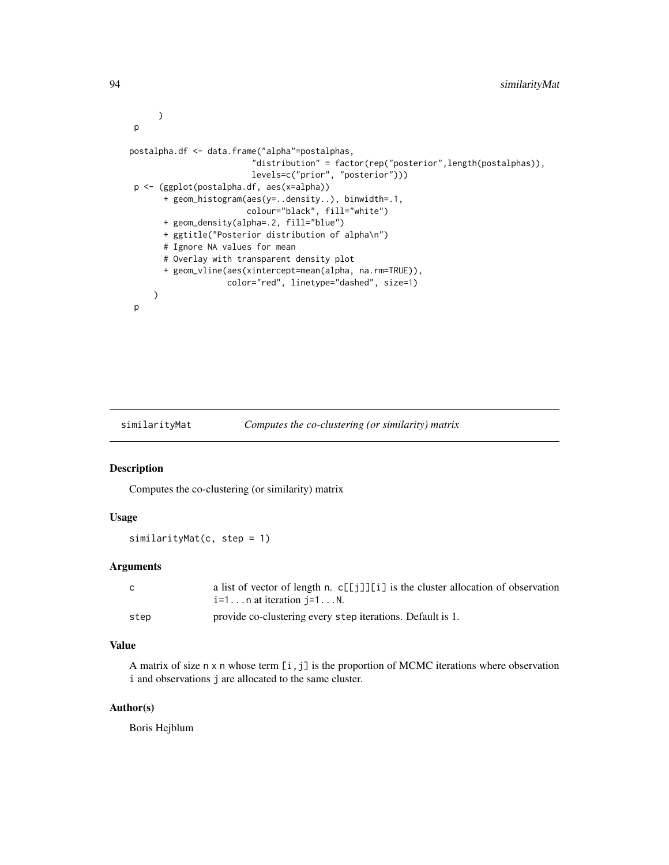```
)
p
postalpha.df <- data.frame("alpha"=postalphas,
                         "distribution" = factor(rep("posterior",length(postalphas)),
                        levels=c("prior", "posterior")))
p <- (ggplot(postalpha.df, aes(x=alpha))
      + geom_histogram(aes(y=..density..), binwidth=.1,
                        colour="black", fill="white")
      + geom_density(alpha=.2, fill="blue")
      + ggtitle("Posterior distribution of alpha\n")
      # Ignore NA values for mean
      # Overlay with transparent density plot
      + geom_vline(aes(xintercept=mean(alpha, na.rm=TRUE)),
                    color="red", linetype="dashed", size=1)
    )
p
```
<span id="page-93-0"></span>

# similarityMat *Computes the co-clustering (or similarity) matrix*

#### Description

Computes the co-clustering (or similarity) matrix

#### Usage

similarityMat(c, step = 1)

#### Arguments

| C.   | a list of vector of length n. c[[j]][i] is the cluster allocation of observation |
|------|----------------------------------------------------------------------------------|
|      | $i=1n$ at iteration $i=1N$ .                                                     |
| step | provide co-clustering every step iterations. Default is 1.                       |

#### Value

A matrix of size n x n whose term [i,j] is the proportion of MCMC iterations where observation i and observations j are allocated to the same cluster.

#### Author(s)

Boris Hejblum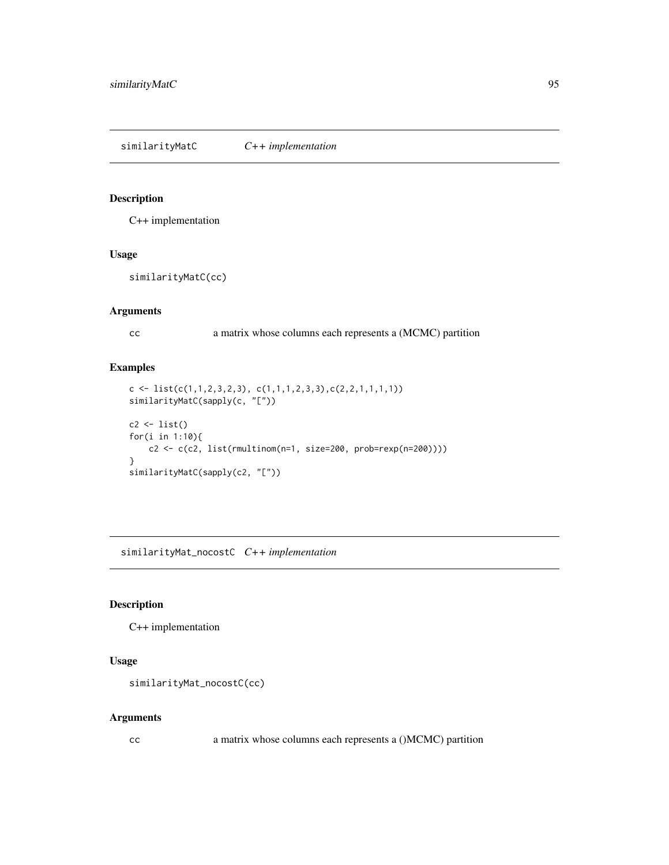<span id="page-94-1"></span><span id="page-94-0"></span>similarityMatC *C++ implementation*

#### Description

C++ implementation

#### Usage

similarityMatC(cc)

#### Arguments

cc a matrix whose columns each represents a (MCMC) partition

#### Examples

```
c \leftarrow \text{list}(c(1,1,2,3,2,3), c(1,1,1,2,3,3), c(2,2,1,1,1,1))similarityMatC(sapply(c, "["))
c2 \leftarrow list()for(i in 1:10){
    c2 \leq c(c2, list(rmultipom(n=1, size=200, prob=rexp(n=200))))}
similarityMatC(sapply(c2, "["))
```
similarityMat\_nocostC *C++ implementation*

# Description

C++ implementation

## Usage

```
similarityMat_nocostC(cc)
```
#### Arguments

cc a matrix whose columns each represents a ()MCMC) partition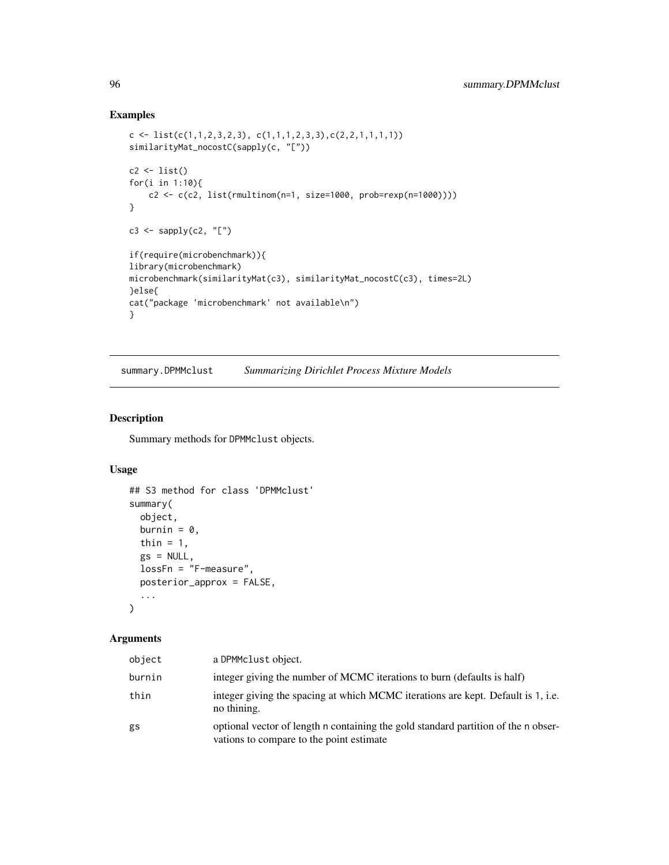# Examples

```
c \leftarrow list(c(1,1,2,3,2,3), c(1,1,1,2,3,3), c(2,2,1,1,1,1))similarityMat_nocostC(sapply(c, "["))
c2 \leftarrow list()for(i in 1:10){
    c2 <- c(c2, list(rmultinom(n=1, size=1000, prob=rexp(n=1000))))
}
c3 \leftarrow sapply(c2, "[")
if(require(microbenchmark)){
library(microbenchmark)
microbenchmark(similarityMat(c3), similarityMat_nocostC(c3), times=2L)
}else{
cat("package 'microbenchmark' not available\n")
}
```
<span id="page-95-0"></span>summary.DPMMclust *Summarizing Dirichlet Process Mixture Models*

#### Description

Summary methods for DPMMclust objects.

# Usage

```
## S3 method for class 'DPMMclust'
summary(
 object,
 burnin = 0,
 thin = 1,
 gs = NULL,lossFn = "F-measure",
 posterior_approx = FALSE,
  ...
\mathcal{L}
```
#### Arguments

| object | a DPMMclust object.                                                                                                            |
|--------|--------------------------------------------------------------------------------------------------------------------------------|
| burnin | integer giving the number of MCMC iterations to burn (defaults is half)                                                        |
| thin   | integer giving the spacing at which MCMC iterations are kept. Default is 1, i.e.<br>no thining.                                |
| gs     | optional vector of length n containing the gold standard partition of the n obser-<br>vations to compare to the point estimate |

<span id="page-95-1"></span>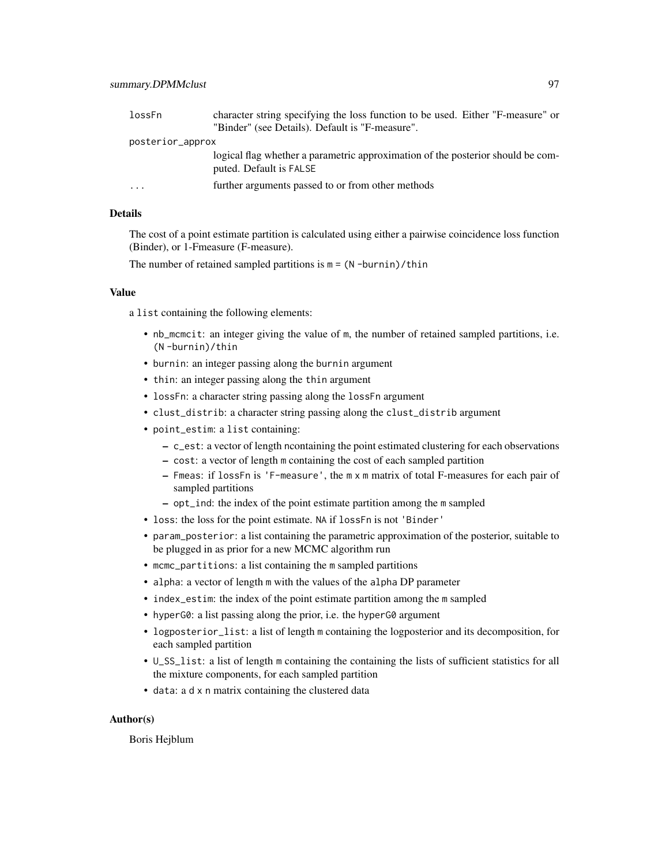| lossFn                  | character string specifying the loss function to be used. Either "F-measure" or<br>"Binder" (see Details). Default is "F-measure". |
|-------------------------|------------------------------------------------------------------------------------------------------------------------------------|
|                         |                                                                                                                                    |
| posterior_approx        |                                                                                                                                    |
|                         | logical flag whether a parametric approximation of the posterior should be com-<br>puted. Default is FALSE                         |
| $\cdot$ $\cdot$ $\cdot$ | further arguments passed to or from other methods                                                                                  |

#### Details

The cost of a point estimate partition is calculated using either a pairwise coincidence loss function (Binder), or 1-Fmeasure (F-measure).

The number of retained sampled partitions is  $m = (N - burnin) / thin$ 

#### Value

a list containing the following elements:

- nb\_mcmcit: an integer giving the value of m, the number of retained sampled partitions, i.e. (N -burnin)/thin
- burnin: an integer passing along the burnin argument
- thin: an integer passing along the thin argument
- lossFn: a character string passing along the lossFn argument
- clust\_distrib: a character string passing along the clust\_distrib argument
- point\_estim: a list containing:
	- c\_est: a vector of length ncontaining the point estimated clustering for each observations
	- cost: a vector of length m containing the cost of each sampled partition
	- Fmeas: if lossFn is 'F-measure', the m x m matrix of total F-measures for each pair of sampled partitions
	- opt\_ind: the index of the point estimate partition among the m sampled
- loss: the loss for the point estimate. NA if lossFn is not 'Binder'
- param\_posterior: a list containing the parametric approximation of the posterior, suitable to be plugged in as prior for a new MCMC algorithm run
- mcmc\_partitions: a list containing the m sampled partitions
- alpha: a vector of length m with the values of the alpha DP parameter
- index\_estim: the index of the point estimate partition among the m sampled
- hyperG0: a list passing along the prior, i.e. the hyperG0 argument
- logposterior\_list: a list of length m containing the logposterior and its decomposition, for each sampled partition
- U\_SS\_list: a list of length m containing the containing the lists of sufficient statistics for all the mixture components, for each sampled partition
- data: a d x n matrix containing the clustered data

#### Author(s)

Boris Hejblum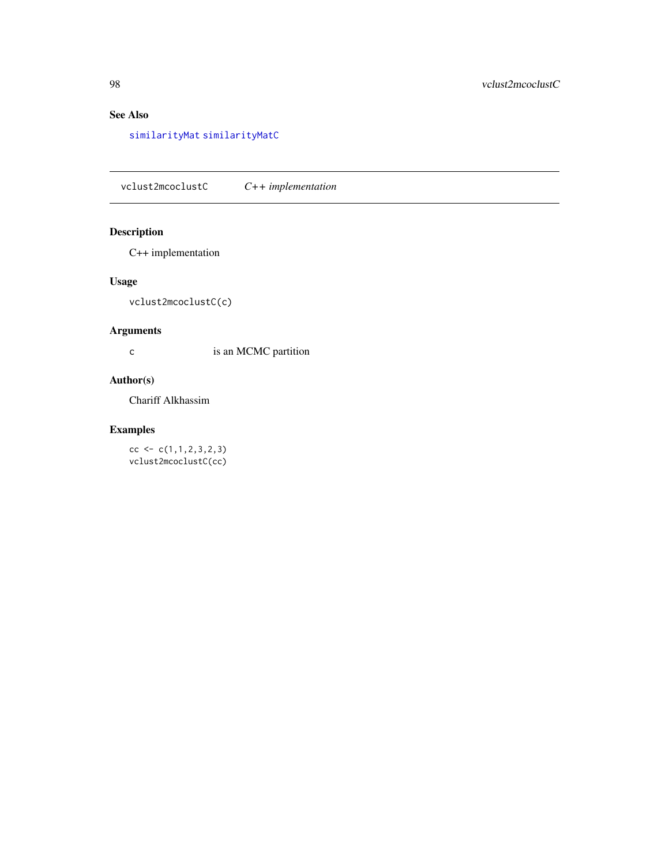# <span id="page-97-0"></span>See Also

[similarityMat](#page-93-0) [similarityMatC](#page-94-0)

vclust2mcoclustC *C++ implementation*

# Description

C++ implementation

## Usage

vclust2mcoclustC(c)

## Arguments

c is an MCMC partition

## Author(s)

Chariff Alkhassim

## Examples

 $cc < -c(1,1,2,3,2,3)$ vclust2mcoclustC(cc)